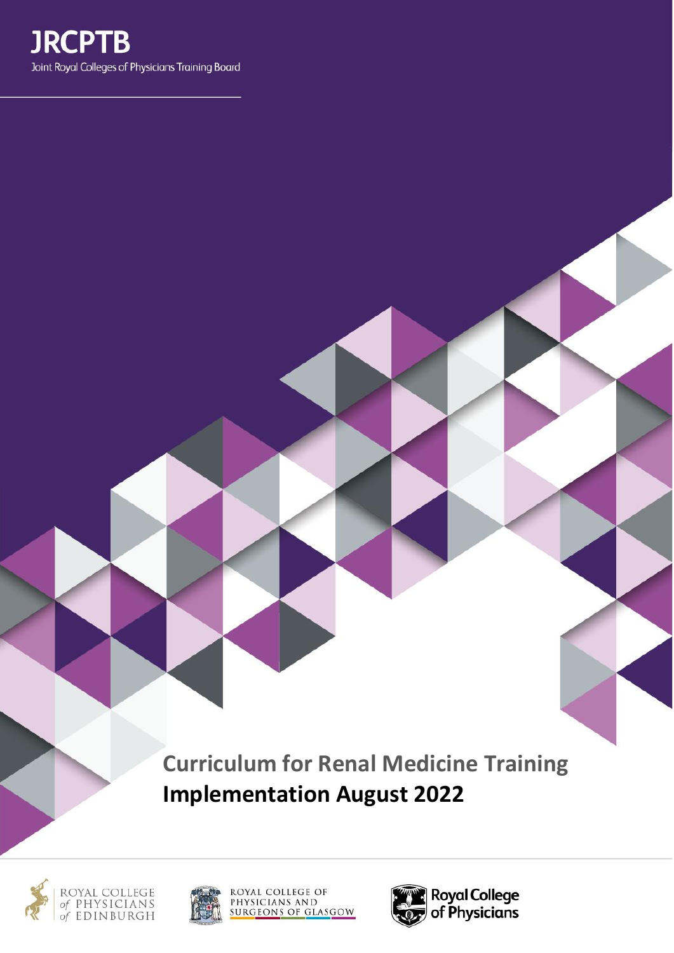**Curriculum for Renal Medicine Training Implementation August 2022**







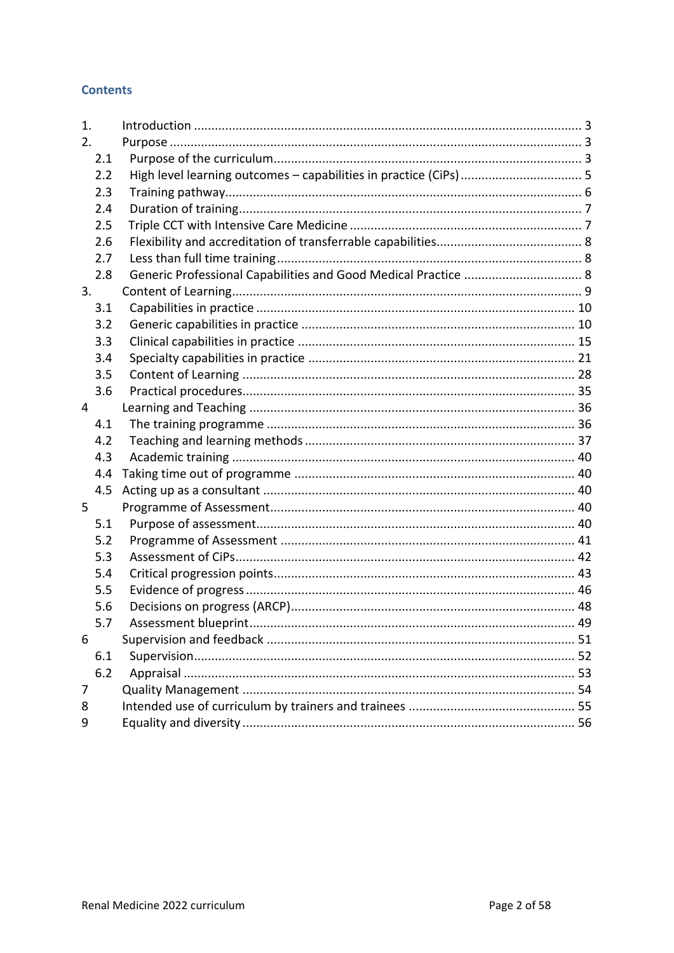### **Contents**

| 1.  |                                                                   |
|-----|-------------------------------------------------------------------|
| 2.  |                                                                   |
| 2.1 |                                                                   |
| 2.2 | High level learning outcomes - capabilities in practice (CiPs)  5 |
| 2.3 |                                                                   |
| 2.4 |                                                                   |
| 2.5 |                                                                   |
| 2.6 |                                                                   |
| 2.7 |                                                                   |
| 2.8 | Generic Professional Capabilities and Good Medical Practice  8    |
| 3.  |                                                                   |
| 3.1 |                                                                   |
| 3.2 |                                                                   |
| 3.3 |                                                                   |
| 3.4 |                                                                   |
| 3.5 |                                                                   |
| 3.6 |                                                                   |
| 4   |                                                                   |
| 4.1 |                                                                   |
| 4.2 |                                                                   |
| 4.3 |                                                                   |
| 4.4 |                                                                   |
| 4.5 |                                                                   |
| 5   |                                                                   |
| 5.1 |                                                                   |
| 5.2 |                                                                   |
| 5.3 |                                                                   |
| 5.4 |                                                                   |
| 5.5 |                                                                   |
| 5.6 |                                                                   |
| 5.7 | Assessment blueprint<br>. 49                                      |
| 6   |                                                                   |
| 6.1 |                                                                   |
| 6.2 |                                                                   |
| 7   |                                                                   |
| 8   |                                                                   |
| 9   |                                                                   |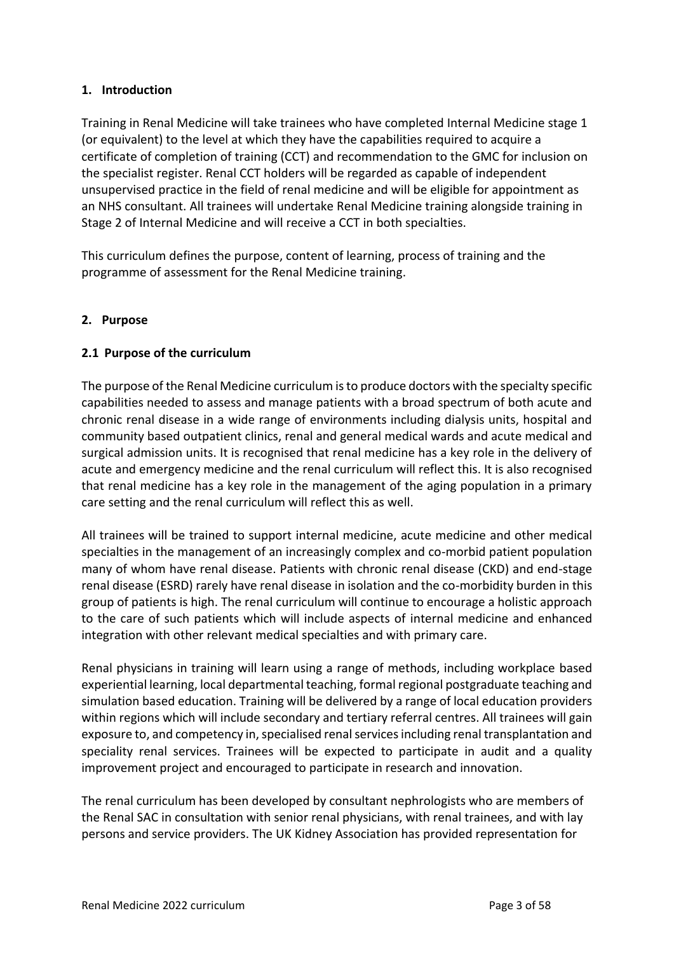### <span id="page-2-0"></span>**1. Introduction**

Training in Renal Medicine will take trainees who have completed Internal Medicine stage 1 (or equivalent) to the level at which they have the capabilities required to acquire a certificate of completion of training (CCT) and recommendation to the GMC for inclusion on the specialist register. Renal CCT holders will be regarded as capable of independent unsupervised practice in the field of renal medicine and will be eligible for appointment as an NHS consultant. All trainees will undertake Renal Medicine training alongside training in Stage 2 of Internal Medicine and will receive a CCT in both specialties.

This curriculum defines the purpose, content of learning, process of training and the programme of assessment for the Renal Medicine training.

### <span id="page-2-1"></span>**2. Purpose**

### <span id="page-2-2"></span>**2.1 Purpose of the curriculum**

The purpose of the Renal Medicine curriculum is to produce doctors with the specialty specific capabilities needed to assess and manage patients with a broad spectrum of both acute and chronic renal disease in a wide range of environments including dialysis units, hospital and community based outpatient clinics, renal and general medical wards and acute medical and surgical admission units. It is recognised that renal medicine has a key role in the delivery of acute and emergency medicine and the renal curriculum will reflect this. It is also recognised that renal medicine has a key role in the management of the aging population in a primary care setting and the renal curriculum will reflect this as well.

All trainees will be trained to support internal medicine, acute medicine and other medical specialties in the management of an increasingly complex and co-morbid patient population many of whom have renal disease. Patients with chronic renal disease (CKD) and end-stage renal disease (ESRD) rarely have renal disease in isolation and the co-morbidity burden in this group of patients is high. The renal curriculum will continue to encourage a holistic approach to the care of such patients which will include aspects of internal medicine and enhanced integration with other relevant medical specialties and with primary care.

Renal physicians in training will learn using a range of methods, including workplace based experiential learning, local departmental teaching, formal regional postgraduate teaching and simulation based education. Training will be delivered by a range of local education providers within regions which will include secondary and tertiary referral centres. All trainees will gain exposure to, and competency in, specialised renal services including renal transplantation and speciality renal services. Trainees will be expected to participate in audit and a quality improvement project and encouraged to participate in research and innovation.

The renal curriculum has been developed by consultant nephrologists who are members of the Renal SAC in consultation with senior renal physicians, with renal trainees, and with lay persons and service providers. The UK Kidney Association has provided representation for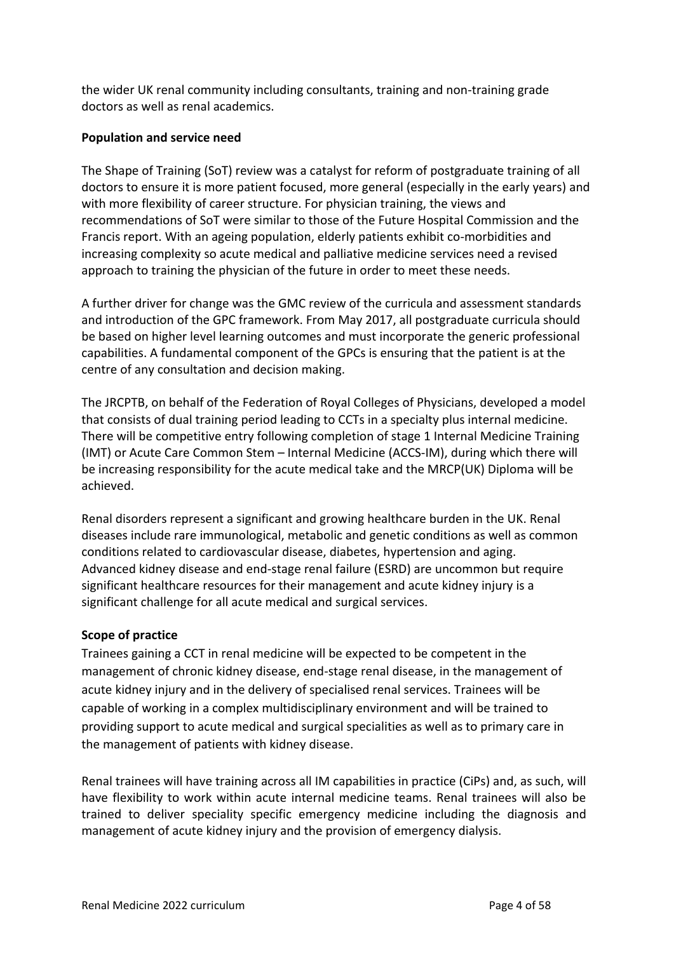the wider UK renal community including consultants, training and non-training grade doctors as well as renal academics.

### **Population and service need**

The Shape of Training (SoT) review was a catalyst for reform of postgraduate training of all doctors to ensure it is more patient focused, more general (especially in the early years) and with more flexibility of career structure. For physician training, the views and recommendations of SoT were similar to those of the Future Hospital Commission and the Francis report. With an ageing population, elderly patients exhibit co-morbidities and increasing complexity so acute medical and palliative medicine services need a revised approach to training the physician of the future in order to meet these needs.

A further driver for change was the GMC review of the curricula and assessment standards and introduction of the GPC framework. From May 2017, all postgraduate curricula should be based on higher level learning outcomes and must incorporate the generic professional capabilities. A fundamental component of the GPCs is ensuring that the patient is at the centre of any consultation and decision making.

The JRCPTB, on behalf of the Federation of Royal Colleges of Physicians, developed a model that consists of dual training period leading to CCTs in a specialty plus internal medicine. There will be competitive entry following completion of stage 1 Internal Medicine Training (IMT) or Acute Care Common Stem – Internal Medicine (ACCS-IM), during which there will be increasing responsibility for the acute medical take and the MRCP(UK) Diploma will be achieved.

Renal disorders represent a significant and growing healthcare burden in the UK. Renal diseases include rare immunological, metabolic and genetic conditions as well as common conditions related to cardiovascular disease, diabetes, hypertension and aging. Advanced kidney disease and end-stage renal failure (ESRD) are uncommon but require significant healthcare resources for their management and acute kidney injury is a significant challenge for all acute medical and surgical services.

### **Scope of practice**

Trainees gaining a CCT in renal medicine will be expected to be competent in the management of chronic kidney disease, end-stage renal disease, in the management of acute kidney injury and in the delivery of specialised renal services. Trainees will be capable of working in a complex multidisciplinary environment and will be trained to providing support to acute medical and surgical specialities as well as to primary care in the management of patients with kidney disease.

Renal trainees will have training across all IM capabilities in practice (CiPs) and, as such, will have flexibility to work within acute internal medicine teams. Renal trainees will also be trained to deliver speciality specific emergency medicine including the diagnosis and management of acute kidney injury and the provision of emergency dialysis.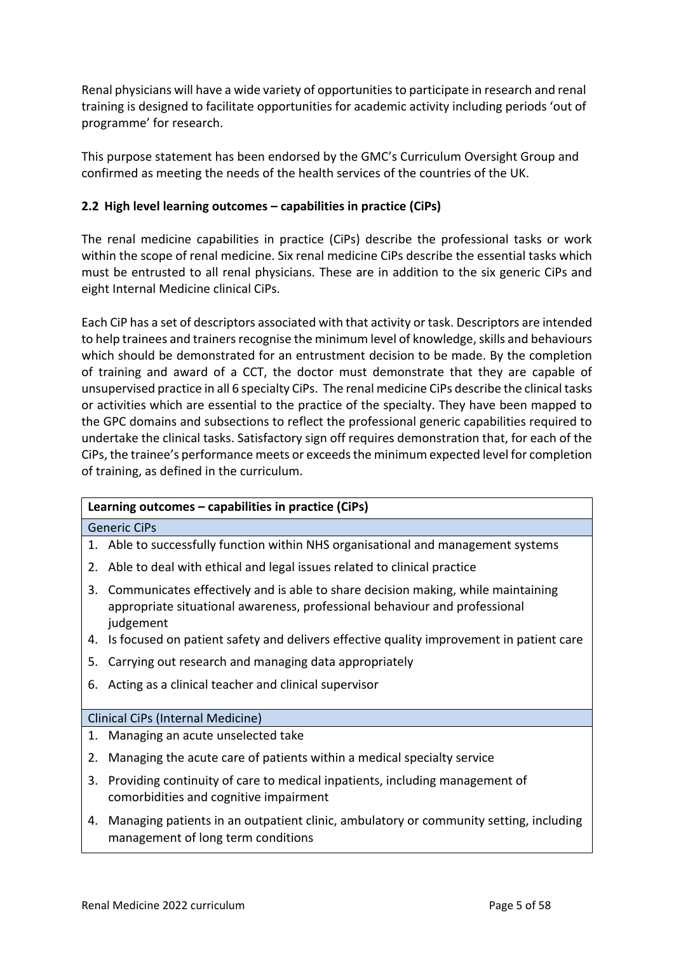Renal physicians will have a wide variety of opportunities to participate in research and renal training is designed to facilitate opportunities for academic activity including periods 'out of programme' for research.

This purpose statement has been endorsed by the GMC's Curriculum Oversight Group and confirmed as meeting the needs of the health services of the countries of the UK.

## <span id="page-4-0"></span>**2.2 High level learning outcomes – capabilities in practice (CiPs)**

The renal medicine capabilities in practice (CiPs) describe the professional tasks or work within the scope of renal medicine. Six renal medicine CiPs describe the essential tasks which must be entrusted to all renal physicians. These are in addition to the six generic CiPs and eight Internal Medicine clinical CiPs.

Each CiP has a set of descriptors associated with that activity or task. Descriptors are intended to help trainees and trainers recognise the minimum level of knowledge, skills and behaviours which should be demonstrated for an entrustment decision to be made. By the completion of training and award of a CCT, the doctor must demonstrate that they are capable of unsupervised practice in all 6 specialty CiPs. The renal medicine CiPs describe the clinical tasks or activities which are essential to the practice of the specialty. They have been mapped to the GPC domains and subsections to reflect the professional generic capabilities required to undertake the clinical tasks. Satisfactory sign off requires demonstration that, for each of the CiPs, the trainee's performance meets or exceeds the minimum expected level for completion of training, as defined in the curriculum.

### **Learning outcomes – capabilities in practice (CiPs)**

#### Generic CiPs

- 1. Able to successfully function within NHS organisational and management systems
- 2. Able to deal with ethical and legal issues related to clinical practice
- 3. Communicates effectively and is able to share decision making, while maintaining appropriate situational awareness, professional behaviour and professional judgement
- 4. Is focused on patient safety and delivers effective quality improvement in patient care
- 5. Carrying out research and managing data appropriately
- 6. Acting as a clinical teacher and clinical supervisor

#### Clinical CiPs (Internal Medicine)

- 1. Managing an acute unselected take
- 2. Managing the acute care of patients within a medical specialty service
- 3. Providing continuity of care to medical inpatients, including management of comorbidities and cognitive impairment
- 4. Managing patients in an outpatient clinic, ambulatory or community setting, including management of long term conditions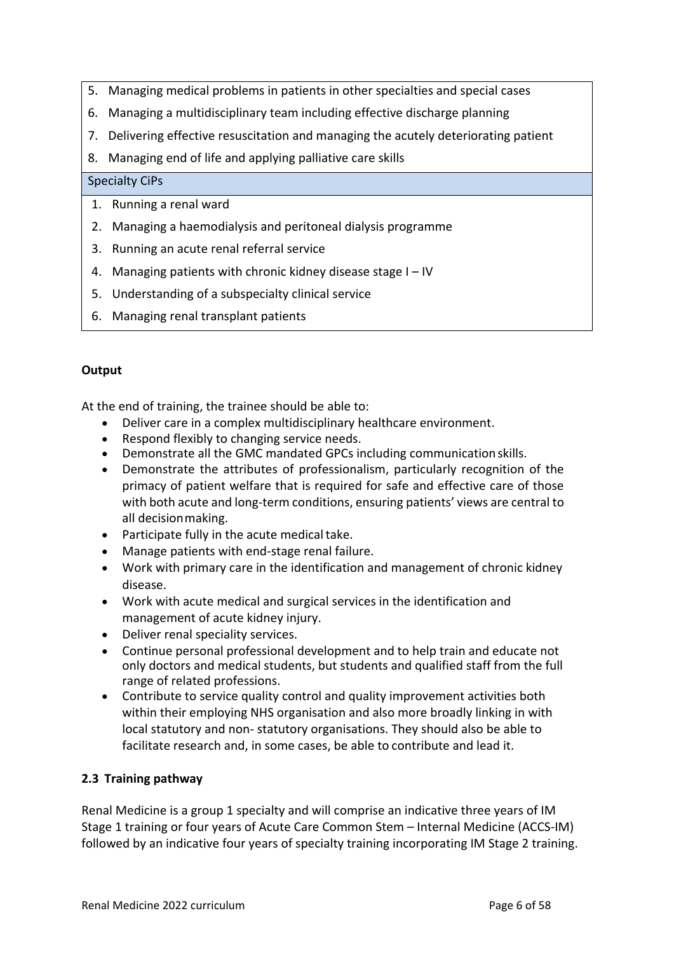- 5. Managing medical problems in patients in other specialties and special cases
- 6. Managing a multidisciplinary team including effective discharge planning
- 7. Delivering effective resuscitation and managing the acutely deteriorating patient
- 8. Managing end of life and applying palliative care skills

### Specialty CiPs

- 1. Running a renal ward
- 2. Managing a haemodialysis and peritoneal dialysis programme
- 3. Running an acute renal referral service
- 4. Managing patients with chronic kidney disease stage I IV
- 5. Understanding of a subspecialty clinical service
- 6. Managing renal transplant patients

### **Output**

At the end of training, the trainee should be able to:

- Deliver care in a complex multidisciplinary healthcare environment.
- Respond flexibly to changing service needs.
- Demonstrate all the GMC mandated GPCs including communication skills.
- Demonstrate the attributes of professionalism, particularly recognition of the primacy of patient welfare that is required for safe and effective care of those with both acute and long-term conditions, ensuring patients' views are central to all decisionmaking.
- Participate fully in the acute medical take.
- Manage patients with end-stage renal failure.
- Work with primary care in the identification and management of chronic kidney disease.
- Work with acute medical and surgical services in the identification and management of acute kidney injury.
- Deliver renal speciality services.
- Continue personal professional development and to help train and educate not only doctors and medical students, but students and qualified staff from the full range of related professions.
- Contribute to service quality control and quality improvement activities both within their employing NHS organisation and also more broadly linking in with local statutory and non- statutory organisations. They should also be able to facilitate research and, in some cases, be able to contribute and lead it.

### <span id="page-5-0"></span>**2.3 Training pathway**

Renal Medicine is a group 1 specialty and will comprise an indicative three years of IM Stage 1 training or four years of Acute Care Common Stem – Internal Medicine (ACCS-IM) followed by an indicative four years of specialty training incorporating IM Stage 2 training.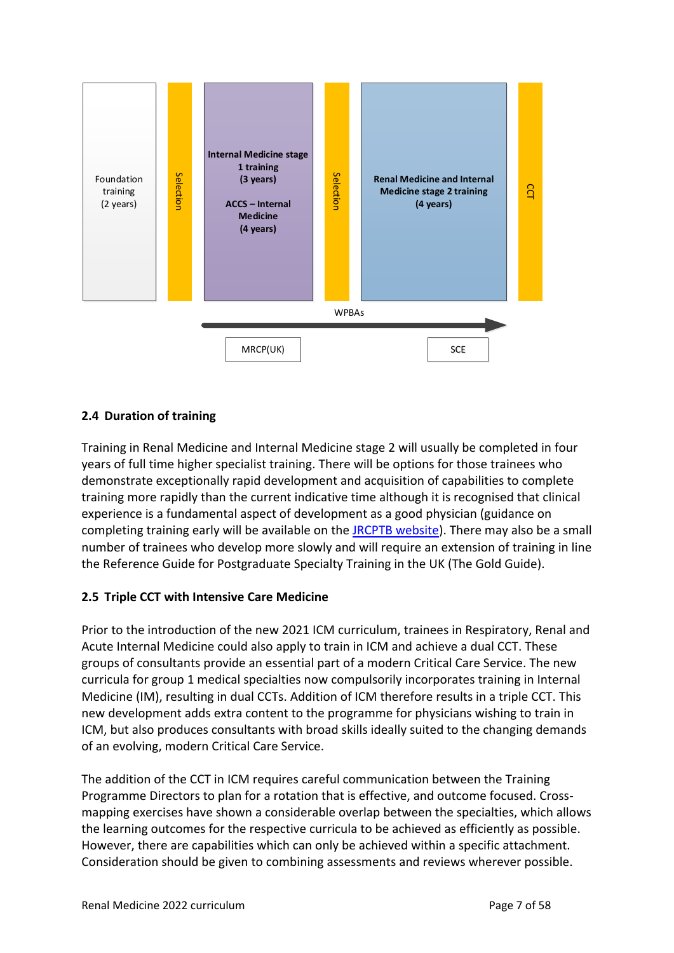

## <span id="page-6-0"></span>**2.4 Duration of training**

Training in Renal Medicine and Internal Medicine stage 2 will usually be completed in four years of full time higher specialist training. There will be options for those trainees who demonstrate exceptionally rapid development and acquisition of capabilities to complete training more rapidly than the current indicative time although it is recognised that clinical experience is a fundamental aspect of development as a good physician (guidance on completing training early will be available on the [JRCPTB website\)](http://www.jrcptb.org.uk/). There may also be a small number of trainees who develop more slowly and will require an extension of training in line the Reference Guide for Postgraduate Specialty Training in the UK (The Gold Guide).

### <span id="page-6-1"></span>**2.5 Triple CCT with Intensive Care Medicine**

Prior to the introduction of the new 2021 ICM curriculum, trainees in Respiratory, Renal and Acute Internal Medicine could also apply to train in ICM and achieve a dual CCT. These groups of consultants provide an essential part of a modern Critical Care Service. The new curricula for group 1 medical specialties now compulsorily incorporates training in Internal Medicine (IM), resulting in dual CCTs. Addition of ICM therefore results in a triple CCT. This new development adds extra content to the programme for physicians wishing to train in ICM, but also produces consultants with broad skills ideally suited to the changing demands of an evolving, modern Critical Care Service.

The addition of the CCT in ICM requires careful communication between the Training Programme Directors to plan for a rotation that is effective, and outcome focused. Crossmapping exercises have shown a considerable overlap between the specialties, which allows the learning outcomes for the respective curricula to be achieved as efficiently as possible. However, there are capabilities which can only be achieved within a specific attachment. Consideration should be given to combining assessments and reviews wherever possible.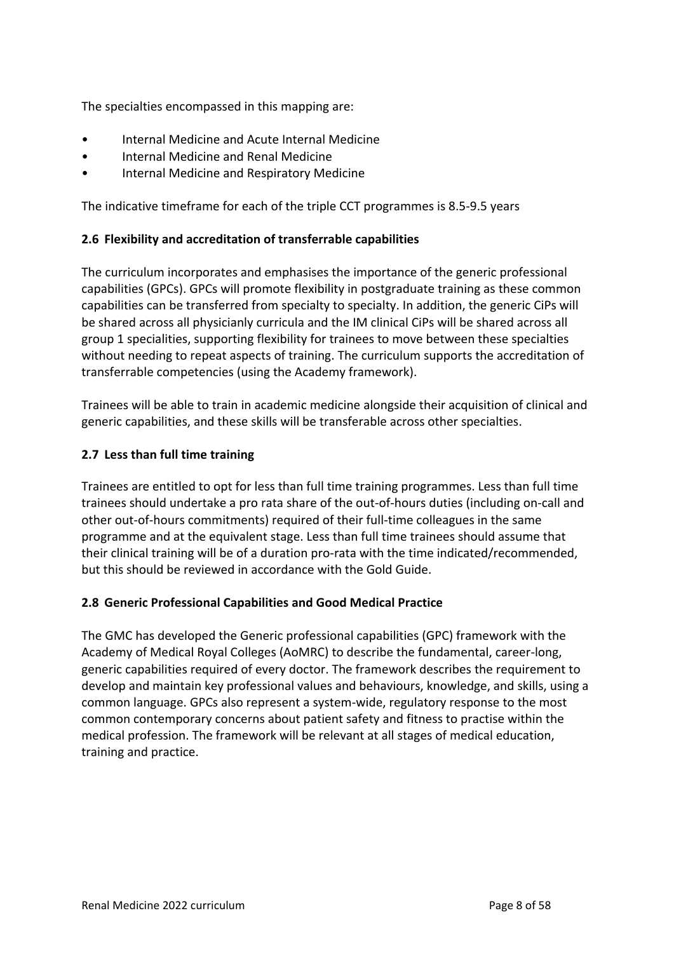The specialties encompassed in this mapping are:

- Internal Medicine and Acute Internal Medicine
- Internal Medicine and Renal Medicine
- Internal Medicine and Respiratory Medicine

The indicative timeframe for each of the triple CCT programmes is 8.5-9.5 years

### <span id="page-7-0"></span>**2.6 Flexibility and accreditation of transferrable capabilities**

The curriculum incorporates and emphasises the importance of the generic professional capabilities (GPCs). GPCs will promote flexibility in postgraduate training as these common capabilities can be transferred from specialty to specialty. In addition, the generic CiPs will be shared across all physicianly curricula and the IM clinical CiPs will be shared across all group 1 specialities, supporting flexibility for trainees to move between these specialties without needing to repeat aspects of training. The curriculum supports the accreditation of transferrable competencies (using the Academy framework).

Trainees will be able to train in academic medicine alongside their acquisition of clinical and generic capabilities, and these skills will be transferable across other specialties.

### <span id="page-7-1"></span>**2.7 Less than full time training**

Trainees are entitled to opt for less than full time training programmes. Less than full time trainees should undertake a pro rata share of the out-of-hours duties (including on-call and other out-of-hours commitments) required of their full-time colleagues in the same programme and at the equivalent stage. Less than full time trainees should assume that their clinical training will be of a duration pro-rata with the time indicated/recommended, but this should be reviewed in accordance with the Gold Guide.

#### <span id="page-7-2"></span>**2.8 Generic Professional Capabilities and Good Medical Practice**

The GMC has developed the Generic professional capabilities (GPC) framework with the Academy of Medical Royal Colleges (AoMRC) to describe the fundamental, career-long, generic capabilities required of every doctor. The framework describes the requirement to develop and maintain key professional values and behaviours, knowledge, and skills, using a common language. GPCs also represent a system-wide, regulatory response to the most common contemporary concerns about patient safety and fitness to practise within the medical profession. The framework will be relevant at all stages of medical education, training and practice.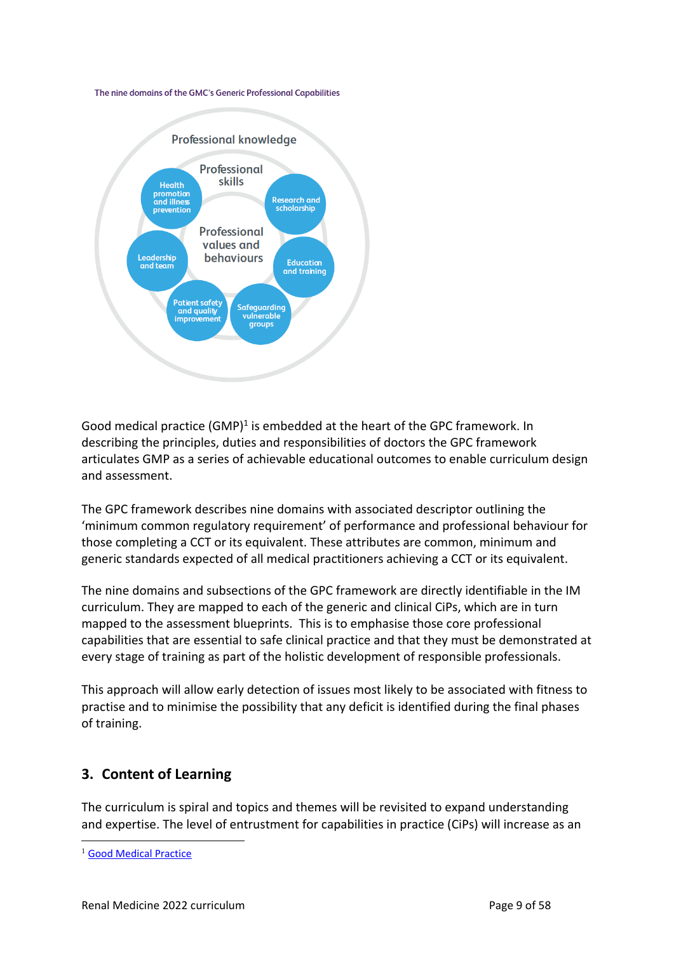#### The nine domains of the GMC's Generic Professional Capabilities



Good medical practice  $(GMP)^1$  is embedded at the heart of the GPC framework. In describing the principles, duties and responsibilities of doctors the GPC framework articulates GMP as a series of achievable educational outcomes to enable curriculum design and assessment.

The GPC framework describes nine domains with associated descriptor outlining the 'minimum common regulatory requirement' of performance and professional behaviour for those completing a CCT or its equivalent. These attributes are common, minimum and generic standards expected of all medical practitioners achieving a CCT or its equivalent.

The nine domains and subsections of the GPC framework are directly identifiable in the IM curriculum. They are mapped to each of the generic and clinical CiPs, which are in turn mapped to the assessment blueprints. This is to emphasise those core professional capabilities that are essential to safe clinical practice and that they must be demonstrated at every stage of training as part of the holistic development of responsible professionals.

This approach will allow early detection of issues most likely to be associated with fitness to practise and to minimise the possibility that any deficit is identified during the final phases of training.

## <span id="page-8-0"></span>**3. Content of Learning**

The curriculum is spiral and topics and themes will be revisited to expand understanding and expertise. The level of entrustment for capabilities in practice (CiPs) will increase as an

<sup>&</sup>lt;sup>1</sup> [Good Medical Practice](http://www.gmc-uk.org/guidance/good_medical_practice.asp)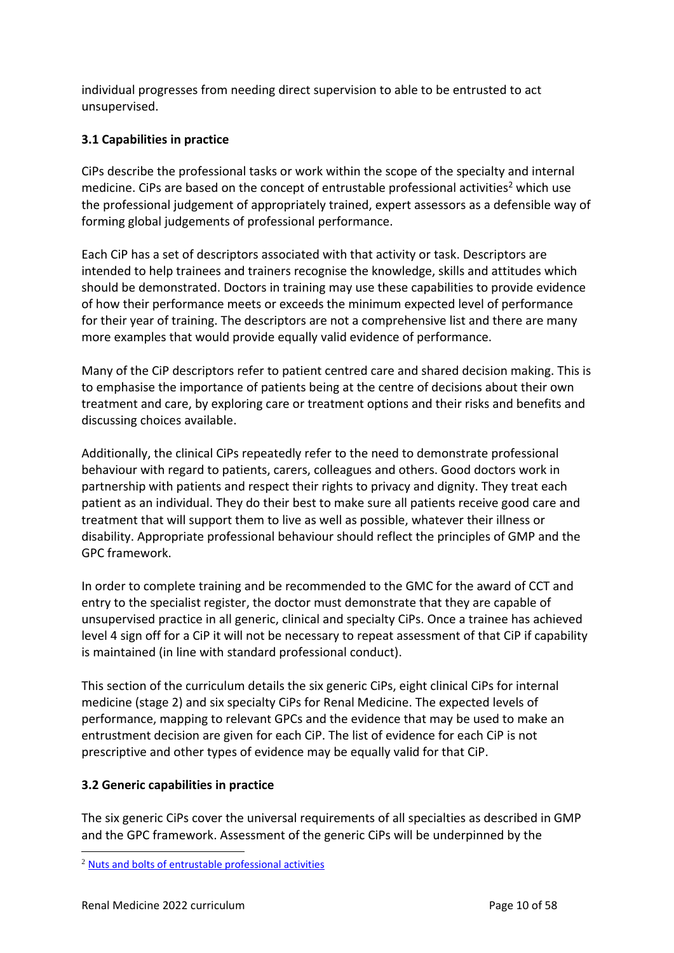individual progresses from needing direct supervision to able to be entrusted to act unsupervised.

## <span id="page-9-0"></span>**3.1 Capabilities in practice**

CiPs describe the professional tasks or work within the scope of the specialty and internal medicine. CiPs are based on the concept of entrustable professional activities<sup>2</sup> which use the professional judgement of appropriately trained, expert assessors as a defensible way of forming global judgements of professional performance.

Each CiP has a set of descriptors associated with that activity or task. Descriptors are intended to help trainees and trainers recognise the knowledge, skills and attitudes which should be demonstrated. Doctors in training may use these capabilities to provide evidence of how their performance meets or exceeds the minimum expected level of performance for their year of training. The descriptors are not a comprehensive list and there are many more examples that would provide equally valid evidence of performance.

Many of the CiP descriptors refer to patient centred care and shared decision making. This is to emphasise the importance of patients being at the centre of decisions about their own treatment and care, by exploring care or treatment options and their risks and benefits and discussing choices available.

Additionally, the clinical CiPs repeatedly refer to the need to demonstrate professional behaviour with regard to patients, carers, colleagues and others. Good doctors work in partnership with patients and respect their rights to privacy and dignity. They treat each patient as an individual. They do their best to make sure all patients receive good care and treatment that will support them to live as well as possible, whatever their illness or disability. Appropriate professional behaviour should reflect the principles of GMP and the GPC framework.

In order to complete training and be recommended to the GMC for the award of CCT and entry to the specialist register, the doctor must demonstrate that they are capable of unsupervised practice in all generic, clinical and specialty CiPs. Once a trainee has achieved level 4 sign off for a CiP it will not be necessary to repeat assessment of that CiP if capability is maintained (in line with standard professional conduct).

This section of the curriculum details the six generic CiPs, eight clinical CiPs for internal medicine (stage 2) and six specialty CiPs for Renal Medicine. The expected levels of performance, mapping to relevant GPCs and the evidence that may be used to make an entrustment decision are given for each CiP. The list of evidence for each CiP is not prescriptive and other types of evidence may be equally valid for that CiP.

### <span id="page-9-1"></span>**3.2 Generic capabilities in practice**

The six generic CiPs cover the universal requirements of all specialties as described in GMP and the GPC framework. Assessment of the generic CiPs will be underpinned by the

<sup>2</sup> [Nuts and bolts of entrustable professional activities](https://www.ncbi.nlm.nih.gov/pmc/articles/PMC3613304/)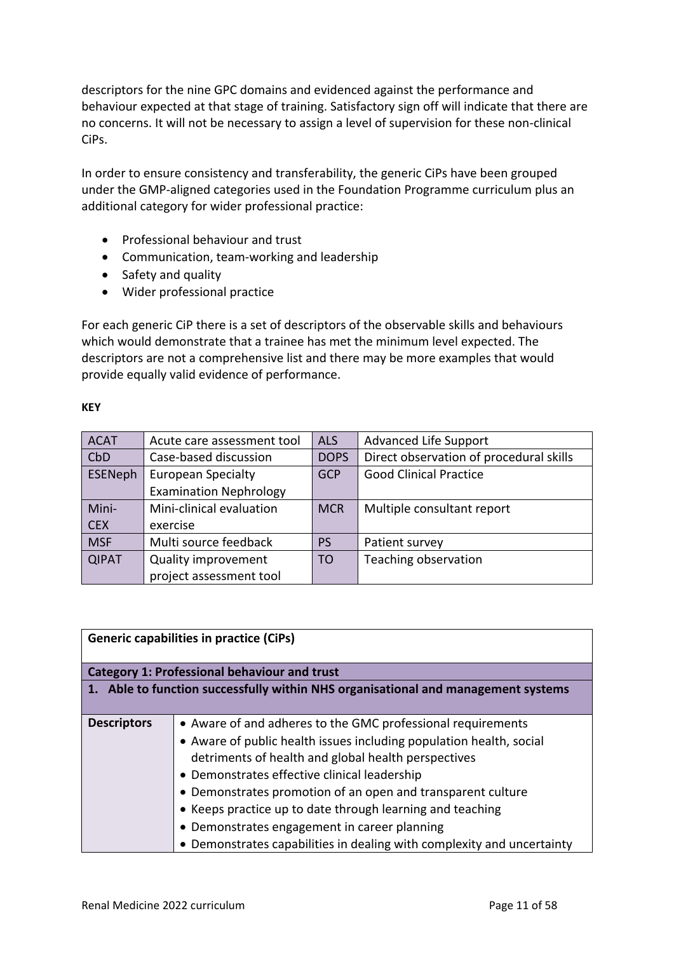descriptors for the nine GPC domains and evidenced against the performance and behaviour expected at that stage of training. Satisfactory sign off will indicate that there are no concerns. It will not be necessary to assign a level of supervision for these non-clinical CiPs.

In order to ensure consistency and transferability, the generic CiPs have been grouped under the GMP-aligned categories used in the Foundation Programme curriculum plus an additional category for wider professional practice:

- Professional behaviour and trust
- Communication, team-working and leadership
- Safety and quality
- Wider professional practice

For each generic CiP there is a set of descriptors of the observable skills and behaviours which would demonstrate that a trainee has met the minimum level expected. The descriptors are not a comprehensive list and there may be more examples that would provide equally valid evidence of performance.

#### **KEY**

| <b>ACAT</b>  | Acute care assessment tool    | <b>ALS</b>     | <b>Advanced Life Support</b>            |
|--------------|-------------------------------|----------------|-----------------------------------------|
| CbD          | Case-based discussion         | <b>DOPS</b>    | Direct observation of procedural skills |
| ESENeph      | <b>European Specialty</b>     | <b>GCP</b>     | <b>Good Clinical Practice</b>           |
|              | <b>Examination Nephrology</b> |                |                                         |
| Mini-        | Mini-clinical evaluation      | <b>MCR</b>     | Multiple consultant report              |
| <b>CEX</b>   | exercise                      |                |                                         |
| <b>MSF</b>   | Multi source feedback         | <b>PS</b>      | Patient survey                          |
| <b>QIPAT</b> | Quality improvement           | T <sub>O</sub> | Teaching observation                    |
|              | project assessment tool       |                |                                         |

| <b>Generic capabilities in practice (CiPs)</b>      |                                                                                                                                                                                                                                                                                                                                                                                                                                                                                                 |  |
|-----------------------------------------------------|-------------------------------------------------------------------------------------------------------------------------------------------------------------------------------------------------------------------------------------------------------------------------------------------------------------------------------------------------------------------------------------------------------------------------------------------------------------------------------------------------|--|
| <b>Category 1: Professional behaviour and trust</b> |                                                                                                                                                                                                                                                                                                                                                                                                                                                                                                 |  |
|                                                     | 1. Able to function successfully within NHS organisational and management systems                                                                                                                                                                                                                                                                                                                                                                                                               |  |
| <b>Descriptors</b>                                  | • Aware of and adheres to the GMC professional requirements<br>• Aware of public health issues including population health, social<br>detriments of health and global health perspectives<br>• Demonstrates effective clinical leadership<br>• Demonstrates promotion of an open and transparent culture<br>• Keeps practice up to date through learning and teaching<br>• Demonstrates engagement in career planning<br>• Demonstrates capabilities in dealing with complexity and uncertainty |  |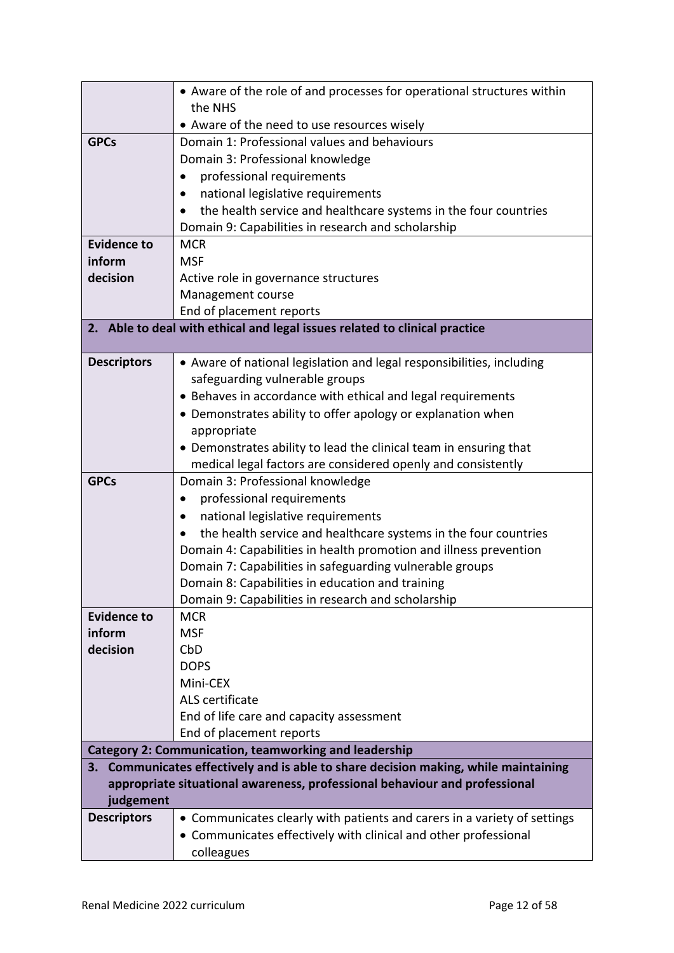|                              | • Aware of the role of and processes for operational structures within              |
|------------------------------|-------------------------------------------------------------------------------------|
|                              | the NHS                                                                             |
|                              | • Aware of the need to use resources wisely                                         |
| <b>GPCs</b>                  | Domain 1: Professional values and behaviours                                        |
|                              | Domain 3: Professional knowledge                                                    |
|                              | professional requirements                                                           |
|                              | national legislative requirements<br>٠                                              |
|                              | the health service and healthcare systems in the four countries                     |
|                              | Domain 9: Capabilities in research and scholarship                                  |
| <b>Evidence to</b><br>inform | <b>MCR</b><br><b>MSF</b>                                                            |
| decision                     |                                                                                     |
|                              | Active role in governance structures<br>Management course                           |
|                              | End of placement reports                                                            |
|                              | 2. Able to deal with ethical and legal issues related to clinical practice          |
|                              |                                                                                     |
| <b>Descriptors</b>           | • Aware of national legislation and legal responsibilities, including               |
|                              | safeguarding vulnerable groups                                                      |
|                              | • Behaves in accordance with ethical and legal requirements                         |
|                              | • Demonstrates ability to offer apology or explanation when                         |
|                              | appropriate                                                                         |
|                              | • Demonstrates ability to lead the clinical team in ensuring that                   |
|                              | medical legal factors are considered openly and consistently                        |
| <b>GPCs</b>                  | Domain 3: Professional knowledge                                                    |
|                              | professional requirements<br>٠                                                      |
|                              | national legislative requirements<br>$\bullet$                                      |
|                              | the health service and healthcare systems in the four countries                     |
|                              | Domain 4: Capabilities in health promotion and illness prevention                   |
|                              | Domain 7: Capabilities in safeguarding vulnerable groups                            |
|                              | Domain 8: Capabilities in education and training                                    |
|                              | Domain 9: Capabilities in research and scholarship                                  |
| <b>Evidence to</b>           | <b>MCR</b>                                                                          |
| inform                       | <b>MSF</b>                                                                          |
| decision                     | CbD<br><b>DOPS</b>                                                                  |
|                              | Mini-CEX                                                                            |
|                              | ALS certificate                                                                     |
|                              | End of life care and capacity assessment                                            |
|                              | End of placement reports                                                            |
|                              | <b>Category 2: Communication, teamworking and leadership</b>                        |
|                              | 3. Communicates effectively and is able to share decision making, while maintaining |
|                              | appropriate situational awareness, professional behaviour and professional          |
| judgement                    |                                                                                     |
| <b>Descriptors</b>           | • Communicates clearly with patients and carers in a variety of settings            |
|                              | • Communicates effectively with clinical and other professional                     |
|                              | colleagues                                                                          |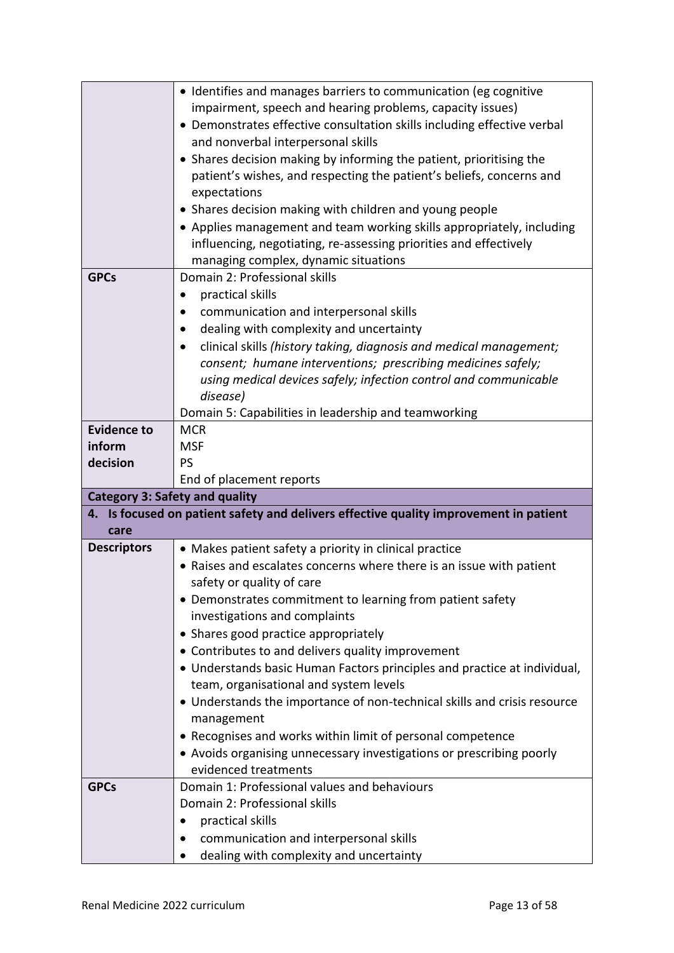|                                       | • Identifies and manages barriers to communication (eg cognitive                                                               |
|---------------------------------------|--------------------------------------------------------------------------------------------------------------------------------|
|                                       | impairment, speech and hearing problems, capacity issues)                                                                      |
|                                       | • Demonstrates effective consultation skills including effective verbal                                                        |
|                                       | and nonverbal interpersonal skills                                                                                             |
|                                       | • Shares decision making by informing the patient, prioritising the                                                            |
|                                       | patient's wishes, and respecting the patient's beliefs, concerns and                                                           |
|                                       | expectations                                                                                                                   |
|                                       | • Shares decision making with children and young people                                                                        |
|                                       | • Applies management and team working skills appropriately, including                                                          |
|                                       | influencing, negotiating, re-assessing priorities and effectively                                                              |
|                                       | managing complex, dynamic situations                                                                                           |
| <b>GPCs</b>                           | Domain 2: Professional skills                                                                                                  |
|                                       | practical skills<br>٠                                                                                                          |
|                                       | communication and interpersonal skills                                                                                         |
|                                       | dealing with complexity and uncertainty                                                                                        |
|                                       | clinical skills (history taking, diagnosis and medical management;                                                             |
|                                       | consent; humane interventions; prescribing medicines safely;                                                                   |
|                                       | using medical devices safely; infection control and communicable                                                               |
|                                       | disease)                                                                                                                       |
|                                       | Domain 5: Capabilities in leadership and teamworking                                                                           |
| <b>Evidence to</b>                    | <b>MCR</b>                                                                                                                     |
| inform                                | <b>MSF</b>                                                                                                                     |
| decision                              | <b>PS</b>                                                                                                                      |
| <b>Category 3: Safety and quality</b> | End of placement reports                                                                                                       |
|                                       |                                                                                                                                |
|                                       |                                                                                                                                |
| care                                  | 4. Is focused on patient safety and delivers effective quality improvement in patient                                          |
| <b>Descriptors</b>                    |                                                                                                                                |
|                                       | • Makes patient safety a priority in clinical practice<br>• Raises and escalates concerns where there is an issue with patient |
|                                       | safety or quality of care                                                                                                      |
|                                       | • Demonstrates commitment to learning from patient safety                                                                      |
|                                       | investigations and complaints                                                                                                  |
|                                       | • Shares good practice appropriately                                                                                           |
|                                       | • Contributes to and delivers quality improvement                                                                              |
|                                       | • Understands basic Human Factors principles and practice at individual,                                                       |
|                                       | team, organisational and system levels                                                                                         |
|                                       | • Understands the importance of non-technical skills and crisis resource                                                       |
|                                       | management                                                                                                                     |
|                                       | • Recognises and works within limit of personal competence                                                                     |
|                                       | • Avoids organising unnecessary investigations or prescribing poorly                                                           |
|                                       | evidenced treatments                                                                                                           |
| <b>GPCs</b>                           | Domain 1: Professional values and behaviours                                                                                   |
|                                       | Domain 2: Professional skills                                                                                                  |
|                                       | practical skills                                                                                                               |
|                                       | communication and interpersonal skills<br>dealing with complexity and uncertainty                                              |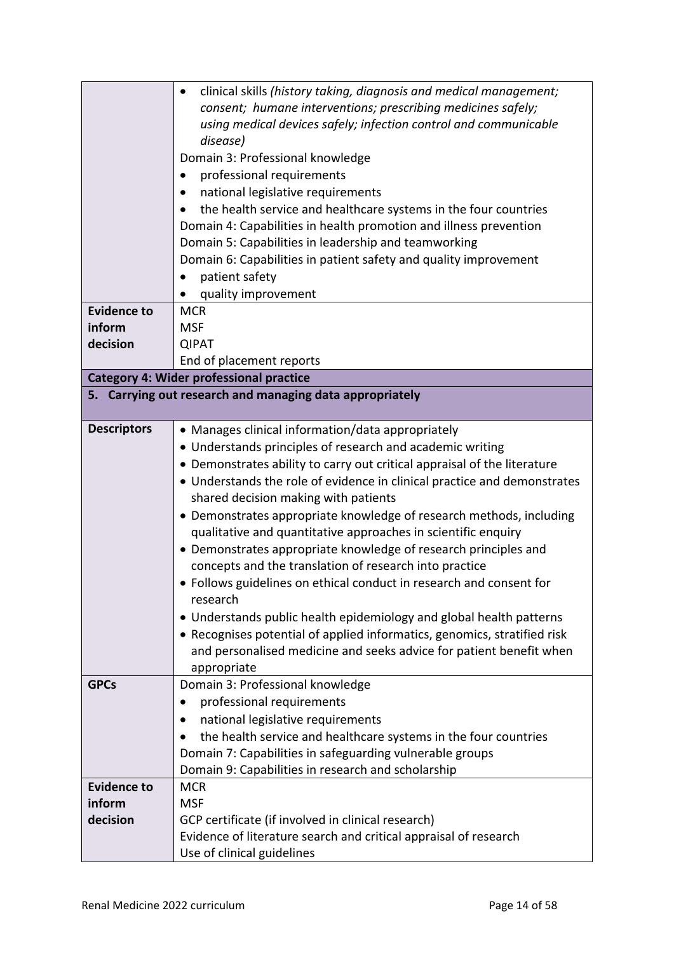|                    | clinical skills (history taking, diagnosis and medical management;       |
|--------------------|--------------------------------------------------------------------------|
|                    | consent; humane interventions; prescribing medicines safely;             |
|                    | using medical devices safely; infection control and communicable         |
|                    | disease)                                                                 |
|                    | Domain 3: Professional knowledge                                         |
|                    | professional requirements                                                |
|                    | national legislative requirements                                        |
|                    | the health service and healthcare systems in the four countries          |
|                    | Domain 4: Capabilities in health promotion and illness prevention        |
|                    | Domain 5: Capabilities in leadership and teamworking                     |
|                    | Domain 6: Capabilities in patient safety and quality improvement         |
|                    | patient safety                                                           |
|                    | quality improvement                                                      |
| <b>Evidence to</b> | <b>MCR</b>                                                               |
| inform             | <b>MSF</b>                                                               |
| decision           | <b>QIPAT</b>                                                             |
|                    | End of placement reports                                                 |
|                    | <b>Category 4: Wider professional practice</b>                           |
|                    | 5. Carrying out research and managing data appropriately                 |
| <b>Descriptors</b> | • Manages clinical information/data appropriately                        |
|                    | • Understands principles of research and academic writing                |
|                    | • Demonstrates ability to carry out critical appraisal of the literature |
|                    | • Understands the role of evidence in clinical practice and demonstrates |
|                    | shared decision making with patients                                     |
|                    | • Demonstrates appropriate knowledge of research methods, including      |
|                    | qualitative and quantitative approaches in scientific enquiry            |
|                    | • Demonstrates appropriate knowledge of research principles and          |
|                    | concepts and the translation of research into practice                   |
|                    | • Follows guidelines on ethical conduct in research and consent for      |
|                    | research                                                                 |
|                    | • Understands public health epidemiology and global health patterns      |
|                    | • Recognises potential of applied informatics, genomics, stratified risk |
|                    | and personalised medicine and seeks advice for patient benefit when      |
|                    | appropriate                                                              |
| <b>GPCs</b>        | Domain 3: Professional knowledge                                         |
|                    | professional requirements                                                |
|                    | national legislative requirements                                        |
|                    | the health service and healthcare systems in the four countries          |
|                    | Domain 7: Capabilities in safeguarding vulnerable groups                 |
|                    | Domain 9: Capabilities in research and scholarship                       |
| <b>Evidence to</b> | <b>MCR</b>                                                               |
| inform             | <b>MSF</b>                                                               |
| decision           | GCP certificate (if involved in clinical research)                       |
|                    | Evidence of literature search and critical appraisal of research         |
|                    | Use of clinical guidelines                                               |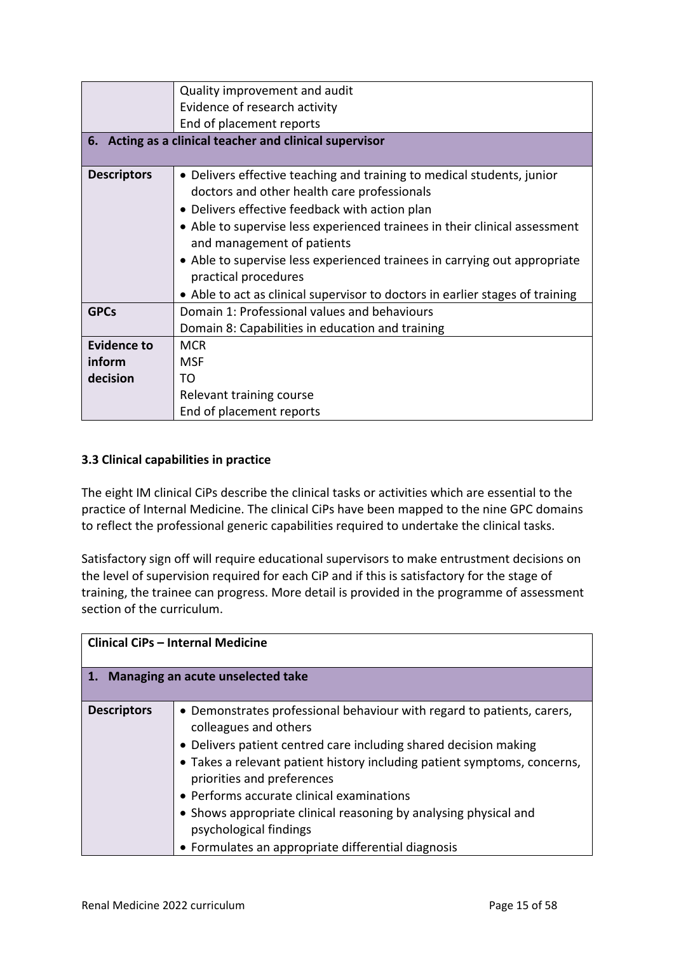|                    | Quality improvement and audit                                                 |
|--------------------|-------------------------------------------------------------------------------|
|                    | Evidence of research activity                                                 |
|                    | End of placement reports                                                      |
|                    | 6. Acting as a clinical teacher and clinical supervisor                       |
|                    |                                                                               |
| <b>Descriptors</b> | • Delivers effective teaching and training to medical students, junior        |
|                    | doctors and other health care professionals                                   |
|                    | • Delivers effective feedback with action plan                                |
|                    | • Able to supervise less experienced trainees in their clinical assessment    |
|                    | and management of patients                                                    |
|                    | • Able to supervise less experienced trainees in carrying out appropriate     |
|                    | practical procedures                                                          |
|                    | • Able to act as clinical supervisor to doctors in earlier stages of training |
| <b>GPCs</b>        | Domain 1: Professional values and behaviours                                  |
|                    | Domain 8: Capabilities in education and training                              |
| Evidence to        | <b>MCR</b>                                                                    |
| inform             | <b>MSF</b>                                                                    |
| decision           | TΟ                                                                            |
|                    | Relevant training course                                                      |
|                    | End of placement reports                                                      |

### <span id="page-14-0"></span>**3.3 Clinical capabilities in practice**

The eight IM clinical CiPs describe the clinical tasks or activities which are essential to the practice of Internal Medicine. The clinical CiPs have been mapped to the nine GPC domains to reflect the professional generic capabilities required to undertake the clinical tasks.

Satisfactory sign off will require educational supervisors to make entrustment decisions on the level of supervision required for each CiP and if this is satisfactory for the stage of training, the trainee can progress. More detail is provided in the programme of assessment section of the curriculum.

| <b>Clinical CiPs - Internal Medicine</b> |                                                                                                                                                                                                                                                                                                                                                                                                                                                                                |  |
|------------------------------------------|--------------------------------------------------------------------------------------------------------------------------------------------------------------------------------------------------------------------------------------------------------------------------------------------------------------------------------------------------------------------------------------------------------------------------------------------------------------------------------|--|
| 1. Managing an acute unselected take     |                                                                                                                                                                                                                                                                                                                                                                                                                                                                                |  |
| <b>Descriptors</b>                       | • Demonstrates professional behaviour with regard to patients, carers,<br>colleagues and others<br>• Delivers patient centred care including shared decision making<br>• Takes a relevant patient history including patient symptoms, concerns,<br>priorities and preferences<br>• Performs accurate clinical examinations<br>• Shows appropriate clinical reasoning by analysing physical and<br>psychological findings<br>• Formulates an appropriate differential diagnosis |  |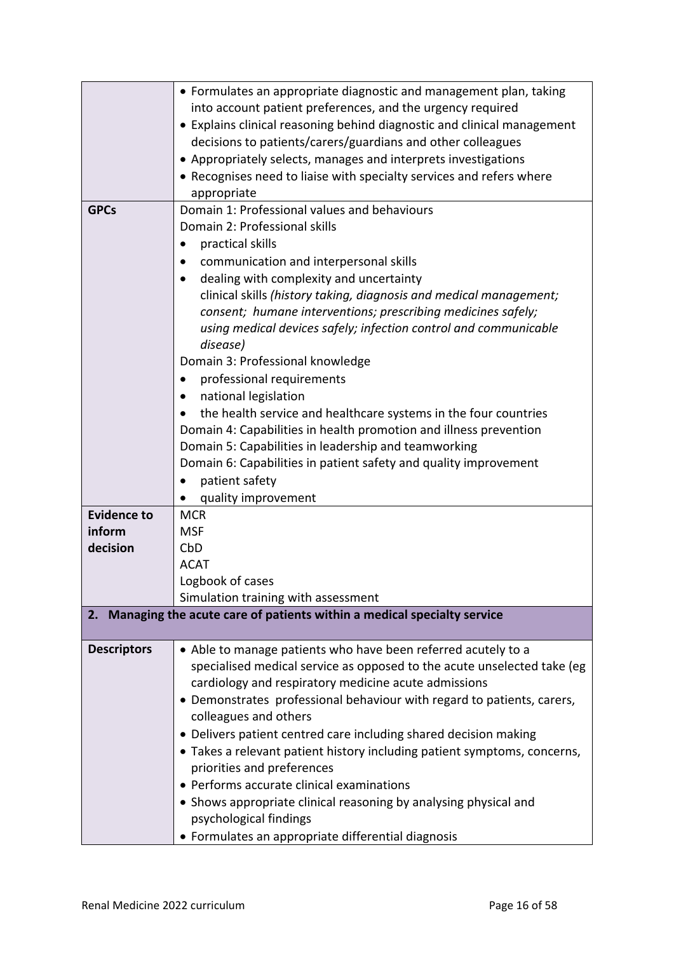|                    | • Formulates an appropriate diagnostic and management plan, taking        |
|--------------------|---------------------------------------------------------------------------|
|                    | into account patient preferences, and the urgency required                |
|                    | • Explains clinical reasoning behind diagnostic and clinical management   |
|                    | decisions to patients/carers/guardians and other colleagues               |
|                    | • Appropriately selects, manages and interprets investigations            |
|                    | • Recognises need to liaise with specialty services and refers where      |
|                    | appropriate                                                               |
| <b>GPCs</b>        | Domain 1: Professional values and behaviours                              |
|                    | Domain 2: Professional skills                                             |
|                    | practical skills                                                          |
|                    | communication and interpersonal skills                                    |
|                    | dealing with complexity and uncertainty<br>$\bullet$                      |
|                    | clinical skills (history taking, diagnosis and medical management;        |
|                    | consent; humane interventions; prescribing medicines safely;              |
|                    | using medical devices safely; infection control and communicable          |
|                    | disease)                                                                  |
|                    | Domain 3: Professional knowledge                                          |
|                    | professional requirements                                                 |
|                    | national legislation                                                      |
|                    | the health service and healthcare systems in the four countries           |
|                    | Domain 4: Capabilities in health promotion and illness prevention         |
|                    | Domain 5: Capabilities in leadership and teamworking                      |
|                    | Domain 6: Capabilities in patient safety and quality improvement          |
|                    | patient safety                                                            |
|                    | quality improvement                                                       |
| <b>Evidence to</b> | <b>MCR</b>                                                                |
| inform             | <b>MSF</b>                                                                |
| decision           | CbD                                                                       |
|                    | <b>ACAT</b>                                                               |
|                    | Logbook of cases                                                          |
|                    | Simulation training with assessment                                       |
|                    | 2. Managing the acute care of patients within a medical specialty service |
| <b>Descriptors</b> | • Able to manage patients who have been referred acutely to a             |
|                    | specialised medical service as opposed to the acute unselected take (eg   |
|                    | cardiology and respiratory medicine acute admissions                      |
|                    | • Demonstrates professional behaviour with regard to patients, carers,    |
|                    | colleagues and others                                                     |
|                    | • Delivers patient centred care including shared decision making          |
|                    | • Takes a relevant patient history including patient symptoms, concerns,  |
|                    | priorities and preferences                                                |
|                    | • Performs accurate clinical examinations                                 |
|                    | • Shows appropriate clinical reasoning by analysing physical and          |
|                    | psychological findings                                                    |
|                    | • Formulates an appropriate differential diagnosis                        |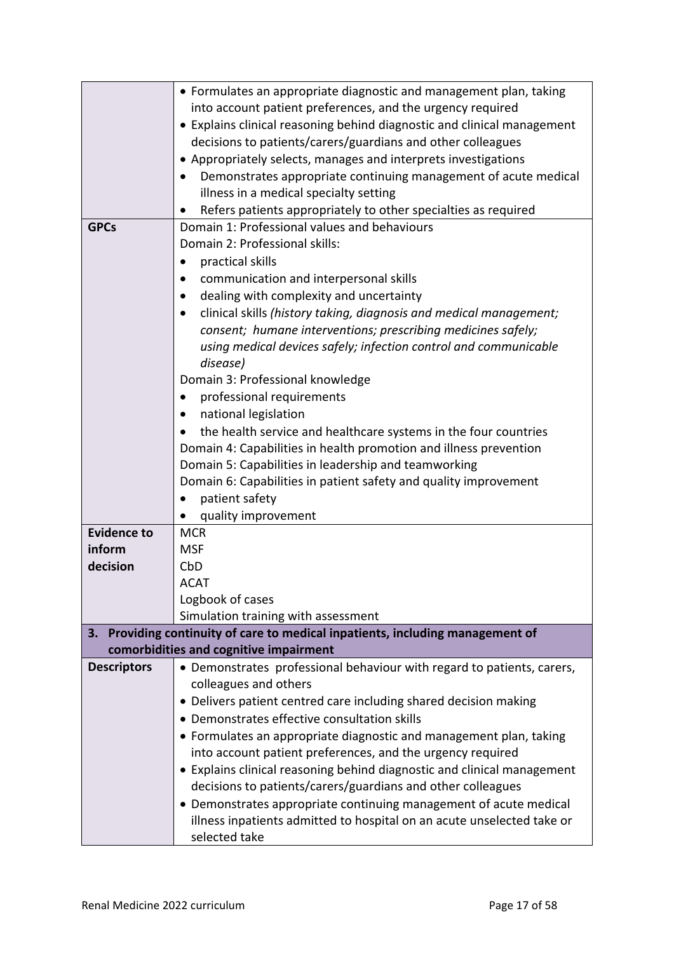|                    | • Formulates an appropriate diagnostic and management plan, taking                                                               |
|--------------------|----------------------------------------------------------------------------------------------------------------------------------|
|                    | into account patient preferences, and the urgency required                                                                       |
|                    | • Explains clinical reasoning behind diagnostic and clinical management                                                          |
|                    | decisions to patients/carers/guardians and other colleagues                                                                      |
|                    | • Appropriately selects, manages and interprets investigations                                                                   |
|                    | Demonstrates appropriate continuing management of acute medical                                                                  |
|                    | illness in a medical specialty setting                                                                                           |
|                    | Refers patients appropriately to other specialties as required                                                                   |
| <b>GPCs</b>        | Domain 1: Professional values and behaviours                                                                                     |
|                    | Domain 2: Professional skills:                                                                                                   |
|                    | practical skills                                                                                                                 |
|                    | communication and interpersonal skills                                                                                           |
|                    | dealing with complexity and uncertainty<br>$\bullet$                                                                             |
|                    | clinical skills (history taking, diagnosis and medical management;                                                               |
|                    | consent; humane interventions; prescribing medicines safely;                                                                     |
|                    | using medical devices safely; infection control and communicable                                                                 |
|                    | disease)                                                                                                                         |
|                    | Domain 3: Professional knowledge                                                                                                 |
|                    | professional requirements<br>٠                                                                                                   |
|                    | national legislation                                                                                                             |
|                    | the health service and healthcare systems in the four countries                                                                  |
|                    | Domain 4: Capabilities in health promotion and illness prevention                                                                |
|                    | Domain 5: Capabilities in leadership and teamworking                                                                             |
|                    | Domain 6: Capabilities in patient safety and quality improvement                                                                 |
|                    | patient safety<br>$\bullet$                                                                                                      |
|                    | quality improvement                                                                                                              |
| <b>Evidence to</b> | <b>MCR</b>                                                                                                                       |
| inform             | <b>MSF</b>                                                                                                                       |
| decision           | CbD                                                                                                                              |
|                    | <b>ACAT</b>                                                                                                                      |
|                    | Logbook of cases                                                                                                                 |
|                    | Simulation training with assessment                                                                                              |
|                    | 3. Providing continuity of care to medical inpatients, including management of                                                   |
| <b>Descriptors</b> | comorbidities and cognitive impairment<br>• Demonstrates professional behaviour with regard to patients, carers,                 |
|                    | colleagues and others                                                                                                            |
|                    | • Delivers patient centred care including shared decision making                                                                 |
|                    | • Demonstrates effective consultation skills                                                                                     |
|                    |                                                                                                                                  |
|                    | • Formulates an appropriate diagnostic and management plan, taking<br>into account patient preferences, and the urgency required |
|                    | • Explains clinical reasoning behind diagnostic and clinical management                                                          |
|                    | decisions to patients/carers/guardians and other colleagues                                                                      |
|                    | • Demonstrates appropriate continuing management of acute medical                                                                |
|                    | illness inpatients admitted to hospital on an acute unselected take or                                                           |
|                    | selected take                                                                                                                    |
|                    |                                                                                                                                  |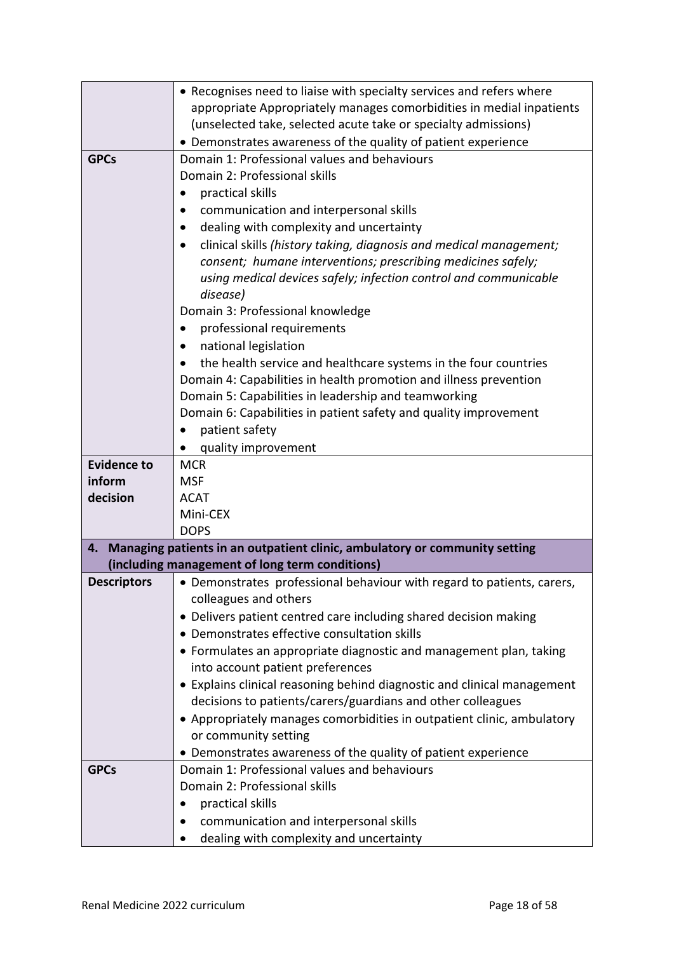|                              | • Recognises need to liaise with specialty services and refers where       |
|------------------------------|----------------------------------------------------------------------------|
|                              | appropriate Appropriately manages comorbidities in medial inpatients       |
|                              | (unselected take, selected acute take or specialty admissions)             |
|                              | • Demonstrates awareness of the quality of patient experience              |
| <b>GPCs</b>                  | Domain 1: Professional values and behaviours                               |
|                              | Domain 2: Professional skills                                              |
|                              | practical skills                                                           |
|                              | communication and interpersonal skills                                     |
|                              | dealing with complexity and uncertainty                                    |
|                              | clinical skills (history taking, diagnosis and medical management;         |
|                              | consent; humane interventions; prescribing medicines safely;               |
|                              | using medical devices safely; infection control and communicable           |
|                              | disease)                                                                   |
|                              | Domain 3: Professional knowledge                                           |
|                              | professional requirements<br>$\bullet$                                     |
|                              | national legislation                                                       |
|                              | the health service and healthcare systems in the four countries            |
|                              | Domain 4: Capabilities in health promotion and illness prevention          |
|                              | Domain 5: Capabilities in leadership and teamworking                       |
|                              | Domain 6: Capabilities in patient safety and quality improvement           |
|                              | patient safety                                                             |
|                              | quality improvement                                                        |
| <b>Evidence to</b><br>inform | <b>MCR</b><br><b>MSF</b>                                                   |
| decision                     | <b>ACAT</b>                                                                |
|                              | Mini-CEX                                                                   |
|                              | <b>DOPS</b>                                                                |
| 4.                           | Managing patients in an outpatient clinic, ambulatory or community setting |
|                              | (including management of long term conditions)                             |
| <b>Descriptors</b>           | • Demonstrates professional behaviour with regard to patients, carers,     |
|                              | colleagues and others                                                      |
|                              | • Delivers patient centred care including shared decision making           |
|                              | • Demonstrates effective consultation skills                               |
|                              | • Formulates an appropriate diagnostic and management plan, taking         |
|                              | into account patient preferences                                           |
|                              | • Explains clinical reasoning behind diagnostic and clinical management    |
|                              | decisions to patients/carers/guardians and other colleagues                |
|                              | • Appropriately manages comorbidities in outpatient clinic, ambulatory     |
|                              | or community setting                                                       |
|                              | • Demonstrates awareness of the quality of patient experience              |
| <b>GPCs</b>                  | Domain 1: Professional values and behaviours                               |
|                              | Domain 2: Professional skills                                              |
|                              | practical skills                                                           |
|                              | communication and interpersonal skills                                     |
|                              | dealing with complexity and uncertainty                                    |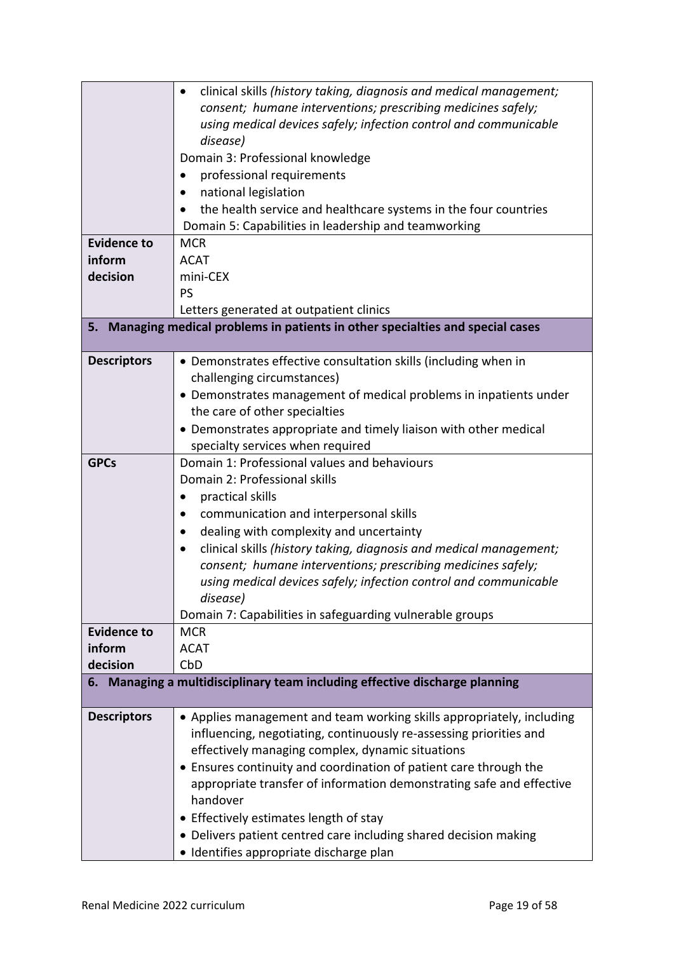|                    | clinical skills (history taking, diagnosis and medical management;<br>٠      |
|--------------------|------------------------------------------------------------------------------|
|                    | consent; humane interventions; prescribing medicines safely;                 |
|                    | using medical devices safely; infection control and communicable             |
|                    | disease)                                                                     |
|                    | Domain 3: Professional knowledge                                             |
|                    | professional requirements                                                    |
|                    | national legislation                                                         |
|                    | the health service and healthcare systems in the four countries              |
|                    | Domain 5: Capabilities in leadership and teamworking                         |
| <b>Evidence to</b> | <b>MCR</b>                                                                   |
| inform             | <b>ACAT</b>                                                                  |
| decision           | mini-CEX                                                                     |
|                    | PS                                                                           |
|                    | Letters generated at outpatient clinics                                      |
| 5.                 | Managing medical problems in patients in other specialties and special cases |
|                    |                                                                              |
| <b>Descriptors</b> | • Demonstrates effective consultation skills (including when in              |
|                    | challenging circumstances)                                                   |
|                    | • Demonstrates management of medical problems in inpatients under            |
|                    | the care of other specialties                                                |
|                    | • Demonstrates appropriate and timely liaison with other medical             |
|                    | specialty services when required                                             |
| <b>GPCs</b>        | Domain 1: Professional values and behaviours                                 |
|                    | Domain 2: Professional skills                                                |
|                    | practical skills                                                             |
|                    | communication and interpersonal skills                                       |
|                    | dealing with complexity and uncertainty<br>$\bullet$                         |
|                    | clinical skills (history taking, diagnosis and medical management;           |
|                    | consent; humane interventions; prescribing medicines safely;                 |
|                    | using medical devices safely; infection control and communicable             |
|                    | disease)                                                                     |
|                    | Domain 7: Capabilities in safeguarding vulnerable groups                     |
| <b>Evidence to</b> | <b>MCR</b>                                                                   |
| inform             | <b>ACAT</b>                                                                  |
| decision           | CbD                                                                          |
|                    | 6. Managing a multidisciplinary team including effective discharge planning  |
| <b>Descriptors</b> | • Applies management and team working skills appropriately, including        |
|                    | influencing, negotiating, continuously re-assessing priorities and           |
|                    | effectively managing complex, dynamic situations                             |
|                    | • Ensures continuity and coordination of patient care through the            |
|                    | appropriate transfer of information demonstrating safe and effective         |
|                    | handover                                                                     |
|                    | • Effectively estimates length of stay                                       |
|                    | • Delivers patient centred care including shared decision making             |
|                    | · Identifies appropriate discharge plan                                      |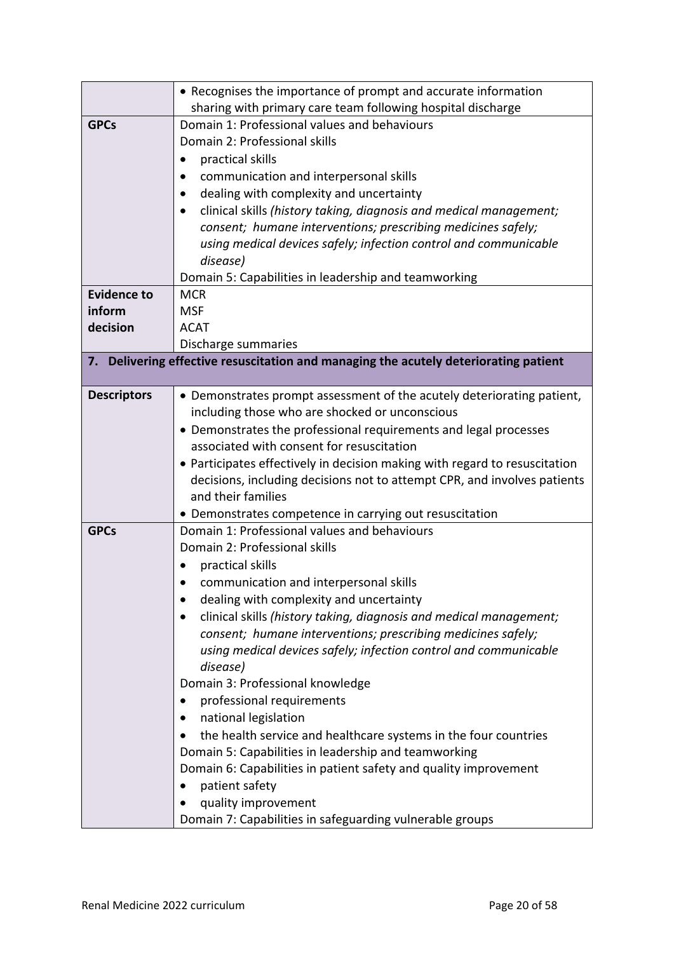|                    | • Recognises the importance of prompt and accurate information                       |  |
|--------------------|--------------------------------------------------------------------------------------|--|
|                    | sharing with primary care team following hospital discharge                          |  |
| <b>GPCs</b>        | Domain 1: Professional values and behaviours                                         |  |
|                    | Domain 2: Professional skills                                                        |  |
|                    | practical skills                                                                     |  |
|                    | communication and interpersonal skills                                               |  |
|                    | dealing with complexity and uncertainty                                              |  |
|                    | clinical skills (history taking, diagnosis and medical management;                   |  |
|                    | consent; humane interventions; prescribing medicines safely;                         |  |
|                    | using medical devices safely; infection control and communicable                     |  |
|                    | disease)                                                                             |  |
|                    | Domain 5: Capabilities in leadership and teamworking                                 |  |
| <b>Evidence to</b> | <b>MCR</b>                                                                           |  |
| inform             | <b>MSF</b>                                                                           |  |
| decision           | <b>ACAT</b>                                                                          |  |
|                    | Discharge summaries                                                                  |  |
|                    | 7. Delivering effective resuscitation and managing the acutely deteriorating patient |  |
| <b>Descriptors</b> | • Demonstrates prompt assessment of the acutely deteriorating patient,               |  |
|                    | including those who are shocked or unconscious                                       |  |
|                    | • Demonstrates the professional requirements and legal processes                     |  |
|                    | associated with consent for resuscitation                                            |  |
|                    | • Participates effectively in decision making with regard to resuscitation           |  |
|                    | decisions, including decisions not to attempt CPR, and involves patients             |  |
|                    | and their families                                                                   |  |
|                    | • Demonstrates competence in carrying out resuscitation                              |  |
| <b>GPCs</b>        | Domain 1: Professional values and behaviours                                         |  |
|                    | Domain 2: Professional skills                                                        |  |
|                    | practical skills                                                                     |  |
|                    | communication and interpersonal skills                                               |  |
|                    | dealing with complexity and uncertainty                                              |  |
|                    | clinical skills (history taking, diagnosis and medical management;                   |  |
|                    | consent; humane interventions; prescribing medicines safely;                         |  |
|                    | using medical devices safely; infection control and communicable                     |  |
|                    | disease)                                                                             |  |
|                    | Domain 3: Professional knowledge                                                     |  |
|                    | professional requirements                                                            |  |
|                    | national legislation                                                                 |  |
|                    | the health service and healthcare systems in the four countries                      |  |
|                    | Domain 5: Capabilities in leadership and teamworking                                 |  |
|                    | Domain 6: Capabilities in patient safety and quality improvement                     |  |
|                    | patient safety<br>$\bullet$                                                          |  |
|                    | quality improvement                                                                  |  |
|                    | Domain 7: Capabilities in safeguarding vulnerable groups                             |  |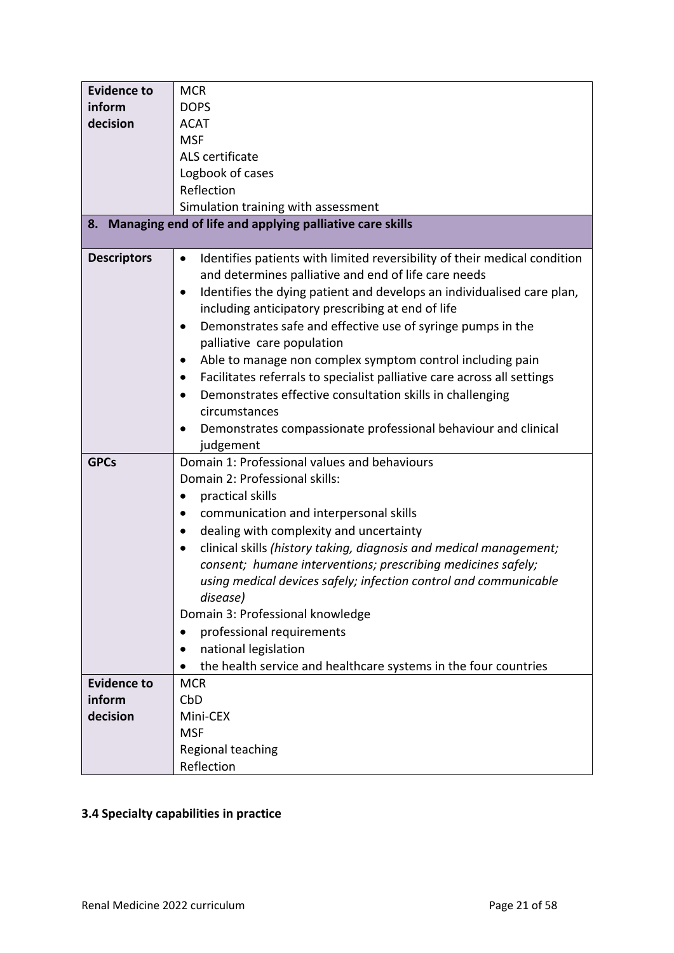| <b>Evidence to</b> | <b>MCR</b>                                                                             |
|--------------------|----------------------------------------------------------------------------------------|
| inform             | <b>DOPS</b>                                                                            |
| decision           | <b>ACAT</b>                                                                            |
|                    | <b>MSF</b>                                                                             |
|                    | ALS certificate                                                                        |
|                    | Logbook of cases                                                                       |
|                    | Reflection                                                                             |
|                    | Simulation training with assessment                                                    |
| 8.                 | Managing end of life and applying palliative care skills                               |
|                    |                                                                                        |
| <b>Descriptors</b> | Identifies patients with limited reversibility of their medical condition<br>$\bullet$ |
|                    | and determines palliative and end of life care needs                                   |
|                    | Identifies the dying patient and develops an individualised care plan,<br>$\bullet$    |
|                    | including anticipatory prescribing at end of life                                      |
|                    | Demonstrates safe and effective use of syringe pumps in the<br>$\bullet$               |
|                    | palliative care population                                                             |
|                    | Able to manage non complex symptom control including pain<br>$\bullet$                 |
|                    | Facilitates referrals to specialist palliative care across all settings                |
|                    | Demonstrates effective consultation skills in challenging<br>$\bullet$                 |
|                    | circumstances                                                                          |
|                    | Demonstrates compassionate professional behaviour and clinical                         |
|                    | judgement                                                                              |
| <b>GPCs</b>        | Domain 1: Professional values and behaviours                                           |
|                    | Domain 2: Professional skills:                                                         |
|                    | practical skills                                                                       |
|                    | communication and interpersonal skills                                                 |
|                    | dealing with complexity and uncertainty<br>٠                                           |
|                    | clinical skills (history taking, diagnosis and medical management;<br>$\bullet$        |
|                    | consent; humane interventions; prescribing medicines safely;                           |
|                    | using medical devices safely; infection control and communicable                       |
|                    | disease)                                                                               |
|                    | Domain 3: Professional knowledge                                                       |
|                    | professional requirements<br>$\bullet$                                                 |
|                    | national legislation                                                                   |
|                    | the health service and healthcare systems in the four countries                        |
| <b>Evidence to</b> | <b>MCR</b>                                                                             |
| inform             | CbD                                                                                    |
| decision           | Mini-CEX                                                                               |
|                    | <b>MSF</b>                                                                             |
|                    | Regional teaching                                                                      |
|                    | Reflection                                                                             |

# <span id="page-20-0"></span>**3.4 Specialty capabilities in practice**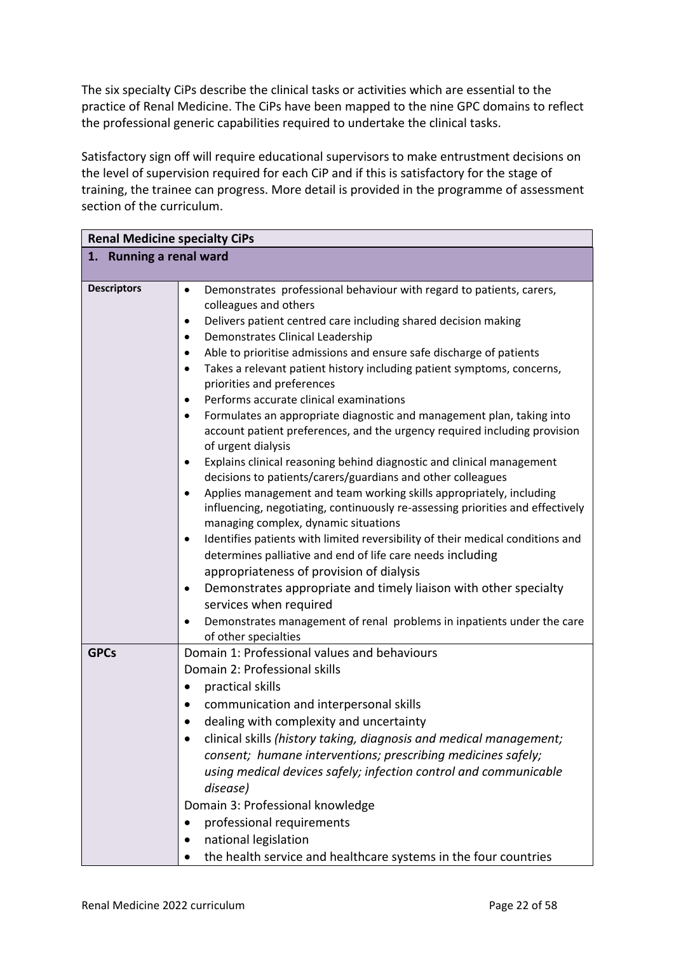The six specialty CiPs describe the clinical tasks or activities which are essential to the practice of Renal Medicine. The CiPs have been mapped to the nine GPC domains to reflect the professional generic capabilities required to undertake the clinical tasks.

Satisfactory sign off will require educational supervisors to make entrustment decisions on the level of supervision required for each CiP and if this is satisfactory for the stage of training, the trainee can progress. More detail is provided in the programme of assessment section of the curriculum.

| <b>Renal Medicine specialty CiPs</b> |                                                                                                                                                                                                                                                                                                                                                                                                                                                                                                                                                                                                                                                                                                                                                                                                                                                                                                                                                                                                                                                                                                                                                                                                                                                                                                                                                                                                                                                               |  |
|--------------------------------------|---------------------------------------------------------------------------------------------------------------------------------------------------------------------------------------------------------------------------------------------------------------------------------------------------------------------------------------------------------------------------------------------------------------------------------------------------------------------------------------------------------------------------------------------------------------------------------------------------------------------------------------------------------------------------------------------------------------------------------------------------------------------------------------------------------------------------------------------------------------------------------------------------------------------------------------------------------------------------------------------------------------------------------------------------------------------------------------------------------------------------------------------------------------------------------------------------------------------------------------------------------------------------------------------------------------------------------------------------------------------------------------------------------------------------------------------------------------|--|
| 1. Running a renal ward              |                                                                                                                                                                                                                                                                                                                                                                                                                                                                                                                                                                                                                                                                                                                                                                                                                                                                                                                                                                                                                                                                                                                                                                                                                                                                                                                                                                                                                                                               |  |
| <b>Descriptors</b>                   | Demonstrates professional behaviour with regard to patients, carers,<br>$\bullet$<br>colleagues and others<br>Delivers patient centred care including shared decision making<br>$\bullet$<br>Demonstrates Clinical Leadership<br>٠<br>Able to prioritise admissions and ensure safe discharge of patients<br>٠<br>Takes a relevant patient history including patient symptoms, concerns,<br>$\bullet$<br>priorities and preferences<br>Performs accurate clinical examinations<br>$\bullet$<br>Formulates an appropriate diagnostic and management plan, taking into<br>$\bullet$<br>account patient preferences, and the urgency required including provision<br>of urgent dialysis<br>Explains clinical reasoning behind diagnostic and clinical management<br>$\bullet$<br>decisions to patients/carers/guardians and other colleagues<br>Applies management and team working skills appropriately, including<br>٠<br>influencing, negotiating, continuously re-assessing priorities and effectively<br>managing complex, dynamic situations<br>Identifies patients with limited reversibility of their medical conditions and<br>$\bullet$<br>determines palliative and end of life care needs including<br>appropriateness of provision of dialysis<br>Demonstrates appropriate and timely liaison with other specialty<br>٠<br>services when required<br>Demonstrates management of renal problems in inpatients under the care<br>of other specialties |  |
| <b>GPCs</b>                          | Domain 1: Professional values and behaviours<br>Domain 2: Professional skills<br>practical skills<br>٠<br>communication and interpersonal skills<br>$\bullet$<br>dealing with complexity and uncertainty<br>٠<br>clinical skills (history taking, diagnosis and medical management;<br>consent; humane interventions; prescribing medicines safely;<br>using medical devices safely; infection control and communicable<br>disease)<br>Domain 3: Professional knowledge<br>professional requirements<br>$\bullet$<br>national legislation<br>the health service and healthcare systems in the four countries                                                                                                                                                                                                                                                                                                                                                                                                                                                                                                                                                                                                                                                                                                                                                                                                                                                  |  |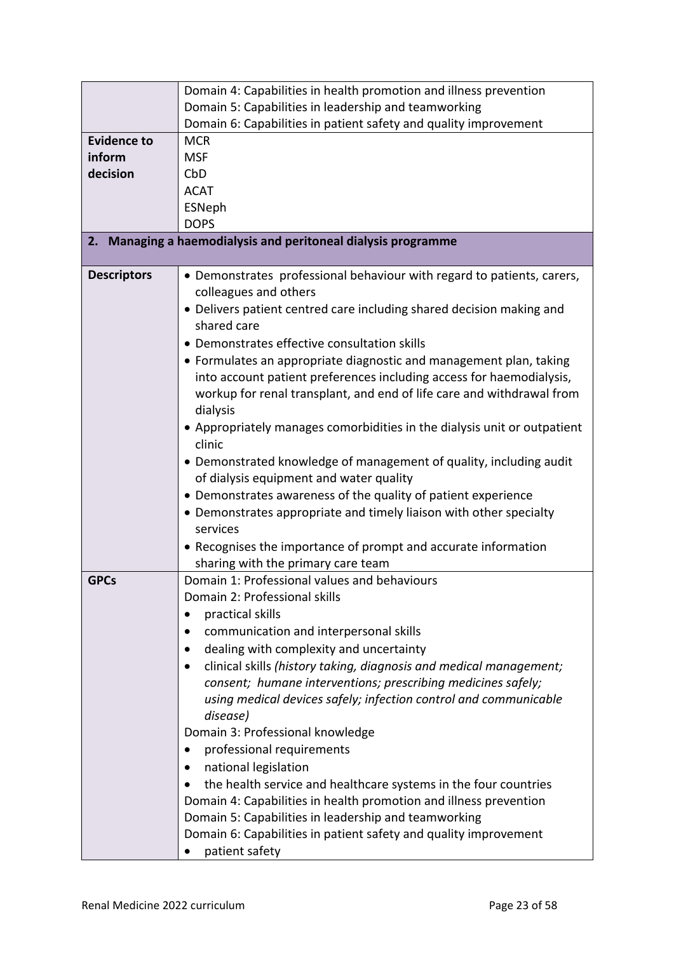|                    | Domain 4: Capabilities in health promotion and illness prevention               |
|--------------------|---------------------------------------------------------------------------------|
|                    | Domain 5: Capabilities in leadership and teamworking                            |
|                    | Domain 6: Capabilities in patient safety and quality improvement                |
| <b>Evidence to</b> | <b>MCR</b>                                                                      |
| inform             | <b>MSF</b>                                                                      |
| decision           | CbD                                                                             |
|                    | <b>ACAT</b>                                                                     |
|                    | ESNeph                                                                          |
|                    | <b>DOPS</b>                                                                     |
| 2.                 | Managing a haemodialysis and peritoneal dialysis programme                      |
|                    |                                                                                 |
| <b>Descriptors</b> | • Demonstrates professional behaviour with regard to patients, carers,          |
|                    | colleagues and others                                                           |
|                    | · Delivers patient centred care including shared decision making and            |
|                    | shared care                                                                     |
|                    | • Demonstrates effective consultation skills                                    |
|                    | • Formulates an appropriate diagnostic and management plan, taking              |
|                    | into account patient preferences including access for haemodialysis,            |
|                    | workup for renal transplant, and end of life care and withdrawal from           |
|                    | dialysis                                                                        |
|                    | • Appropriately manages comorbidities in the dialysis unit or outpatient        |
|                    | clinic                                                                          |
|                    | • Demonstrated knowledge of management of quality, including audit              |
|                    | of dialysis equipment and water quality                                         |
|                    | • Demonstrates awareness of the quality of patient experience                   |
|                    | • Demonstrates appropriate and timely liaison with other specialty              |
|                    | services                                                                        |
|                    | • Recognises the importance of prompt and accurate information                  |
|                    | sharing with the primary care team                                              |
| <b>GPCs</b>        | Domain 1: Professional values and behaviours                                    |
|                    | Domain 2: Professional skills                                                   |
|                    | practical skills                                                                |
|                    | communication and interpersonal skills                                          |
|                    | dealing with complexity and uncertainty                                         |
|                    | clinical skills (history taking, diagnosis and medical management;<br>$\bullet$ |
|                    | consent; humane interventions; prescribing medicines safely;                    |
|                    | using medical devices safely; infection control and communicable                |
|                    | disease)                                                                        |
|                    | Domain 3: Professional knowledge                                                |
|                    | professional requirements                                                       |
|                    | national legislation                                                            |
|                    | the health service and healthcare systems in the four countries                 |
|                    | Domain 4: Capabilities in health promotion and illness prevention               |
|                    | Domain 5: Capabilities in leadership and teamworking                            |
|                    | Domain 6: Capabilities in patient safety and quality improvement                |
|                    | patient safety                                                                  |
|                    |                                                                                 |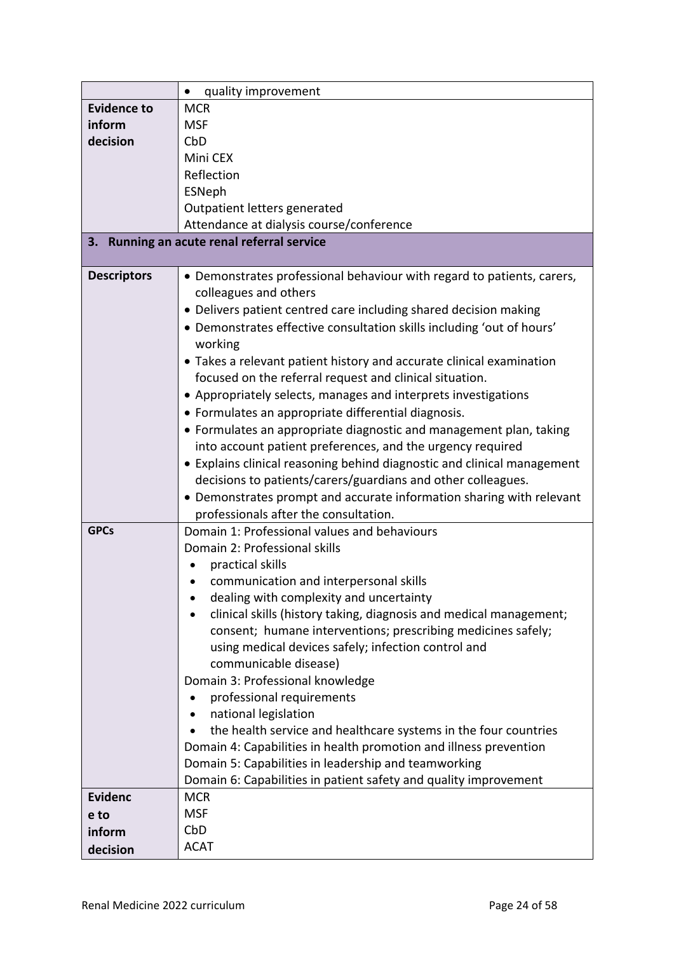|                    | quality improvement<br>$\bullet$                                        |
|--------------------|-------------------------------------------------------------------------|
| <b>Evidence to</b> | <b>MCR</b>                                                              |
| inform             | <b>MSF</b>                                                              |
| decision           | CbD                                                                     |
|                    | Mini CEX                                                                |
|                    | Reflection                                                              |
|                    | ESNeph                                                                  |
|                    | Outpatient letters generated                                            |
|                    | Attendance at dialysis course/conference                                |
|                    | 3. Running an acute renal referral service                              |
|                    |                                                                         |
| <b>Descriptors</b> | • Demonstrates professional behaviour with regard to patients, carers,  |
|                    | colleagues and others                                                   |
|                    | • Delivers patient centred care including shared decision making        |
|                    | • Demonstrates effective consultation skills including 'out of hours'   |
|                    | working                                                                 |
|                    | • Takes a relevant patient history and accurate clinical examination    |
|                    | focused on the referral request and clinical situation.                 |
|                    | • Appropriately selects, manages and interprets investigations          |
|                    | • Formulates an appropriate differential diagnosis.                     |
|                    | • Formulates an appropriate diagnostic and management plan, taking      |
|                    | into account patient preferences, and the urgency required              |
|                    | • Explains clinical reasoning behind diagnostic and clinical management |
|                    | decisions to patients/carers/guardians and other colleagues.            |
|                    | • Demonstrates prompt and accurate information sharing with relevant    |
|                    | professionals after the consultation.                                   |
| <b>GPCs</b>        | Domain 1: Professional values and behaviours                            |
|                    | Domain 2: Professional skills                                           |
|                    | practical skills                                                        |
|                    | communication and interpersonal skills                                  |
|                    | dealing with complexity and uncertainty                                 |
|                    | clinical skills (history taking, diagnosis and medical management;      |
|                    | consent; humane interventions; prescribing medicines safely;            |
|                    | using medical devices safely; infection control and                     |
|                    | communicable disease)                                                   |
|                    | Domain 3: Professional knowledge                                        |
|                    | professional requirements<br>$\bullet$                                  |
|                    | national legislation                                                    |
|                    | the health service and healthcare systems in the four countries         |
|                    | Domain 4: Capabilities in health promotion and illness prevention       |
|                    | Domain 5: Capabilities in leadership and teamworking                    |
|                    | Domain 6: Capabilities in patient safety and quality improvement        |
| <b>Evidenc</b>     | <b>MCR</b>                                                              |
| e to               | <b>MSF</b>                                                              |
| inform             | CbD                                                                     |
| decision           | <b>ACAT</b>                                                             |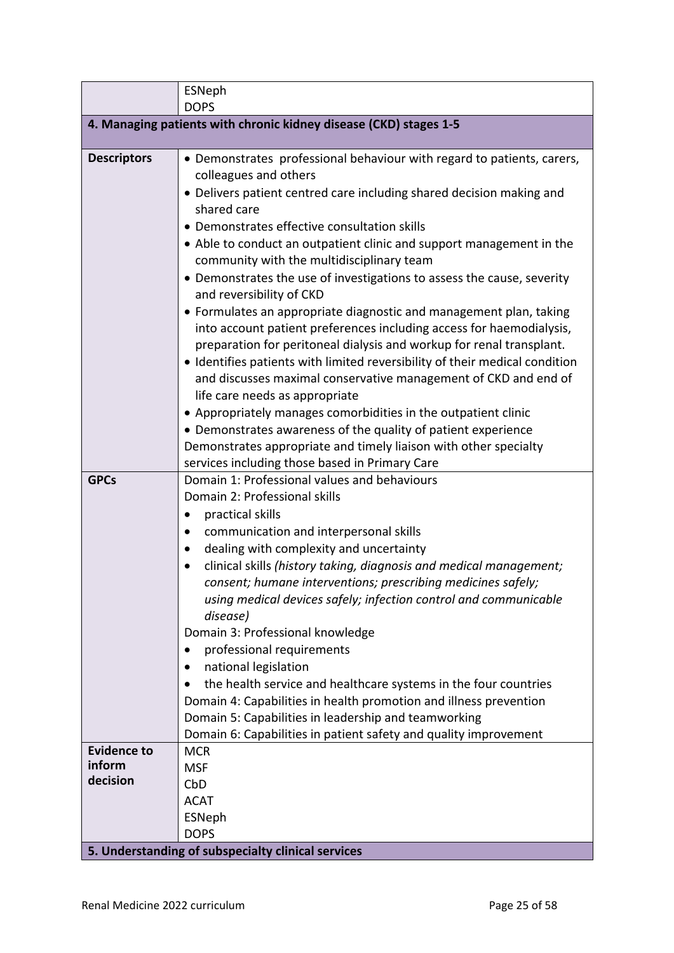|                                                                   | <b>ESNeph</b>                                                                                                                     |  |  |
|-------------------------------------------------------------------|-----------------------------------------------------------------------------------------------------------------------------------|--|--|
|                                                                   | <b>DOPS</b>                                                                                                                       |  |  |
| 4. Managing patients with chronic kidney disease (CKD) stages 1-5 |                                                                                                                                   |  |  |
| <b>Descriptors</b>                                                | • Demonstrates professional behaviour with regard to patients, carers,                                                            |  |  |
|                                                                   | colleagues and others                                                                                                             |  |  |
|                                                                   | • Delivers patient centred care including shared decision making and                                                              |  |  |
|                                                                   | shared care                                                                                                                       |  |  |
|                                                                   | • Demonstrates effective consultation skills                                                                                      |  |  |
|                                                                   | • Able to conduct an outpatient clinic and support management in the                                                              |  |  |
|                                                                   | community with the multidisciplinary team                                                                                         |  |  |
|                                                                   | • Demonstrates the use of investigations to assess the cause, severity                                                            |  |  |
|                                                                   | and reversibility of CKD                                                                                                          |  |  |
|                                                                   | • Formulates an appropriate diagnostic and management plan, taking                                                                |  |  |
|                                                                   | into account patient preferences including access for haemodialysis,                                                              |  |  |
|                                                                   | preparation for peritoneal dialysis and workup for renal transplant.                                                              |  |  |
|                                                                   | • Identifies patients with limited reversibility of their medical condition                                                       |  |  |
|                                                                   | and discusses maximal conservative management of CKD and end of                                                                   |  |  |
|                                                                   | life care needs as appropriate                                                                                                    |  |  |
|                                                                   | • Appropriately manages comorbidities in the outpatient clinic                                                                    |  |  |
|                                                                   | • Demonstrates awareness of the quality of patient experience<br>Demonstrates appropriate and timely liaison with other specialty |  |  |
|                                                                   | services including those based in Primary Care                                                                                    |  |  |
| <b>GPCs</b>                                                       | Domain 1: Professional values and behaviours                                                                                      |  |  |
|                                                                   | Domain 2: Professional skills                                                                                                     |  |  |
|                                                                   | practical skills                                                                                                                  |  |  |
|                                                                   | communication and interpersonal skills                                                                                            |  |  |
|                                                                   | dealing with complexity and uncertainty                                                                                           |  |  |
|                                                                   | clinical skills (history taking, diagnosis and medical management;<br>$\bullet$                                                   |  |  |
|                                                                   | consent; humane interventions; prescribing medicines safely;                                                                      |  |  |
|                                                                   | using medical devices safely; infection control and communicable                                                                  |  |  |
|                                                                   | disease)                                                                                                                          |  |  |
|                                                                   | Domain 3: Professional knowledge                                                                                                  |  |  |
|                                                                   | professional requirements<br>$\bullet$                                                                                            |  |  |
|                                                                   | national legislation                                                                                                              |  |  |
|                                                                   | the health service and healthcare systems in the four countries                                                                   |  |  |
|                                                                   | Domain 4: Capabilities in health promotion and illness prevention                                                                 |  |  |
|                                                                   | Domain 5: Capabilities in leadership and teamworking                                                                              |  |  |
|                                                                   | Domain 6: Capabilities in patient safety and quality improvement                                                                  |  |  |
| <b>Evidence to</b>                                                | <b>MCR</b>                                                                                                                        |  |  |
| inform                                                            | <b>MSF</b>                                                                                                                        |  |  |
| decision                                                          | CbD                                                                                                                               |  |  |
|                                                                   | <b>ACAT</b>                                                                                                                       |  |  |
|                                                                   | ESNeph                                                                                                                            |  |  |
|                                                                   | <b>DOPS</b>                                                                                                                       |  |  |
|                                                                   | 5. Understanding of subspecialty clinical services                                                                                |  |  |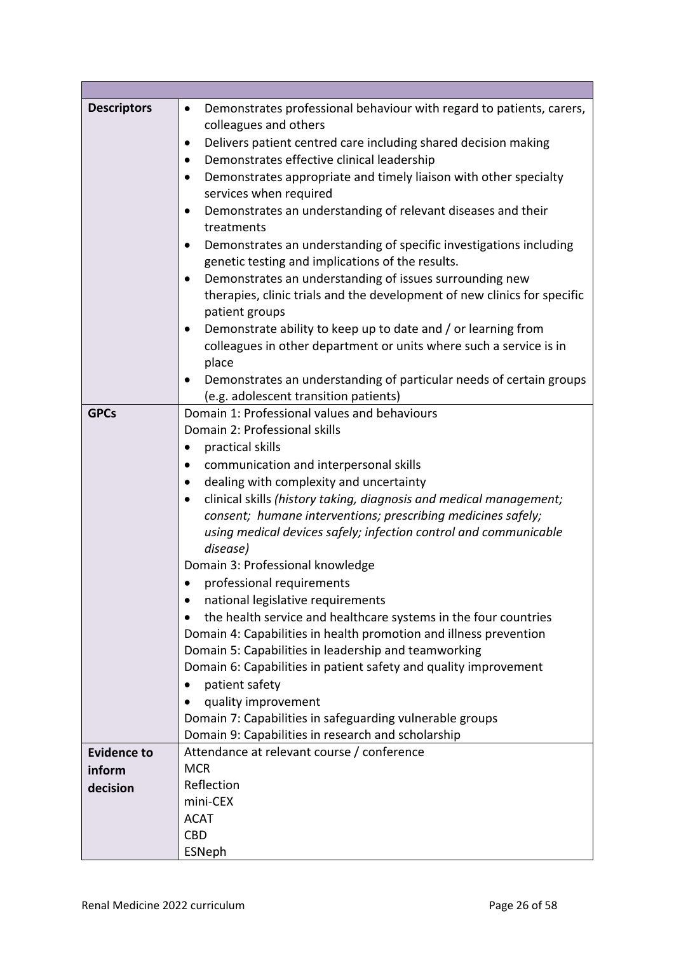| <b>Descriptors</b> | Demonstrates professional behaviour with regard to patients, carers,<br>$\bullet$                                                |  |  |
|--------------------|----------------------------------------------------------------------------------------------------------------------------------|--|--|
|                    | colleagues and others                                                                                                            |  |  |
|                    | Delivers patient centred care including shared decision making                                                                   |  |  |
|                    | Demonstrates effective clinical leadership                                                                                       |  |  |
|                    | Demonstrates appropriate and timely liaison with other specialty<br>$\bullet$                                                    |  |  |
|                    | services when required                                                                                                           |  |  |
|                    | Demonstrates an understanding of relevant diseases and their<br>٠<br>treatments                                                  |  |  |
|                    | Demonstrates an understanding of specific investigations including<br>٠                                                          |  |  |
|                    | genetic testing and implications of the results.                                                                                 |  |  |
|                    | Demonstrates an understanding of issues surrounding new<br>٠                                                                     |  |  |
|                    | therapies, clinic trials and the development of new clinics for specific                                                         |  |  |
|                    | patient groups                                                                                                                   |  |  |
|                    | Demonstrate ability to keep up to date and / or learning from                                                                    |  |  |
|                    | colleagues in other department or units where such a service is in                                                               |  |  |
|                    | place                                                                                                                            |  |  |
|                    | Demonstrates an understanding of particular needs of certain groups                                                              |  |  |
|                    | (e.g. adolescent transition patients)                                                                                            |  |  |
| <b>GPCs</b>        | Domain 1: Professional values and behaviours                                                                                     |  |  |
|                    | Domain 2: Professional skills                                                                                                    |  |  |
|                    | practical skills                                                                                                                 |  |  |
|                    | communication and interpersonal skills<br>dealing with complexity and uncertainty                                                |  |  |
|                    |                                                                                                                                  |  |  |
|                    | clinical skills (history taking, diagnosis and medical management;                                                               |  |  |
|                    | consent; humane interventions; prescribing medicines safely;<br>using medical devices safely; infection control and communicable |  |  |
|                    |                                                                                                                                  |  |  |
|                    | disease)                                                                                                                         |  |  |
|                    | Domain 3: Professional knowledge                                                                                                 |  |  |
|                    | professional requirements                                                                                                        |  |  |
|                    | national legislative requirements                                                                                                |  |  |
|                    | the health service and healthcare systems in the four countries                                                                  |  |  |
|                    | Domain 4: Capabilities in health promotion and illness prevention                                                                |  |  |
|                    | Domain 5: Capabilities in leadership and teamworking                                                                             |  |  |
|                    | Domain 6: Capabilities in patient safety and quality improvement                                                                 |  |  |
|                    | patient safety                                                                                                                   |  |  |
|                    | quality improvement                                                                                                              |  |  |
|                    | Domain 7: Capabilities in safeguarding vulnerable groups                                                                         |  |  |
|                    | Domain 9: Capabilities in research and scholarship                                                                               |  |  |
| <b>Evidence to</b> | Attendance at relevant course / conference                                                                                       |  |  |
| inform             | <b>MCR</b>                                                                                                                       |  |  |
| decision           | Reflection<br>mini-CEX                                                                                                           |  |  |
|                    | <b>ACAT</b>                                                                                                                      |  |  |
|                    | <b>CBD</b>                                                                                                                       |  |  |
|                    | ESNeph                                                                                                                           |  |  |
|                    |                                                                                                                                  |  |  |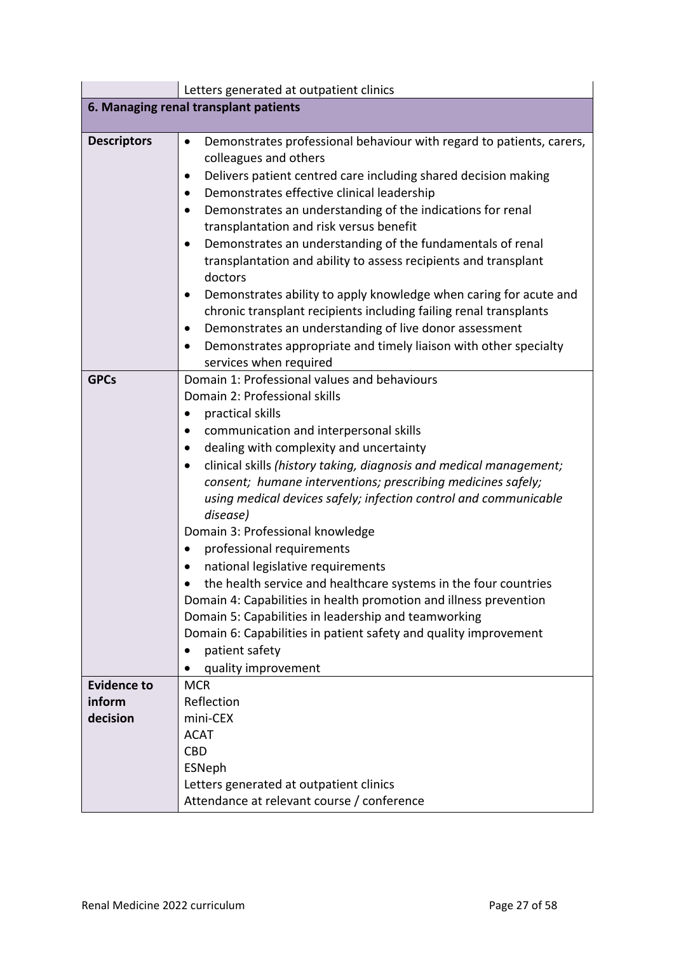|                                       | Letters generated at outpatient clinics                                                                                                                                                                                                                                                                                                                                                                                                                                                                                                                                                                                                                                                                                                                                         |  |  |
|---------------------------------------|---------------------------------------------------------------------------------------------------------------------------------------------------------------------------------------------------------------------------------------------------------------------------------------------------------------------------------------------------------------------------------------------------------------------------------------------------------------------------------------------------------------------------------------------------------------------------------------------------------------------------------------------------------------------------------------------------------------------------------------------------------------------------------|--|--|
| 6. Managing renal transplant patients |                                                                                                                                                                                                                                                                                                                                                                                                                                                                                                                                                                                                                                                                                                                                                                                 |  |  |
|                                       |                                                                                                                                                                                                                                                                                                                                                                                                                                                                                                                                                                                                                                                                                                                                                                                 |  |  |
| <b>Descriptors</b>                    | Demonstrates professional behaviour with regard to patients, carers,<br>$\bullet$<br>colleagues and others<br>Delivers patient centred care including shared decision making<br>Demonstrates effective clinical leadership<br>Demonstrates an understanding of the indications for renal<br>transplantation and risk versus benefit<br>Demonstrates an understanding of the fundamentals of renal<br>transplantation and ability to assess recipients and transplant<br>doctors<br>Demonstrates ability to apply knowledge when caring for acute and<br>chronic transplant recipients including failing renal transplants<br>Demonstrates an understanding of live donor assessment<br>Demonstrates appropriate and timely liaison with other specialty                         |  |  |
| <b>GPCs</b>                           | services when required<br>Domain 1: Professional values and behaviours                                                                                                                                                                                                                                                                                                                                                                                                                                                                                                                                                                                                                                                                                                          |  |  |
|                                       | Domain 2: Professional skills<br>practical skills<br>communication and interpersonal skills<br>dealing with complexity and uncertainty<br>clinical skills (history taking, diagnosis and medical management;<br>consent; humane interventions; prescribing medicines safely;<br>using medical devices safely; infection control and communicable<br>disease)<br>Domain 3: Professional knowledge<br>professional requirements<br>national legislative requirements<br>the health service and healthcare systems in the four countries<br>Domain 4: Capabilities in health promotion and illness prevention<br>Domain 5: Capabilities in leadership and teamworking<br>Domain 6: Capabilities in patient safety and quality improvement<br>patient safety<br>quality improvement |  |  |
| <b>Evidence to</b>                    | <b>MCR</b>                                                                                                                                                                                                                                                                                                                                                                                                                                                                                                                                                                                                                                                                                                                                                                      |  |  |
| inform                                | Reflection                                                                                                                                                                                                                                                                                                                                                                                                                                                                                                                                                                                                                                                                                                                                                                      |  |  |
| decision                              | mini-CEX                                                                                                                                                                                                                                                                                                                                                                                                                                                                                                                                                                                                                                                                                                                                                                        |  |  |
|                                       | <b>ACAT</b><br><b>CBD</b>                                                                                                                                                                                                                                                                                                                                                                                                                                                                                                                                                                                                                                                                                                                                                       |  |  |
|                                       | ESNeph                                                                                                                                                                                                                                                                                                                                                                                                                                                                                                                                                                                                                                                                                                                                                                          |  |  |
|                                       | Letters generated at outpatient clinics                                                                                                                                                                                                                                                                                                                                                                                                                                                                                                                                                                                                                                                                                                                                         |  |  |
|                                       | Attendance at relevant course / conference                                                                                                                                                                                                                                                                                                                                                                                                                                                                                                                                                                                                                                                                                                                                      |  |  |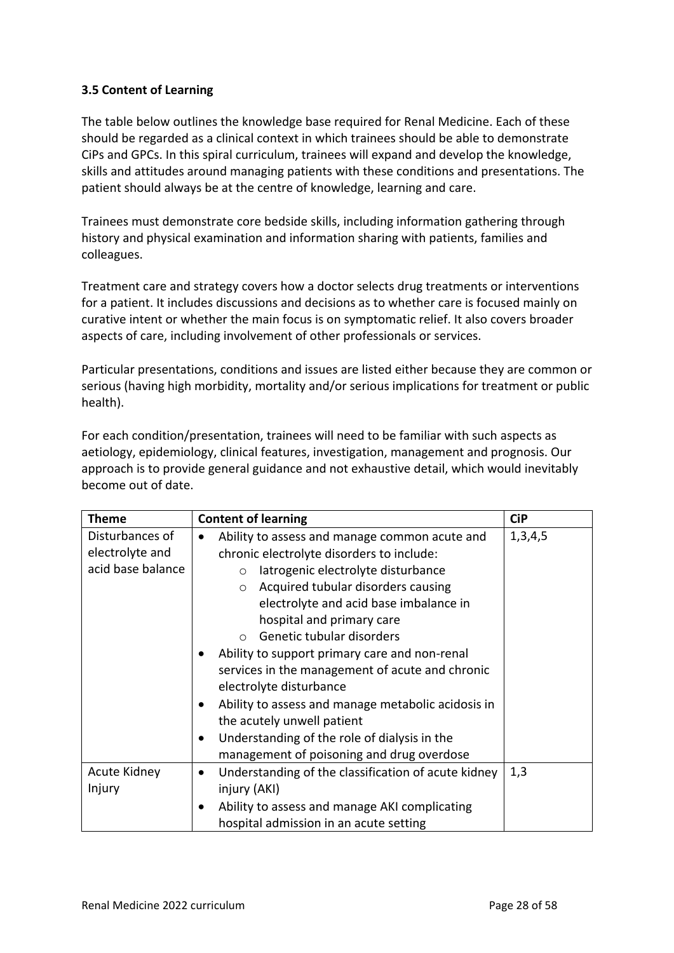### <span id="page-27-0"></span>**3.5 Content of Learning**

The table below outlines the knowledge base required for Renal Medicine. Each of these should be regarded as a clinical context in which trainees should be able to demonstrate CiPs and GPCs. In this spiral curriculum, trainees will expand and develop the knowledge, skills and attitudes around managing patients with these conditions and presentations. The patient should always be at the centre of knowledge, learning and care.

Trainees must demonstrate core bedside skills, including information gathering through history and physical examination and information sharing with patients, families and colleagues.

Treatment care and strategy covers how a doctor selects drug treatments or interventions for a patient. It includes discussions and decisions as to whether care is focused mainly on curative intent or whether the main focus is on symptomatic relief. It also covers broader aspects of care, including involvement of other professionals or services.

Particular presentations, conditions and issues are listed either because they are common or serious (having high morbidity, mortality and/or serious implications for treatment or public health).

For each condition/presentation, trainees will need to be familiar with such aspects as aetiology, epidemiology, clinical features, investigation, management and prognosis. Our approach is to provide general guidance and not exhaustive detail, which would inevitably become out of date.

| Theme             | <b>Content of learning</b>                                       | <b>CiP</b> |
|-------------------|------------------------------------------------------------------|------------|
| Disturbances of   | Ability to assess and manage common acute and                    | 1,3,4,5    |
| electrolyte and   | chronic electrolyte disorders to include:                        |            |
| acid base balance | latrogenic electrolyte disturbance<br>$\circ$                    |            |
|                   | Acquired tubular disorders causing<br>$\circ$                    |            |
|                   | electrolyte and acid base imbalance in                           |            |
|                   | hospital and primary care                                        |            |
|                   | Genetic tubular disorders<br>$\bigcap$                           |            |
|                   | Ability to support primary care and non-renal                    |            |
|                   | services in the management of acute and chronic                  |            |
|                   | electrolyte disturbance                                          |            |
|                   | Ability to assess and manage metabolic acidosis in<br>$\bullet$  |            |
|                   | the acutely unwell patient                                       |            |
|                   | Understanding of the role of dialysis in the<br>$\bullet$        |            |
|                   | management of poisoning and drug overdose                        |            |
| Acute Kidney      | Understanding of the classification of acute kidney<br>$\bullet$ | 1,3        |
| Injury            | injury (AKI)                                                     |            |
|                   | Ability to assess and manage AKI complicating<br>٠               |            |
|                   | hospital admission in an acute setting                           |            |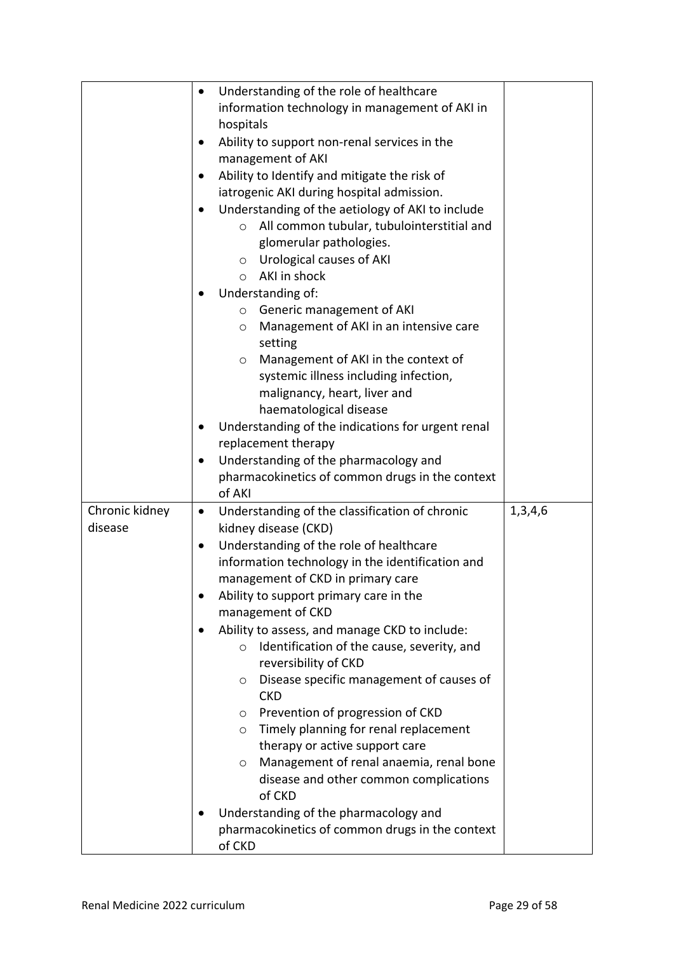| $\bullet$                   | Understanding of the role of healthcare               |         |
|-----------------------------|-------------------------------------------------------|---------|
|                             | information technology in management of AKI in        |         |
|                             | hospitals                                             |         |
|                             | Ability to support non-renal services in the          |         |
|                             | management of AKI                                     |         |
|                             | Ability to Identify and mitigate the risk of          |         |
|                             | iatrogenic AKI during hospital admission.             |         |
|                             | Understanding of the aetiology of AKI to include      |         |
|                             | All common tubular, tubulointerstitial and<br>$\circ$ |         |
|                             | glomerular pathologies.                               |         |
|                             | Urological causes of AKI<br>$\circ$                   |         |
|                             | AKI in shock<br>$\circ$                               |         |
|                             | Understanding of:                                     |         |
|                             | ○ Generic management of AKI                           |         |
|                             | Management of AKI in an intensive care<br>$\circ$     |         |
|                             | setting                                               |         |
|                             | Management of AKI in the context of<br>O              |         |
|                             | systemic illness including infection,                 |         |
|                             | malignancy, heart, liver and                          |         |
|                             | haematological disease                                |         |
|                             | Understanding of the indications for urgent renal     |         |
|                             | replacement therapy                                   |         |
|                             | Understanding of the pharmacology and                 |         |
|                             | pharmacokinetics of common drugs in the context       |         |
|                             | of AKI                                                |         |
| Chronic kidney<br>$\bullet$ | Understanding of the classification of chronic        | 1,3,4,6 |
| disease                     | kidney disease (CKD)                                  |         |
| $\bullet$                   | Understanding of the role of healthcare               |         |
|                             | information technology in the identification and      |         |
|                             | management of CKD in primary care                     |         |
|                             | Ability to support primary care in the                |         |
|                             | management of CKD                                     |         |
|                             | Ability to assess, and manage CKD to include:         |         |
|                             | Identification of the cause, severity, and<br>$\circ$ |         |
|                             | reversibility of CKD                                  |         |
|                             | Disease specific management of causes of<br>O         |         |
|                             | <b>CKD</b>                                            |         |
|                             | Prevention of progression of CKD<br>$\circ$           |         |
|                             | Timely planning for renal replacement<br>$\circ$      |         |
|                             | therapy or active support care                        |         |
|                             | Management of renal anaemia, renal bone<br>O          |         |
|                             | disease and other common complications<br>of CKD      |         |
|                             | Understanding of the pharmacology and                 |         |
|                             | pharmacokinetics of common drugs in the context       |         |
|                             | of CKD                                                |         |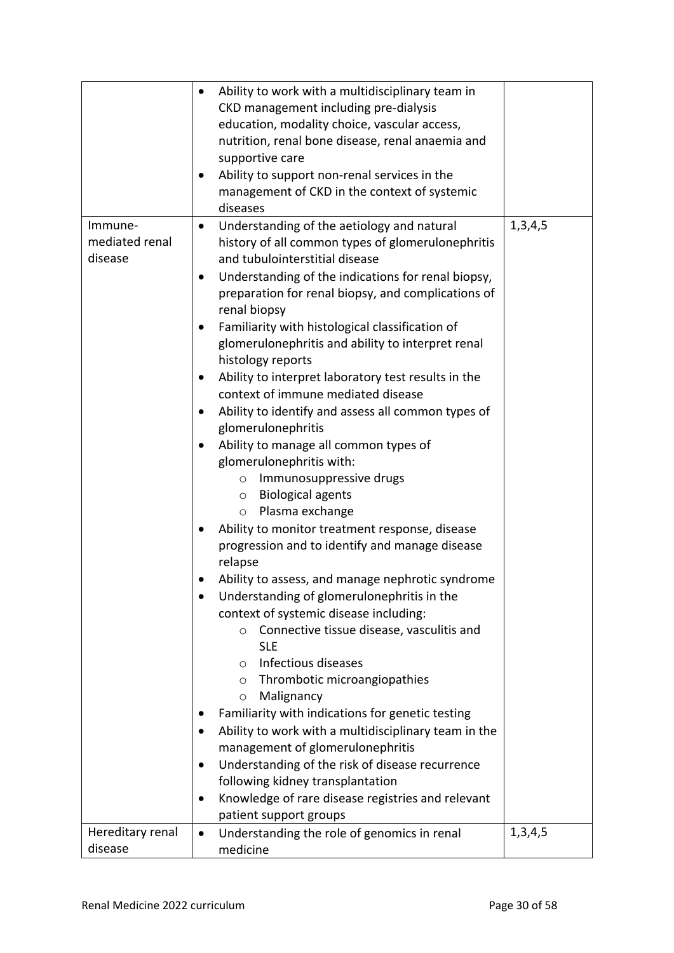|                  | Ability to work with a multidisciplinary team in<br>$\bullet$     |         |
|------------------|-------------------------------------------------------------------|---------|
|                  | CKD management including pre-dialysis                             |         |
|                  | education, modality choice, vascular access,                      |         |
|                  | nutrition, renal bone disease, renal anaemia and                  |         |
|                  |                                                                   |         |
|                  | supportive care                                                   |         |
|                  | Ability to support non-renal services in the<br>$\bullet$         |         |
|                  | management of CKD in the context of systemic                      |         |
|                  | diseases                                                          |         |
| Immune-          | Understanding of the aetiology and natural<br>$\bullet$           | 1,3,4,5 |
| mediated renal   | history of all common types of glomerulonephritis                 |         |
| disease          | and tubulointerstitial disease                                    |         |
|                  | Understanding of the indications for renal biopsy,<br>$\bullet$   |         |
|                  | preparation for renal biopsy, and complications of                |         |
|                  | renal biopsy                                                      |         |
|                  | Familiarity with histological classification of                   |         |
|                  | glomerulonephritis and ability to interpret renal                 |         |
|                  | histology reports                                                 |         |
|                  |                                                                   |         |
|                  | Ability to interpret laboratory test results in the<br>$\bullet$  |         |
|                  | context of immune mediated disease                                |         |
|                  | Ability to identify and assess all common types of<br>$\bullet$   |         |
|                  | glomerulonephritis                                                |         |
|                  | Ability to manage all common types of<br>$\bullet$                |         |
|                  | glomerulonephritis with:                                          |         |
|                  | Immunosuppressive drugs<br>$\circ$                                |         |
|                  | <b>Biological agents</b><br>$\circ$                               |         |
|                  | Plasma exchange<br>$\circ$                                        |         |
|                  | Ability to monitor treatment response, disease<br>$\bullet$       |         |
|                  | progression and to identify and manage disease                    |         |
|                  | relapse                                                           |         |
|                  | Ability to assess, and manage nephrotic syndrome                  |         |
|                  | Understanding of glomerulonephritis in the                        |         |
|                  | context of systemic disease including:                            |         |
|                  | Connective tissue disease, vasculitis and<br>$\circ$              |         |
|                  | <b>SLE</b>                                                        |         |
|                  | Infectious diseases<br>$\circ$                                    |         |
|                  |                                                                   |         |
|                  | Thrombotic microangiopathies<br>$\circ$                           |         |
|                  | Malignancy<br>$\circ$                                             |         |
|                  | Familiarity with indications for genetic testing                  |         |
|                  | Ability to work with a multidisciplinary team in the<br>$\bullet$ |         |
|                  | management of glomerulonephritis                                  |         |
|                  | Understanding of the risk of disease recurrence<br>$\bullet$      |         |
|                  | following kidney transplantation                                  |         |
|                  | Knowledge of rare disease registries and relevant<br>$\bullet$    |         |
|                  | patient support groups                                            |         |
| Hereditary renal | Understanding the role of genomics in renal<br>$\bullet$          | 1,3,4,5 |
| disease          | medicine                                                          |         |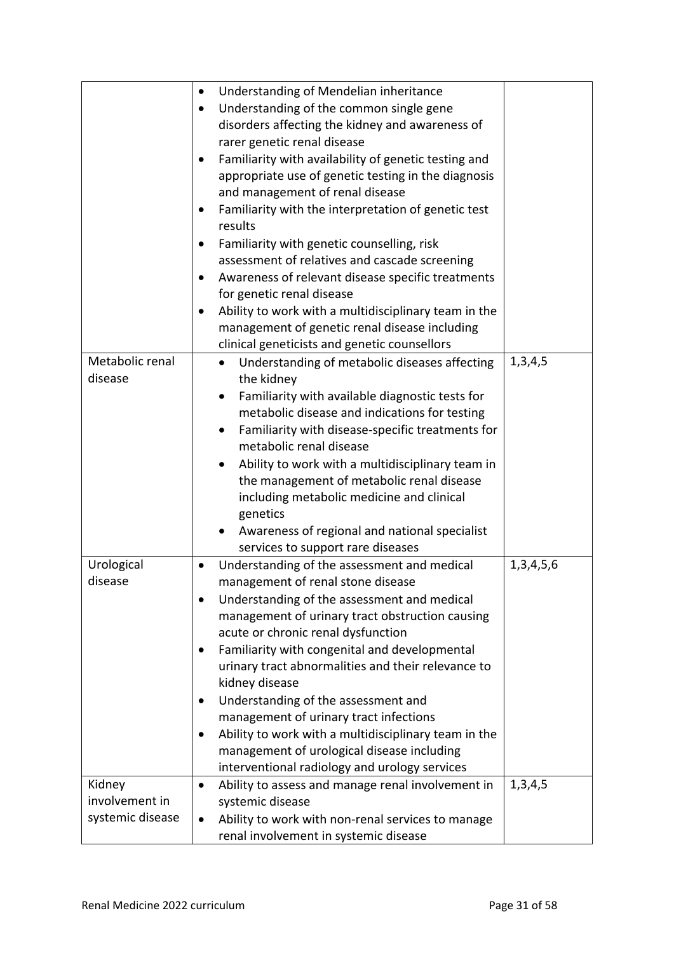|                  | Understanding of Mendelian inheritance<br>$\bullet$               |               |
|------------------|-------------------------------------------------------------------|---------------|
|                  | Understanding of the common single gene<br>$\bullet$              |               |
|                  | disorders affecting the kidney and awareness of                   |               |
|                  | rarer genetic renal disease                                       |               |
|                  | Familiarity with availability of genetic testing and<br>$\bullet$ |               |
|                  | appropriate use of genetic testing in the diagnosis               |               |
|                  | and management of renal disease                                   |               |
|                  | Familiarity with the interpretation of genetic test<br>٠          |               |
|                  | results                                                           |               |
|                  | Familiarity with genetic counselling, risk<br>٠                   |               |
|                  | assessment of relatives and cascade screening                     |               |
|                  | Awareness of relevant disease specific treatments                 |               |
|                  | for genetic renal disease                                         |               |
|                  | Ability to work with a multidisciplinary team in the<br>٠         |               |
|                  | management of genetic renal disease including                     |               |
|                  | clinical geneticists and genetic counsellors                      |               |
| Metabolic renal  | Understanding of metabolic diseases affecting<br>$\bullet$        | 1,3,4,5       |
| disease          | the kidney                                                        |               |
|                  | Familiarity with available diagnostic tests for<br>$\bullet$      |               |
|                  | metabolic disease and indications for testing                     |               |
|                  | Familiarity with disease-specific treatments for<br>$\bullet$     |               |
|                  | metabolic renal disease                                           |               |
|                  | Ability to work with a multidisciplinary team in                  |               |
|                  | the management of metabolic renal disease                         |               |
|                  | including metabolic medicine and clinical                         |               |
|                  | genetics                                                          |               |
|                  |                                                                   |               |
|                  | Awareness of regional and national specialist                     |               |
|                  | services to support rare diseases                                 |               |
| Urological       | Understanding of the assessment and medical<br>$\bullet$          | 1, 3, 4, 5, 6 |
| disease          | management of renal stone disease                                 |               |
|                  | Understanding of the assessment and medical<br>٠                  |               |
|                  | management of urinary tract obstruction causing                   |               |
|                  | acute or chronic renal dysfunction                                |               |
|                  | Familiarity with congenital and developmental<br>٠                |               |
|                  | urinary tract abnormalities and their relevance to                |               |
|                  | kidney disease                                                    |               |
|                  | Understanding of the assessment and<br>$\bullet$                  |               |
|                  | management of urinary tract infections                            |               |
|                  | Ability to work with a multidisciplinary team in the<br>$\bullet$ |               |
|                  | management of urological disease including                        |               |
|                  | interventional radiology and urology services                     |               |
| Kidney           | Ability to assess and manage renal involvement in<br>$\bullet$    | 1,3,4,5       |
| involvement in   | systemic disease                                                  |               |
| systemic disease | Ability to work with non-renal services to manage<br>$\bullet$    |               |
|                  |                                                                   |               |
|                  | renal involvement in systemic disease                             |               |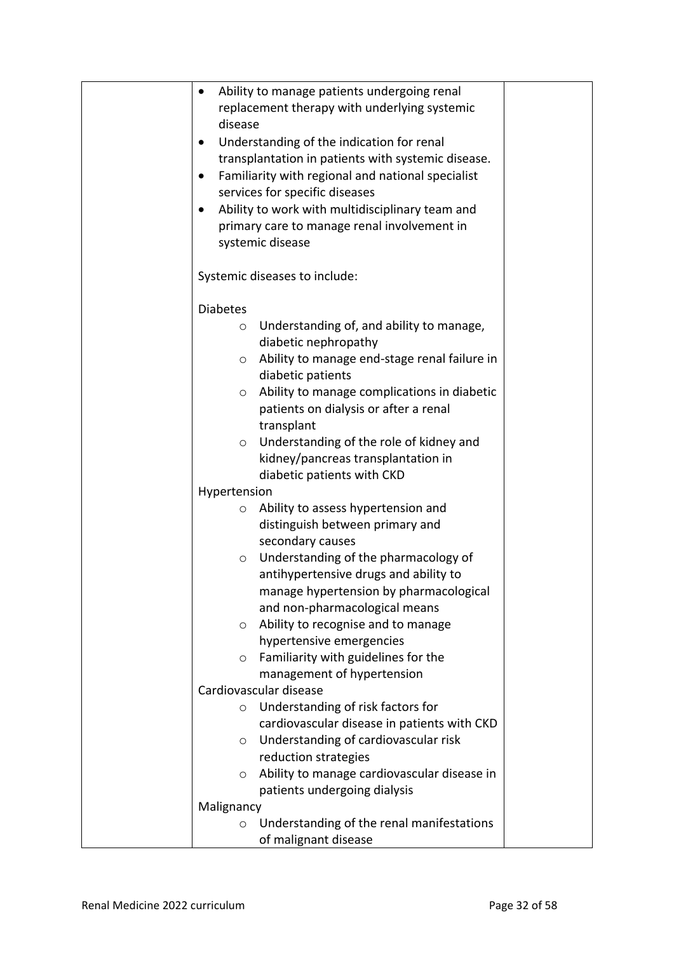| Ability to manage patients undergoing renal<br>$\bullet$<br>replacement therapy with underlying systemic<br>disease<br>Understanding of the indication for renal<br>$\bullet$<br>transplantation in patients with systemic disease.<br>Familiarity with regional and national specialist<br>$\bullet$<br>services for specific diseases<br>Ability to work with multidisciplinary team and<br>$\bullet$<br>primary care to manage renal involvement in<br>systemic disease |  |
|----------------------------------------------------------------------------------------------------------------------------------------------------------------------------------------------------------------------------------------------------------------------------------------------------------------------------------------------------------------------------------------------------------------------------------------------------------------------------|--|
| Systemic diseases to include:                                                                                                                                                                                                                                                                                                                                                                                                                                              |  |
| <b>Diabetes</b><br>Understanding of, and ability to manage,<br>$\circ$<br>diabetic nephropathy<br>Ability to manage end-stage renal failure in<br>$\circ$<br>diabetic patients<br>Ability to manage complications in diabetic<br>$\circ$<br>patients on dialysis or after a renal<br>transplant<br>Understanding of the role of kidney and<br>$\circ$<br>kidney/pancreas transplantation in                                                                                |  |
| diabetic patients with CKD                                                                                                                                                                                                                                                                                                                                                                                                                                                 |  |
| Hypertension                                                                                                                                                                                                                                                                                                                                                                                                                                                               |  |
| Ability to assess hypertension and<br>O<br>distinguish between primary and<br>secondary causes<br>Understanding of the pharmacology of<br>$\circ$<br>antihypertensive drugs and ability to<br>manage hypertension by pharmacological<br>and non-pharmacological means<br>Ability to recognise and to manage<br>O<br>hypertensive emergencies<br>Familiarity with guidelines for the<br>$\circ$<br>management of hypertension<br>Cardiovascular disease                     |  |
| Understanding of risk factors for<br>$\circ$                                                                                                                                                                                                                                                                                                                                                                                                                               |  |
| cardiovascular disease in patients with CKD<br>Understanding of cardiovascular risk<br>$\circ$<br>reduction strategies<br>Ability to manage cardiovascular disease in<br>$\circ$<br>patients undergoing dialysis                                                                                                                                                                                                                                                           |  |
| Malignancy                                                                                                                                                                                                                                                                                                                                                                                                                                                                 |  |
| Understanding of the renal manifestations<br>$\circ$<br>of malignant disease                                                                                                                                                                                                                                                                                                                                                                                               |  |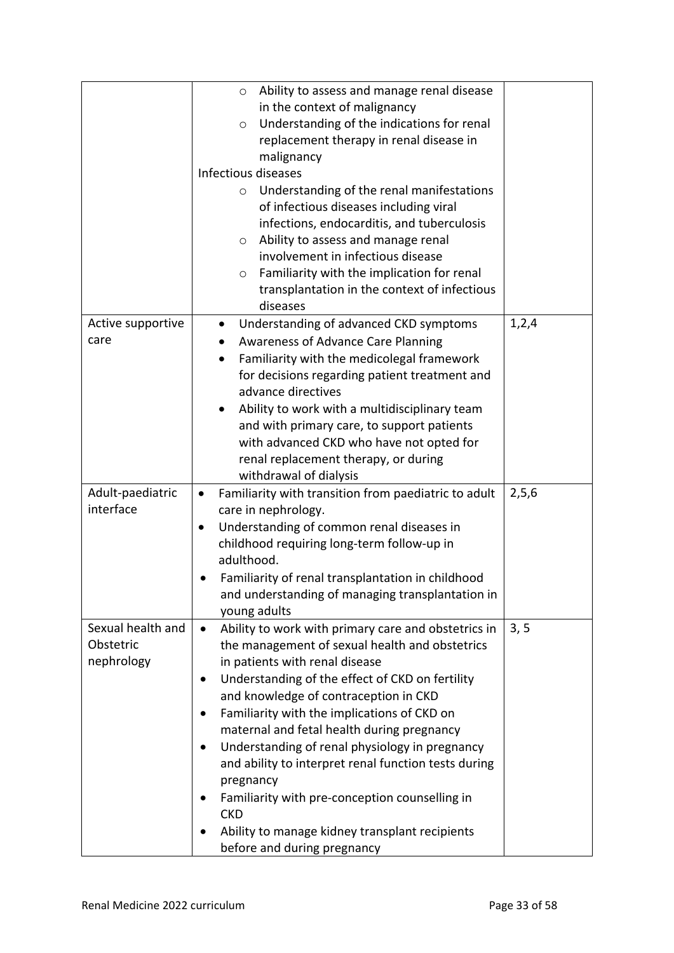|                                              | Ability to assess and manage renal disease<br>$\circ$<br>in the context of malignancy<br>Understanding of the indications for renal<br>$\circ$<br>replacement therapy in renal disease in<br>malignancy<br>Infectious diseases<br>Understanding of the renal manifestations<br>$\circ$<br>of infectious diseases including viral<br>infections, endocarditis, and tuberculosis<br>Ability to assess and manage renal<br>O<br>involvement in infectious disease<br>Familiarity with the implication for renal<br>$\circ$<br>transplantation in the context of infectious<br>diseases                                                |       |
|----------------------------------------------|------------------------------------------------------------------------------------------------------------------------------------------------------------------------------------------------------------------------------------------------------------------------------------------------------------------------------------------------------------------------------------------------------------------------------------------------------------------------------------------------------------------------------------------------------------------------------------------------------------------------------------|-------|
| Active supportive<br>care                    | Understanding of advanced CKD symptoms<br>$\bullet$<br><b>Awareness of Advance Care Planning</b><br>$\bullet$<br>Familiarity with the medicolegal framework<br>$\bullet$<br>for decisions regarding patient treatment and<br>advance directives<br>Ability to work with a multidisciplinary team<br>$\bullet$<br>and with primary care, to support patients<br>with advanced CKD who have not opted for<br>renal replacement therapy, or during<br>withdrawal of dialysis                                                                                                                                                          | 1,2,4 |
| Adult-paediatric<br>interface                | Familiarity with transition from paediatric to adult<br>$\bullet$<br>care in nephrology.<br>Understanding of common renal diseases in<br>$\bullet$<br>childhood requiring long-term follow-up in<br>adulthood.<br>Familiarity of renal transplantation in childhood<br>and understanding of managing transplantation in<br>young adults                                                                                                                                                                                                                                                                                            | 2,5,6 |
| Sexual health and<br>Obstetric<br>nephrology | Ability to work with primary care and obstetrics in<br>$\bullet$<br>the management of sexual health and obstetrics<br>in patients with renal disease<br>Understanding of the effect of CKD on fertility<br>$\bullet$<br>and knowledge of contraception in CKD<br>Familiarity with the implications of CKD on<br>maternal and fetal health during pregnancy<br>Understanding of renal physiology in pregnancy<br>and ability to interpret renal function tests during<br>pregnancy<br>Familiarity with pre-conception counselling in<br><b>CKD</b><br>Ability to manage kidney transplant recipients<br>before and during pregnancy | 3, 5  |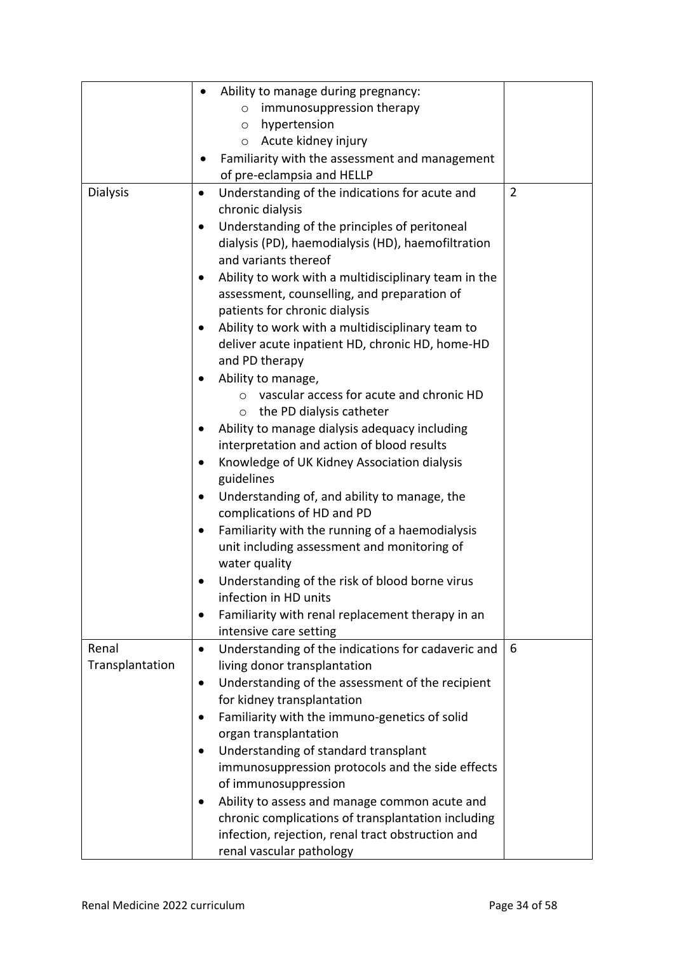|                 | Ability to manage during pregnancy:                               |                |
|-----------------|-------------------------------------------------------------------|----------------|
|                 | immunosuppression therapy<br>$\circ$                              |                |
|                 | hypertension<br>$\circ$                                           |                |
|                 | Acute kidney injury<br>$\circ$                                    |                |
|                 | Familiarity with the assessment and management                    |                |
|                 | of pre-eclampsia and HELLP                                        |                |
| <b>Dialysis</b> | Understanding of the indications for acute and<br>$\bullet$       | $\overline{2}$ |
|                 | chronic dialysis                                                  |                |
|                 | Understanding of the principles of peritoneal<br>$\bullet$        |                |
|                 | dialysis (PD), haemodialysis (HD), haemofiltration                |                |
|                 | and variants thereof                                              |                |
|                 | Ability to work with a multidisciplinary team in the<br>$\bullet$ |                |
|                 | assessment, counselling, and preparation of                       |                |
|                 | patients for chronic dialysis                                     |                |
|                 | Ability to work with a multidisciplinary team to<br>$\bullet$     |                |
|                 | deliver acute inpatient HD, chronic HD, home-HD                   |                |
|                 | and PD therapy                                                    |                |
|                 | Ability to manage,                                                |                |
|                 | vascular access for acute and chronic HD                          |                |
|                 | $\circ$ the PD dialysis catheter                                  |                |
|                 | Ability to manage dialysis adequacy including                     |                |
|                 | interpretation and action of blood results                        |                |
|                 | Knowledge of UK Kidney Association dialysis<br>guidelines         |                |
|                 | Understanding of, and ability to manage, the<br>$\bullet$         |                |
|                 | complications of HD and PD                                        |                |
|                 | Familiarity with the running of a haemodialysis<br>$\bullet$      |                |
|                 | unit including assessment and monitoring of                       |                |
|                 | water quality                                                     |                |
|                 | Understanding of the risk of blood borne virus                    |                |
|                 | infection in HD units                                             |                |
|                 | Familiarity with renal replacement therapy in an<br>$\bullet$     |                |
|                 | intensive care setting                                            |                |
| Renal           | Understanding of the indications for cadaveric and<br>$\bullet$   | 6              |
| Transplantation | living donor transplantation                                      |                |
|                 | Understanding of the assessment of the recipient<br>$\bullet$     |                |
|                 | for kidney transplantation                                        |                |
|                 | Familiarity with the immuno-genetics of solid<br>$\bullet$        |                |
|                 | organ transplantation                                             |                |
|                 | Understanding of standard transplant<br>$\bullet$                 |                |
|                 | immunosuppression protocols and the side effects                  |                |
|                 | of immunosuppression                                              |                |
|                 | Ability to assess and manage common acute and                     |                |
|                 | chronic complications of transplantation including                |                |
|                 | infection, rejection, renal tract obstruction and                 |                |
|                 | renal vascular pathology                                          |                |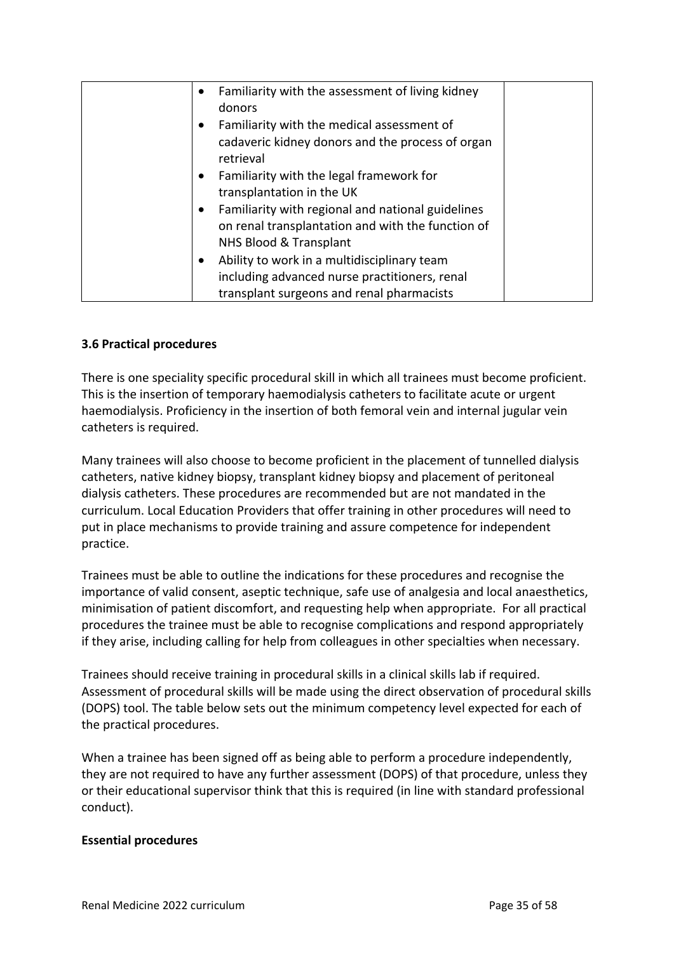| Familiarity with the assessment of living kidney<br>$\bullet$<br>donors                                                                                |  |
|--------------------------------------------------------------------------------------------------------------------------------------------------------|--|
| Familiarity with the medical assessment of<br>$\bullet$<br>cadaveric kidney donors and the process of organ<br>retrieval                               |  |
| Familiarity with the legal framework for<br>$\bullet$<br>transplantation in the UK                                                                     |  |
| Familiarity with regional and national guidelines<br>$\bullet$<br>on renal transplantation and with the function of<br>NHS Blood & Transplant          |  |
| Ability to work in a multidisciplinary team<br>$\bullet$<br>including advanced nurse practitioners, renal<br>transplant surgeons and renal pharmacists |  |

### <span id="page-34-0"></span>**3.6 Practical procedures**

There is one speciality specific procedural skill in which all trainees must become proficient. This is the insertion of temporary haemodialysis catheters to facilitate acute or urgent haemodialysis. Proficiency in the insertion of both femoral vein and internal jugular vein catheters is required.

Many trainees will also choose to become proficient in the placement of tunnelled dialysis catheters, native kidney biopsy, transplant kidney biopsy and placement of peritoneal dialysis catheters. These procedures are recommended but are not mandated in the curriculum. Local Education Providers that offer training in other procedures will need to put in place mechanisms to provide training and assure competence for independent practice.

Trainees must be able to outline the indications for these procedures and recognise the importance of valid consent, aseptic technique, safe use of analgesia and local anaesthetics, minimisation of patient discomfort, and requesting help when appropriate. For all practical procedures the trainee must be able to recognise complications and respond appropriately if they arise, including calling for help from colleagues in other specialties when necessary.

Trainees should receive training in procedural skills in a clinical skills lab if required. Assessment of procedural skills will be made using the direct observation of procedural skills (DOPS) tool. The table below sets out the minimum competency level expected for each of the practical procedures.

When a trainee has been signed off as being able to perform a procedure independently, they are not required to have any further assessment (DOPS) of that procedure, unless they or their educational supervisor think that this is required (in line with standard professional conduct).

#### **Essential procedures**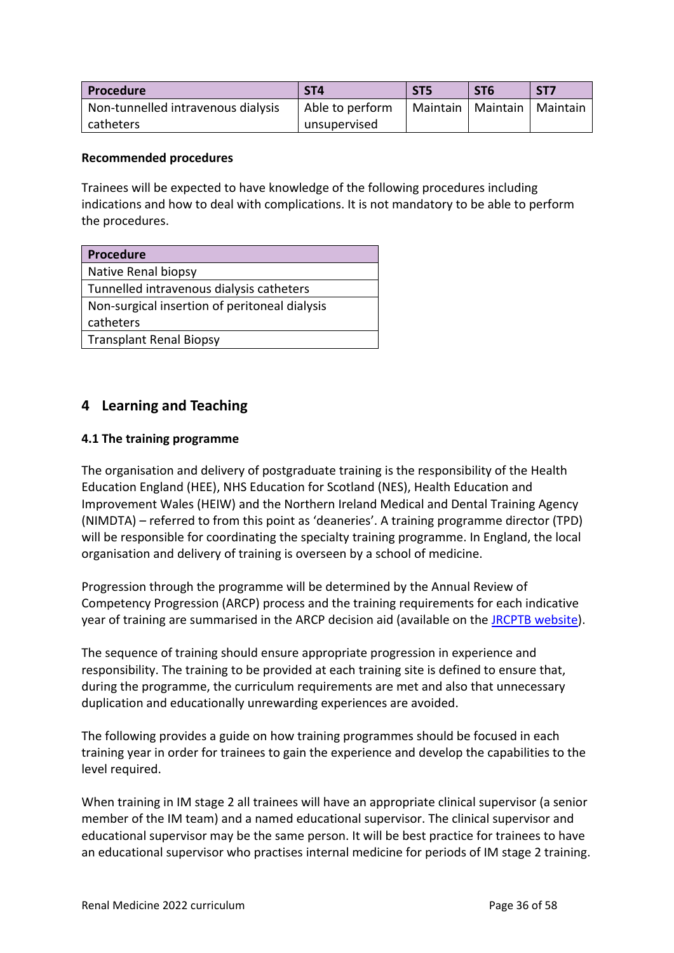| l Procedure                        | ST <sub>4</sub> | ST <sub>5</sub> | ST <sub>6</sub>                | ST <sub>7</sub> |
|------------------------------------|-----------------|-----------------|--------------------------------|-----------------|
| Non-tunnelled intravenous dialysis | Able to perform |                 | Maintain   Maintain   Maintain |                 |
| catheters                          | unsupervised    |                 |                                |                 |

#### **Recommended procedures**

Trainees will be expected to have knowledge of the following procedures including indications and how to deal with complications. It is not mandatory to be able to perform the procedures.

| <b>Procedure</b>                              |
|-----------------------------------------------|
| Native Renal biopsy                           |
| Tunnelled intravenous dialysis catheters      |
| Non-surgical insertion of peritoneal dialysis |
| catheters                                     |
| <b>Transplant Renal Biopsy</b>                |

## <span id="page-35-0"></span>**4 Learning and Teaching**

### <span id="page-35-1"></span>**4.1 The training programme**

The organisation and delivery of postgraduate training is the responsibility of the Health Education England (HEE), NHS Education for Scotland (NES), Health Education and Improvement Wales (HEIW) and the Northern Ireland Medical and Dental Training Agency (NIMDTA) – referred to from this point as 'deaneries'. A training programme director (TPD) will be responsible for coordinating the specialty training programme. In England, the local organisation and delivery of training is overseen by a school of medicine.

Progression through the programme will be determined by the Annual Review of Competency Progression (ARCP) process and the training requirements for each indicative year of training are summarised in the ARCP decision aid (available on the [JRCPTB website\)](http://www.jrcptb.org.uk/).

The sequence of training should ensure appropriate progression in experience and responsibility. The training to be provided at each training site is defined to ensure that, during the programme, the curriculum requirements are met and also that unnecessary duplication and educationally unrewarding experiences are avoided.

The following provides a guide on how training programmes should be focused in each training year in order for trainees to gain the experience and develop the capabilities to the level required.

When training in IM stage 2 all trainees will have an appropriate clinical supervisor (a senior member of the IM team) and a named educational supervisor. The clinical supervisor and educational supervisor may be the same person. It will be best practice for trainees to have an educational supervisor who practises internal medicine for periods of IM stage 2 training.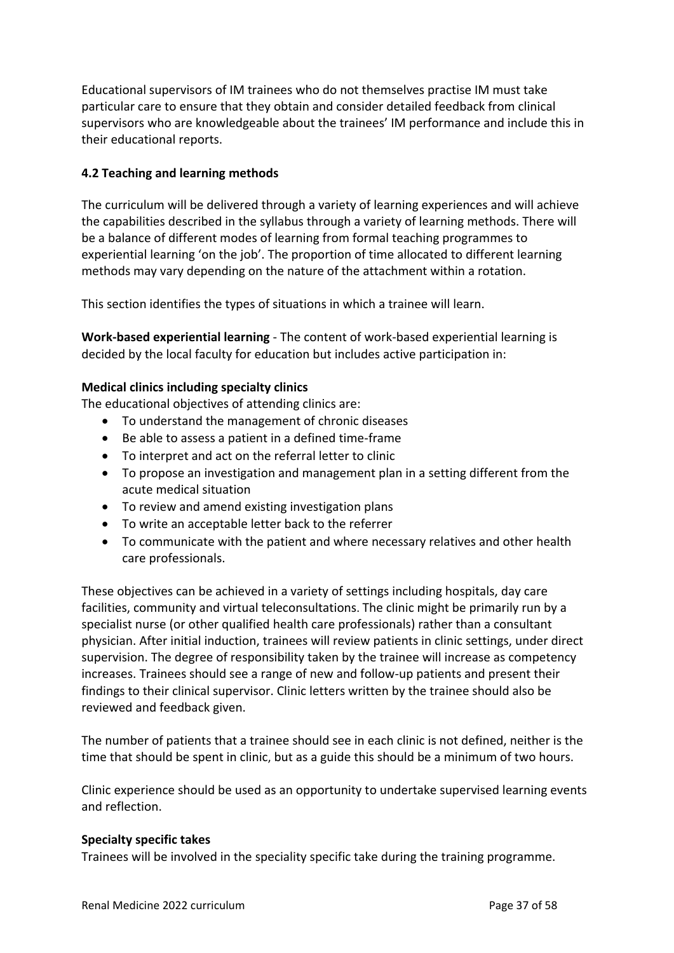Educational supervisors of IM trainees who do not themselves practise IM must take particular care to ensure that they obtain and consider detailed feedback from clinical supervisors who are knowledgeable about the trainees' IM performance and include this in their educational reports.

### <span id="page-36-0"></span>**4.2 Teaching and learning methods**

The curriculum will be delivered through a variety of learning experiences and will achieve the capabilities described in the syllabus through a variety of learning methods. There will be a balance of different modes of learning from formal teaching programmes to experiential learning 'on the job'. The proportion of time allocated to different learning methods may vary depending on the nature of the attachment within a rotation.

This section identifies the types of situations in which a trainee will learn.

**Work-based experiential learning** - The content of work-based experiential learning is decided by the local faculty for education but includes active participation in:

#### **Medical clinics including specialty clinics**

The educational objectives of attending clinics are:

- To understand the management of chronic diseases
- Be able to assess a patient in a defined time-frame
- To interpret and act on the referral letter to clinic
- To propose an investigation and management plan in a setting different from the acute medical situation
- To review and amend existing investigation plans
- To write an acceptable letter back to the referrer
- To communicate with the patient and where necessary relatives and other health care professionals.

These objectives can be achieved in a variety of settings including hospitals, day care facilities, community and virtual teleconsultations. The clinic might be primarily run by a specialist nurse (or other qualified health care professionals) rather than a consultant physician. After initial induction, trainees will review patients in clinic settings, under direct supervision. The degree of responsibility taken by the trainee will increase as competency increases. Trainees should see a range of new and follow-up patients and present their findings to their clinical supervisor. Clinic letters written by the trainee should also be reviewed and feedback given.

The number of patients that a trainee should see in each clinic is not defined, neither is the time that should be spent in clinic, but as a guide this should be a minimum of two hours.

Clinic experience should be used as an opportunity to undertake supervised learning events and reflection.

#### **Specialty specific takes**

Trainees will be involved in the speciality specific take during the training programme.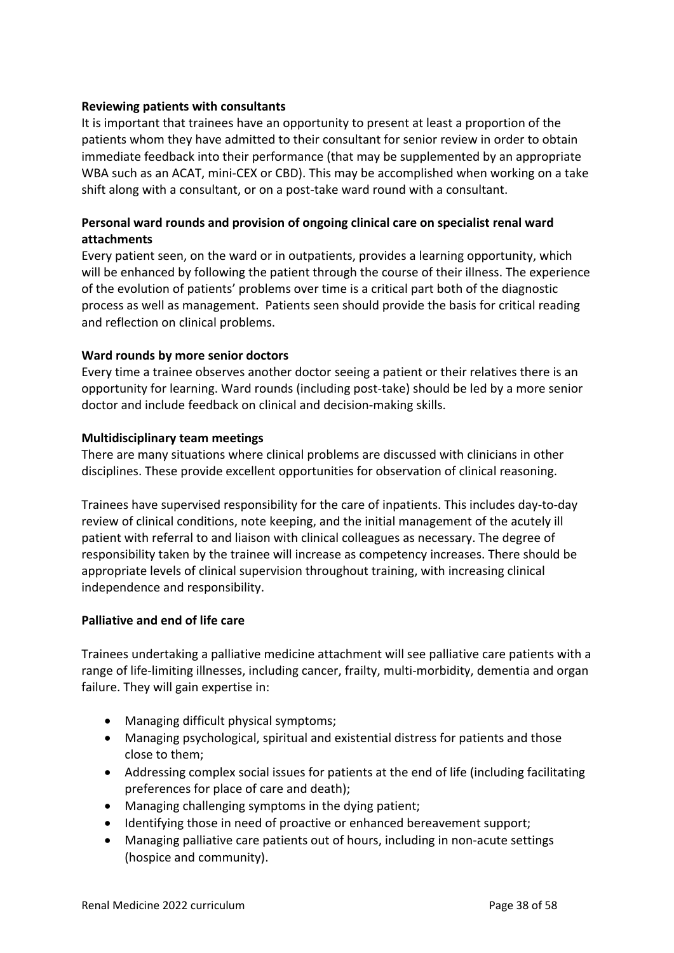### **Reviewing patients with consultants**

It is important that trainees have an opportunity to present at least a proportion of the patients whom they have admitted to their consultant for senior review in order to obtain immediate feedback into their performance (that may be supplemented by an appropriate WBA such as an ACAT, mini-CEX or CBD). This may be accomplished when working on a take shift along with a consultant, or on a post-take ward round with a consultant.

### **Personal ward rounds and provision of ongoing clinical care on specialist renal ward attachments**

Every patient seen, on the ward or in outpatients, provides a learning opportunity, which will be enhanced by following the patient through the course of their illness. The experience of the evolution of patients' problems over time is a critical part both of the diagnostic process as well as management. Patients seen should provide the basis for critical reading and reflection on clinical problems.

#### **Ward rounds by more senior doctors**

Every time a trainee observes another doctor seeing a patient or their relatives there is an opportunity for learning. Ward rounds (including post-take) should be led by a more senior doctor and include feedback on clinical and decision-making skills.

#### **Multidisciplinary team meetings**

There are many situations where clinical problems are discussed with clinicians in other disciplines. These provide excellent opportunities for observation of clinical reasoning.

Trainees have supervised responsibility for the care of inpatients. This includes day-to-day review of clinical conditions, note keeping, and the initial management of the acutely ill patient with referral to and liaison with clinical colleagues as necessary. The degree of responsibility taken by the trainee will increase as competency increases. There should be appropriate levels of clinical supervision throughout training, with increasing clinical independence and responsibility.

### **Palliative and end of life care**

Trainees undertaking a palliative medicine attachment will see palliative care patients with a range of life-limiting illnesses, including cancer, frailty, multi-morbidity, dementia and organ failure. They will gain expertise in:

- Managing difficult physical symptoms;
- Managing psychological, spiritual and existential distress for patients and those close to them;
- Addressing complex social issues for patients at the end of life (including facilitating preferences for place of care and death);
- Managing challenging symptoms in the dying patient;
- Identifying those in need of proactive or enhanced bereavement support;
- Managing palliative care patients out of hours, including in non-acute settings (hospice and community).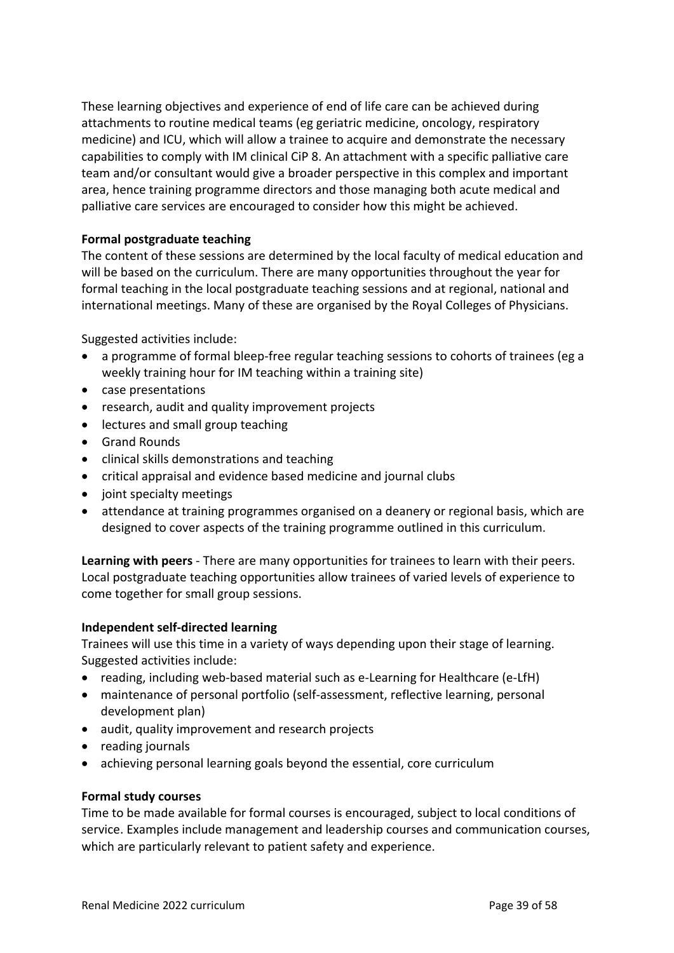These learning objectives and experience of end of life care can be achieved during attachments to routine medical teams (eg geriatric medicine, oncology, respiratory medicine) and ICU, which will allow a trainee to acquire and demonstrate the necessary capabilities to comply with IM clinical CiP 8. An attachment with a specific palliative care team and/or consultant would give a broader perspective in this complex and important area, hence training programme directors and those managing both acute medical and palliative care services are encouraged to consider how this might be achieved.

### **Formal postgraduate teaching**

The content of these sessions are determined by the local faculty of medical education and will be based on the curriculum. There are many opportunities throughout the year for formal teaching in the local postgraduate teaching sessions and at regional, national and international meetings. Many of these are organised by the Royal Colleges of Physicians.

Suggested activities include:

- a programme of formal bleep-free regular teaching sessions to cohorts of trainees (eg a weekly training hour for IM teaching within a training site)
- case presentations
- research, audit and quality improvement projects
- lectures and small group teaching
- Grand Rounds
- clinical skills demonstrations and teaching
- critical appraisal and evidence based medicine and journal clubs
- joint specialty meetings
- attendance at training programmes organised on a deanery or regional basis, which are designed to cover aspects of the training programme outlined in this curriculum.

**Learning with peers** - There are many opportunities for trainees to learn with their peers. Local postgraduate teaching opportunities allow trainees of varied levels of experience to come together for small group sessions.

#### **Independent self-directed learning**

Trainees will use this time in a variety of ways depending upon their stage of learning. Suggested activities include:

- reading, including web-based material such as e-Learning for Healthcare (e-LfH)
- maintenance of personal portfolio (self-assessment, reflective learning, personal development plan)
- audit, quality improvement and research projects
- reading journals
- achieving personal learning goals beyond the essential, core curriculum

#### **Formal study courses**

Time to be made available for formal courses is encouraged, subject to local conditions of service. Examples include management and leadership courses and communication courses, which are particularly relevant to patient safety and experience.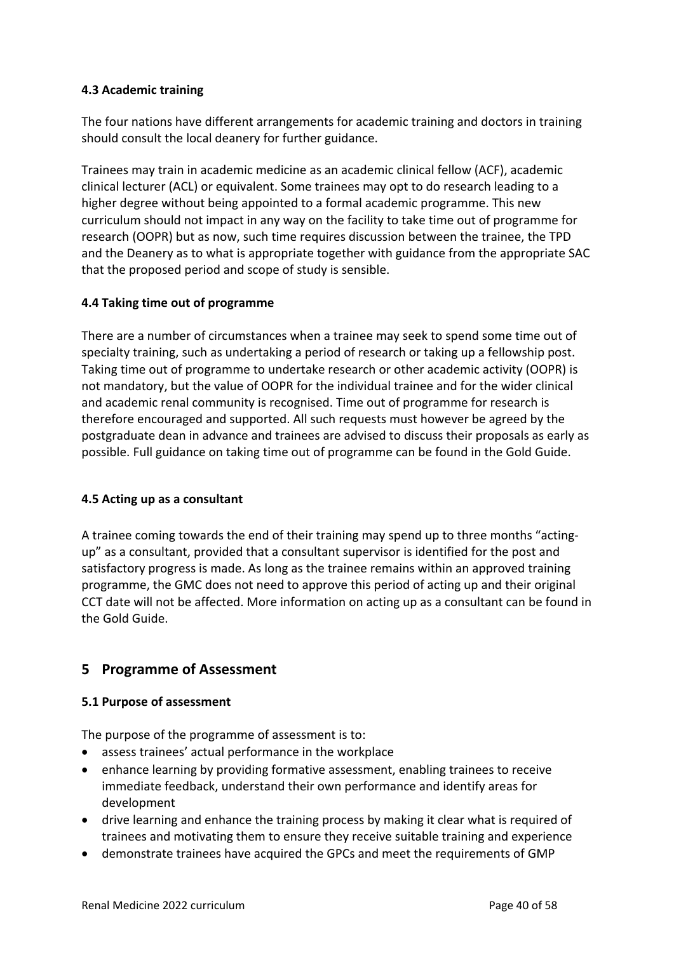### <span id="page-39-0"></span>**4.3 Academic training**

The four nations have different arrangements for academic training and doctors in training should consult the local deanery for further guidance.

Trainees may train in academic medicine as an academic clinical fellow (ACF), academic clinical lecturer (ACL) or equivalent. Some trainees may opt to do research leading to a higher degree without being appointed to a formal academic programme. This new curriculum should not impact in any way on the facility to take time out of programme for research (OOPR) but as now, such time requires discussion between the trainee, the TPD and the Deanery as to what is appropriate together with guidance from the appropriate SAC that the proposed period and scope of study is sensible.

### <span id="page-39-1"></span>**4.4 Taking time out of programme**

There are a number of circumstances when a trainee may seek to spend some time out of specialty training, such as undertaking a period of research or taking up a fellowship post. Taking time out of programme to undertake research or other academic activity (OOPR) is not mandatory, but the value of OOPR for the individual trainee and for the wider clinical and academic renal community is recognised. Time out of programme for research is therefore encouraged and supported. All such requests must however be agreed by the postgraduate dean in advance and trainees are advised to discuss their proposals as early as possible. Full guidance on taking time out of programme can be found in the Gold Guide.

#### <span id="page-39-2"></span>**4.5 Acting up as a consultant**

A trainee coming towards the end of their training may spend up to three months "actingup" as a consultant, provided that a consultant supervisor is identified for the post and satisfactory progress is made. As long as the trainee remains within an approved training programme, the GMC does not need to approve this period of acting up and their original CCT date will not be affected. More information on acting up as a consultant can be found in the Gold Guide.

## <span id="page-39-3"></span>**5 Programme of Assessment**

### <span id="page-39-4"></span>**5.1 Purpose of assessment**

The purpose of the programme of assessment is to:

- assess trainees' actual performance in the workplace
- enhance learning by providing formative assessment, enabling trainees to receive immediate feedback, understand their own performance and identify areas for development
- drive learning and enhance the training process by making it clear what is required of trainees and motivating them to ensure they receive suitable training and experience
- demonstrate trainees have acquired the GPCs and meet the requirements of GMP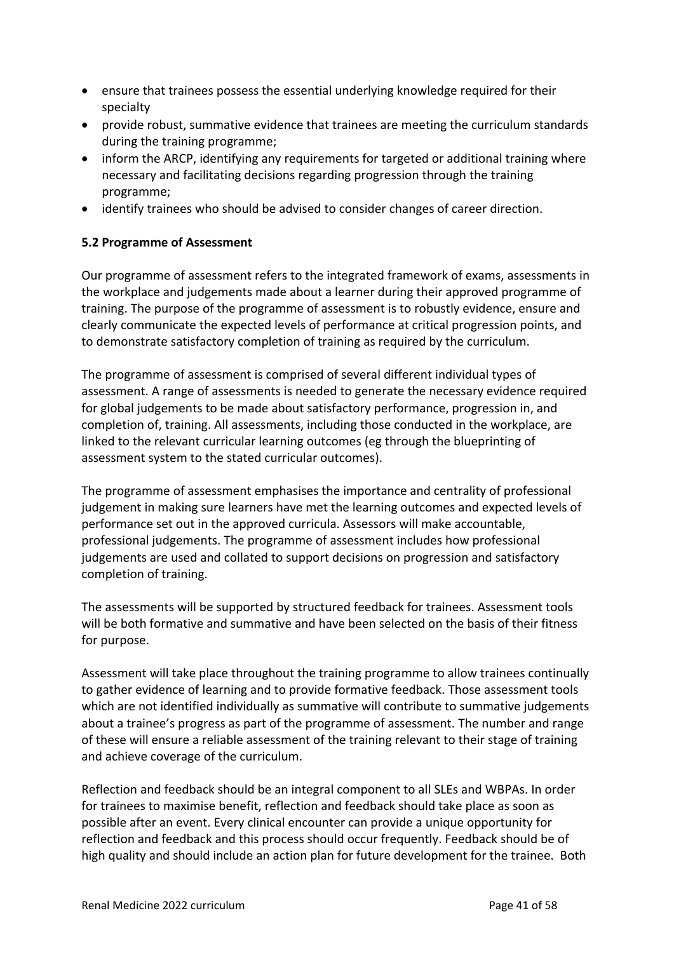- ensure that trainees possess the essential underlying knowledge required for their specialty
- provide robust, summative evidence that trainees are meeting the curriculum standards during the training programme;
- inform the ARCP, identifying any requirements for targeted or additional training where necessary and facilitating decisions regarding progression through the training programme;
- identify trainees who should be advised to consider changes of career direction.

### <span id="page-40-0"></span>**5.2 Programme of Assessment**

Our programme of assessment refers to the integrated framework of exams, assessments in the workplace and judgements made about a learner during their approved programme of training. The purpose of the programme of assessment is to robustly evidence, ensure and clearly communicate the expected levels of performance at critical progression points, and to demonstrate satisfactory completion of training as required by the curriculum.

The programme of assessment is comprised of several different individual types of assessment. A range of assessments is needed to generate the necessary evidence required for global judgements to be made about satisfactory performance, progression in, and completion of, training. All assessments, including those conducted in the workplace, are linked to the relevant curricular learning outcomes (eg through the blueprinting of assessment system to the stated curricular outcomes).

The programme of assessment emphasises the importance and centrality of professional judgement in making sure learners have met the learning outcomes and expected levels of performance set out in the approved curricula. Assessors will make accountable, professional judgements. The programme of assessment includes how professional judgements are used and collated to support decisions on progression and satisfactory completion of training.

The assessments will be supported by structured feedback for trainees. Assessment tools will be both formative and summative and have been selected on the basis of their fitness for purpose.

Assessment will take place throughout the training programme to allow trainees continually to gather evidence of learning and to provide formative feedback. Those assessment tools which are not identified individually as summative will contribute to summative judgements about a trainee's progress as part of the programme of assessment. The number and range of these will ensure a reliable assessment of the training relevant to their stage of training and achieve coverage of the curriculum.

Reflection and feedback should be an integral component to all SLEs and WBPAs. In order for trainees to maximise benefit, reflection and feedback should take place as soon as possible after an event. Every clinical encounter can provide a unique opportunity for reflection and feedback and this process should occur frequently. Feedback should be of high quality and should include an action plan for future development for the trainee. Both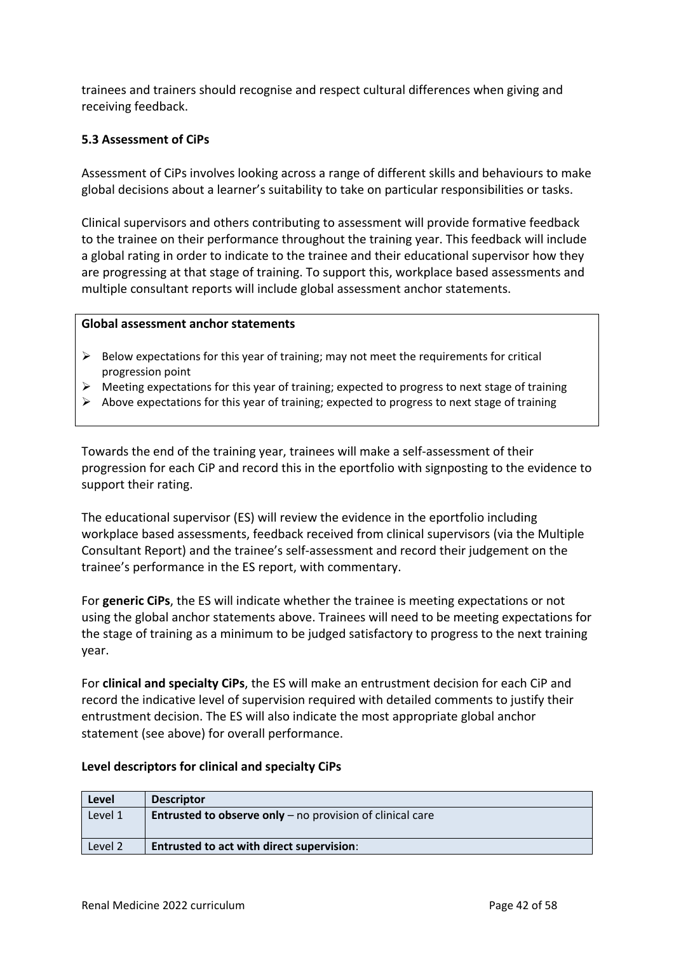trainees and trainers should recognise and respect cultural differences when giving and receiving feedback.

### <span id="page-41-0"></span>**5.3 Assessment of CiPs**

Assessment of CiPs involves looking across a range of different skills and behaviours to make global decisions about a learner's suitability to take on particular responsibilities or tasks.

Clinical supervisors and others contributing to assessment will provide formative feedback to the trainee on their performance throughout the training year. This feedback will include a global rating in order to indicate to the trainee and their educational supervisor how they are progressing at that stage of training. To support this, workplace based assessments and multiple consultant reports will include global assessment anchor statements.

#### **Global assessment anchor statements**

- $\triangleright$  Below expectations for this year of training; may not meet the requirements for critical progression point
- $\triangleright$  Meeting expectations for this year of training; expected to progress to next stage of training
- ➢ Above expectations for this year of training; expected to progress to next stage of training

Towards the end of the training year, trainees will make a self-assessment of their progression for each CiP and record this in the eportfolio with signposting to the evidence to support their rating.

The educational supervisor (ES) will review the evidence in the eportfolio including workplace based assessments, feedback received from clinical supervisors (via the Multiple Consultant Report) and the trainee's self-assessment and record their judgement on the trainee's performance in the ES report, with commentary.

For **generic CiPs**, the ES will indicate whether the trainee is meeting expectations or not using the global anchor statements above. Trainees will need to be meeting expectations for the stage of training as a minimum to be judged satisfactory to progress to the next training year.

For **clinical and specialty CiPs**, the ES will make an entrustment decision for each CiP and record the indicative level of supervision required with detailed comments to justify their entrustment decision. The ES will also indicate the most appropriate global anchor statement (see above) for overall performance.

#### **Level descriptors for clinical and specialty CiPs**

| Level   | <b>Descriptor</b>                                                  |
|---------|--------------------------------------------------------------------|
| Level 1 | <b>Entrusted to observe only</b> $-$ no provision of clinical care |
|         |                                                                    |
| Level 2 | Entrusted to act with direct supervision:                          |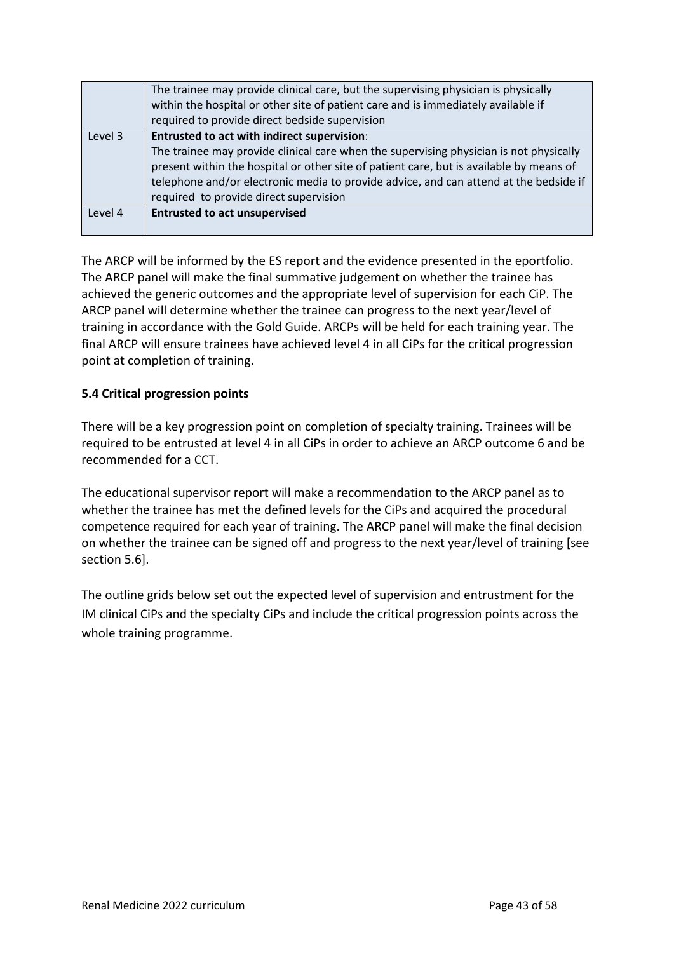|         | The trainee may provide clinical care, but the supervising physician is physically      |
|---------|-----------------------------------------------------------------------------------------|
|         | within the hospital or other site of patient care and is immediately available if       |
|         | required to provide direct bedside supervision                                          |
| Level 3 | Entrusted to act with indirect supervision:                                             |
|         | The trainee may provide clinical care when the supervising physician is not physically  |
|         | present within the hospital or other site of patient care, but is available by means of |
|         | telephone and/or electronic media to provide advice, and can attend at the bedside if   |
|         | required to provide direct supervision                                                  |
| Level 4 | <b>Entrusted to act unsupervised</b>                                                    |
|         |                                                                                         |

The ARCP will be informed by the ES report and the evidence presented in the eportfolio. The ARCP panel will make the final summative judgement on whether the trainee has achieved the generic outcomes and the appropriate level of supervision for each CiP. The ARCP panel will determine whether the trainee can progress to the next year/level of training in accordance with the Gold Guide. ARCPs will be held for each training year. The final ARCP will ensure trainees have achieved level 4 in all CiPs for the critical progression point at completion of training.

### <span id="page-42-0"></span>**5.4 Critical progression points**

There will be a key progression point on completion of specialty training. Trainees will be required to be entrusted at level 4 in all CiPs in order to achieve an ARCP outcome 6 and be recommended for a CCT.

The educational supervisor report will make a recommendation to the ARCP panel as to whether the trainee has met the defined levels for the CiPs and acquired the procedural competence required for each year of training. The ARCP panel will make the final decision on whether the trainee can be signed off and progress to the next year/level of training [see section 5.6].

The outline grids below set out the expected level of supervision and entrustment for the IM clinical CiPs and the specialty CiPs and include the critical progression points across the whole training programme.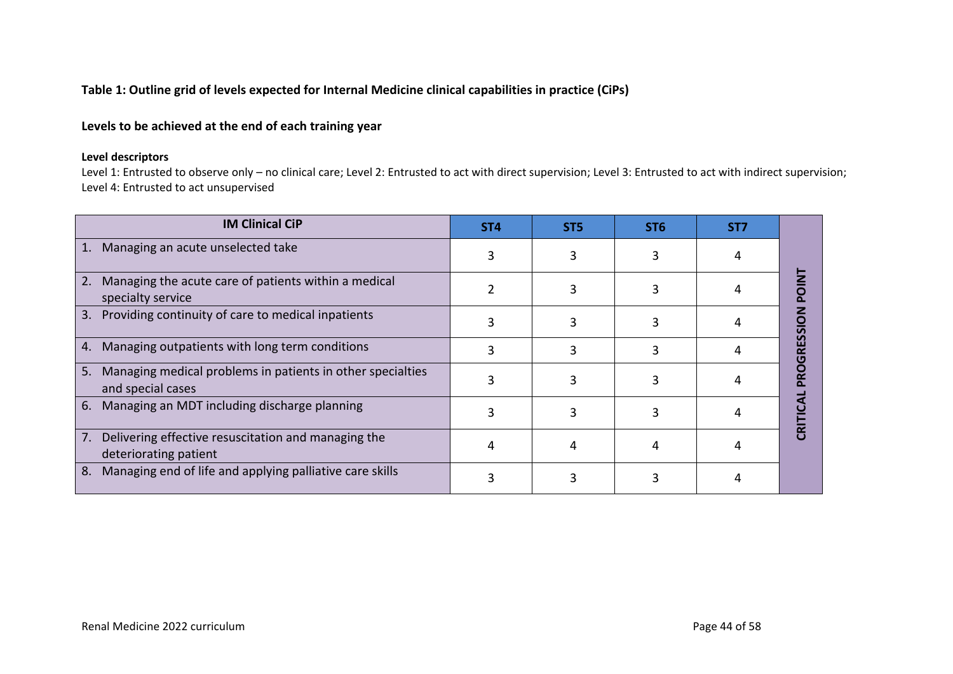#### **Table 1: Outline grid of levels expected for Internal Medicine clinical capabilities in practice (CiPs)**

### **Levels to be achieved at the end of each training year**

#### **Level descriptors**

Level 1: Entrusted to observe only – no clinical care; Level 2: Entrusted to act with direct supervision; Level 3: Entrusted to act with indirect supervision; Level 4: Entrusted to act unsupervised

| <b>IM Clinical CiP</b>                                                             | ST <sub>4</sub> | ST <sub>5</sub> | ST <sub>6</sub> | ST7 |  |
|------------------------------------------------------------------------------------|-----------------|-----------------|-----------------|-----|--|
| Managing an acute unselected take<br>1.                                            |                 |                 |                 |     |  |
| Managing the acute care of patients within a medical<br>2.<br>specialty service    |                 |                 |                 |     |  |
| Providing continuity of care to medical inpatients<br>3.                           |                 |                 |                 |     |  |
| 4. Managing outpatients with long term conditions                                  |                 |                 |                 |     |  |
| 5. Managing medical problems in patients in other specialties<br>and special cases |                 |                 |                 |     |  |
| 6. Managing an MDT including discharge planning                                    |                 |                 |                 |     |  |
| Delivering effective resuscitation and managing the<br>7.<br>deteriorating patient |                 |                 |                 |     |  |
| Managing end of life and applying palliative care skills<br>8.                     |                 |                 |                 |     |  |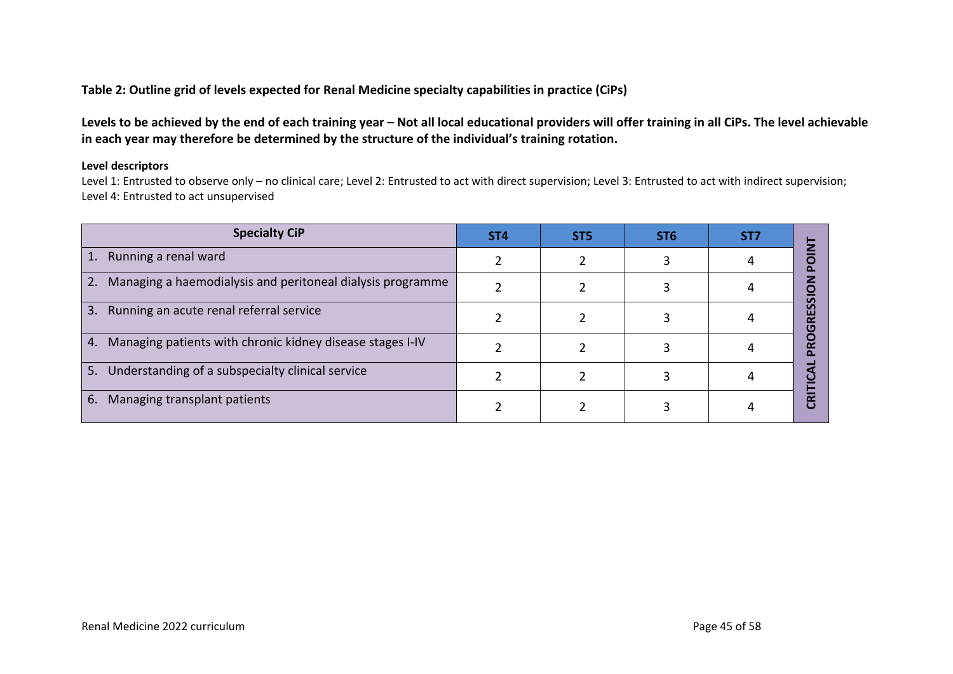#### **Table 2: Outline grid of levels expected for Renal Medicine specialty capabilities in practice (CiPs)**

Levels to be achieved by the end of each training year – Not all local educational providers will offer training in all CiPs. The level achievable **in each year may therefore be determined by the structure of the individual's training rotation.** 

#### **Level descriptors**

Level 1: Entrusted to observe only – no clinical care; Level 2: Entrusted to act with direct supervision; Level 3: Entrusted to act with indirect supervision; Level 4: Entrusted to act unsupervised

| <b>Specialty CiP</b>                                             | ST <sub>4</sub> | ST <sub>5</sub> | ST <sub>6</sub> | ST7 |  |
|------------------------------------------------------------------|-----------------|-----------------|-----------------|-----|--|
| Running a renal ward<br>1.                                       |                 |                 |                 |     |  |
| Managing a haemodialysis and peritoneal dialysis programme<br>2. |                 |                 |                 |     |  |
| 3.<br>Running an acute renal referral service                    |                 |                 |                 |     |  |
| 4. Managing patients with chronic kidney disease stages I-IV     |                 |                 |                 |     |  |
| 5. Understanding of a subspecialty clinical service              |                 |                 |                 |     |  |
| Managing transplant patients<br>6.                               |                 |                 |                 |     |  |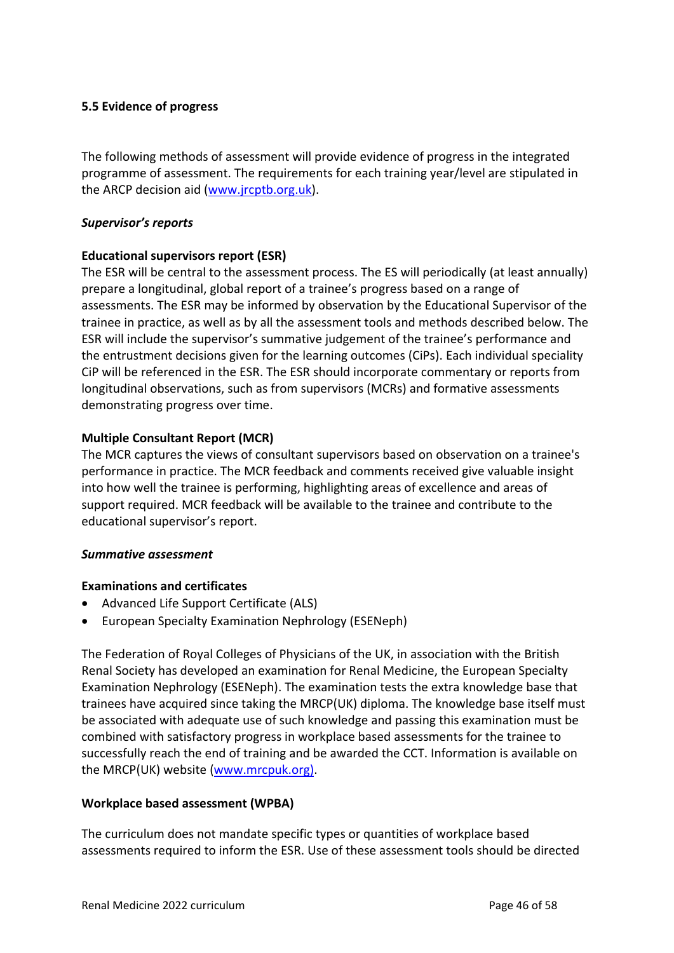### <span id="page-45-0"></span>**5.5 Evidence of progress**

The following methods of assessment will provide evidence of progress in the integrated programme of assessment. The requirements for each training year/level are stipulated in the ARCP decision aid [\(www.jrcptb.org.uk\)](http://www.jrcptb.org.uk/).

#### *Supervisor's reports*

### **Educational supervisors report (ESR)**

The ESR will be central to the assessment process. The ES will periodically (at least annually) prepare a longitudinal, global report of a trainee's progress based on a range of assessments. The ESR may be informed by observation by the Educational Supervisor of the trainee in practice, as well as by all the assessment tools and methods described below. The ESR will include the supervisor's summative judgement of the trainee's performance and the entrustment decisions given for the learning outcomes (CiPs). Each individual speciality CiP will be referenced in the ESR. The ESR should incorporate commentary or reports from longitudinal observations, such as from supervisors (MCRs) and formative assessments demonstrating progress over time.

### **Multiple Consultant Report (MCR)**

The MCR captures the views of consultant supervisors based on observation on a trainee's performance in practice. The MCR feedback and comments received give valuable insight into how well the trainee is performing, highlighting areas of excellence and areas of support required. MCR feedback will be available to the trainee and contribute to the educational supervisor's report.

#### *Summative assessment*

#### **Examinations and certificates**

- Advanced Life Support Certificate (ALS)
- European Specialty Examination Nephrology (ESENeph)

The Federation of Royal Colleges of Physicians of the UK, in association with the British Renal Society has developed an examination for Renal Medicine, the European Specialty Examination Nephrology (ESENeph). The examination tests the extra knowledge base that trainees have acquired since taking the MRCP(UK) diploma. The knowledge base itself must be associated with adequate use of such knowledge and passing this examination must be combined with satisfactory progress in workplace based assessments for the trainee to successfully reach the end of training and be awarded the CCT. Information is available on the MRCP(UK) website [\(www.mrcpuk.org\)](http://www.mrcpuk.org/).

#### **Workplace based assessment (WPBA)**

The curriculum does not mandate specific types or quantities of workplace based assessments required to inform the ESR. Use of these assessment tools should be directed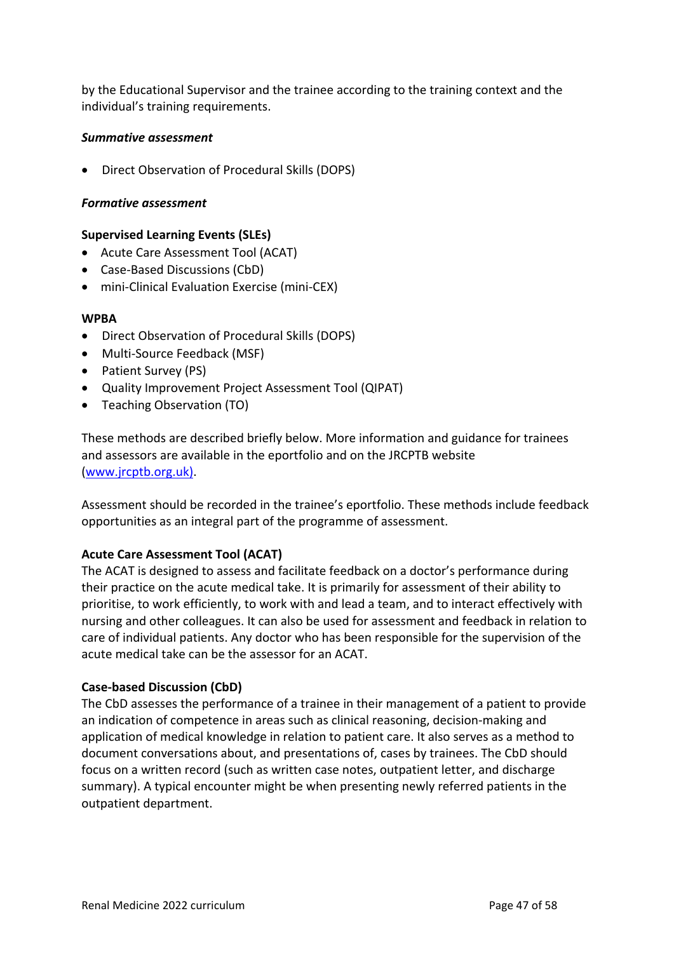by the Educational Supervisor and the trainee according to the training context and the individual's training requirements.

#### *Summative assessment*

• Direct Observation of Procedural Skills (DOPS)

#### *Formative assessment*

#### **Supervised Learning Events (SLEs)**

- Acute Care Assessment Tool (ACAT)
- Case-Based Discussions (CbD)
- mini-Clinical Evaluation Exercise (mini-CEX)

#### **WPBA**

- Direct Observation of Procedural Skills (DOPS)
- Multi-Source Feedback (MSF)
- Patient Survey (PS)
- Quality Improvement Project Assessment Tool (QIPAT)
- Teaching Observation (TO)

These methods are described briefly below. More information and guidance for trainees and assessors are available in the eportfolio and on the JRCPTB website [\(www.jrcptb.org.uk\)](http://www.jrcptb.org.uk/).

Assessment should be recorded in the trainee's eportfolio. These methods include feedback opportunities as an integral part of the programme of assessment.

#### **Acute Care Assessment Tool (ACAT)**

The ACAT is designed to assess and facilitate feedback on a doctor's performance during their practice on the acute medical take. It is primarily for assessment of their ability to prioritise, to work efficiently, to work with and lead a team, and to interact effectively with nursing and other colleagues. It can also be used for assessment and feedback in relation to care of individual patients. Any doctor who has been responsible for the supervision of the acute medical take can be the assessor for an ACAT.

#### **Case-based Discussion (CbD)**

The CbD assesses the performance of a trainee in their management of a patient to provide an indication of competence in areas such as clinical reasoning, decision-making and application of medical knowledge in relation to patient care. It also serves as a method to document conversations about, and presentations of, cases by trainees. The CbD should focus on a written record (such as written case notes, outpatient letter, and discharge summary). A typical encounter might be when presenting newly referred patients in the outpatient department.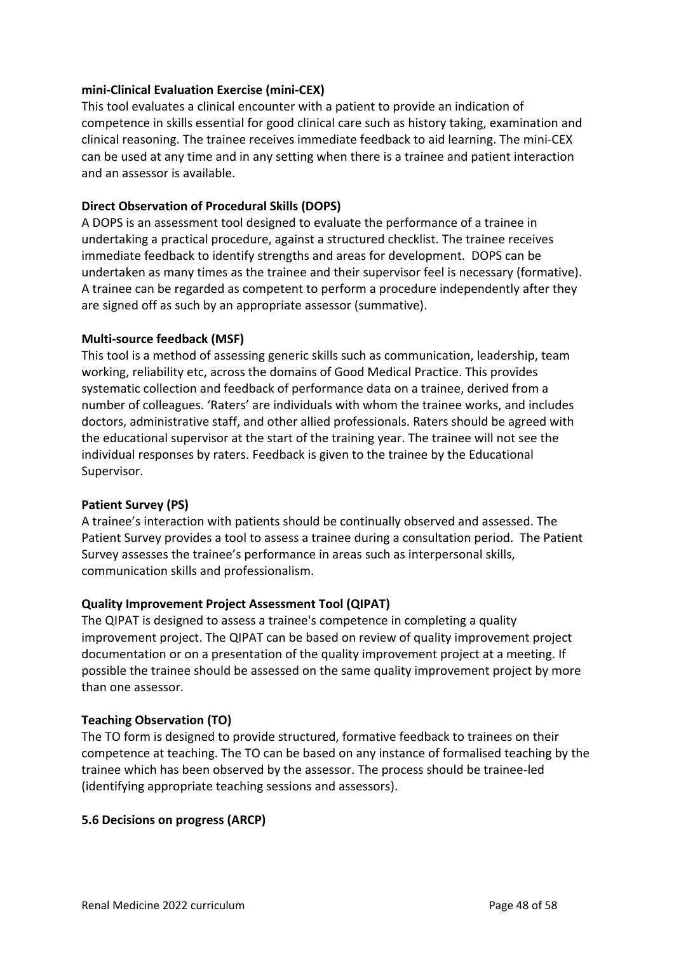### **mini-Clinical Evaluation Exercise (mini-CEX)**

This tool evaluates a clinical encounter with a patient to provide an indication of competence in skills essential for good clinical care such as history taking, examination and clinical reasoning. The trainee receives immediate feedback to aid learning. The mini-CEX can be used at any time and in any setting when there is a trainee and patient interaction and an assessor is available.

### **Direct Observation of Procedural Skills (DOPS)**

A DOPS is an assessment tool designed to evaluate the performance of a trainee in undertaking a practical procedure, against a structured checklist. The trainee receives immediate feedback to identify strengths and areas for development. DOPS can be undertaken as many times as the trainee and their supervisor feel is necessary (formative). A trainee can be regarded as competent to perform a procedure independently after they are signed off as such by an appropriate assessor (summative).

#### **Multi-source feedback (MSF)**

This tool is a method of assessing generic skills such as communication, leadership, team working, reliability etc, across the domains of Good Medical Practice. This provides systematic collection and feedback of performance data on a trainee, derived from a number of colleagues. 'Raters' are individuals with whom the trainee works, and includes doctors, administrative staff, and other allied professionals. Raters should be agreed with the educational supervisor at the start of the training year. The trainee will not see the individual responses by raters. Feedback is given to the trainee by the Educational Supervisor.

#### **Patient Survey (PS)**

A trainee's interaction with patients should be continually observed and assessed. The Patient Survey provides a tool to assess a trainee during a consultation period. The Patient Survey assesses the trainee's performance in areas such as interpersonal skills, communication skills and professionalism.

### **Quality Improvement Project Assessment Tool (QIPAT)**

The QIPAT is designed to assess a trainee's competence in completing a quality improvement project. The QIPAT can be based on review of quality improvement project documentation or on a presentation of the quality improvement project at a meeting. If possible the trainee should be assessed on the same quality improvement project by more than one assessor.

#### **Teaching Observation (TO)**

The TO form is designed to provide structured, formative feedback to trainees on their competence at teaching. The TO can be based on any instance of formalised teaching by the trainee which has been observed by the assessor. The process should be trainee-led (identifying appropriate teaching sessions and assessors).

#### <span id="page-47-0"></span>**5.6 Decisions on progress (ARCP)**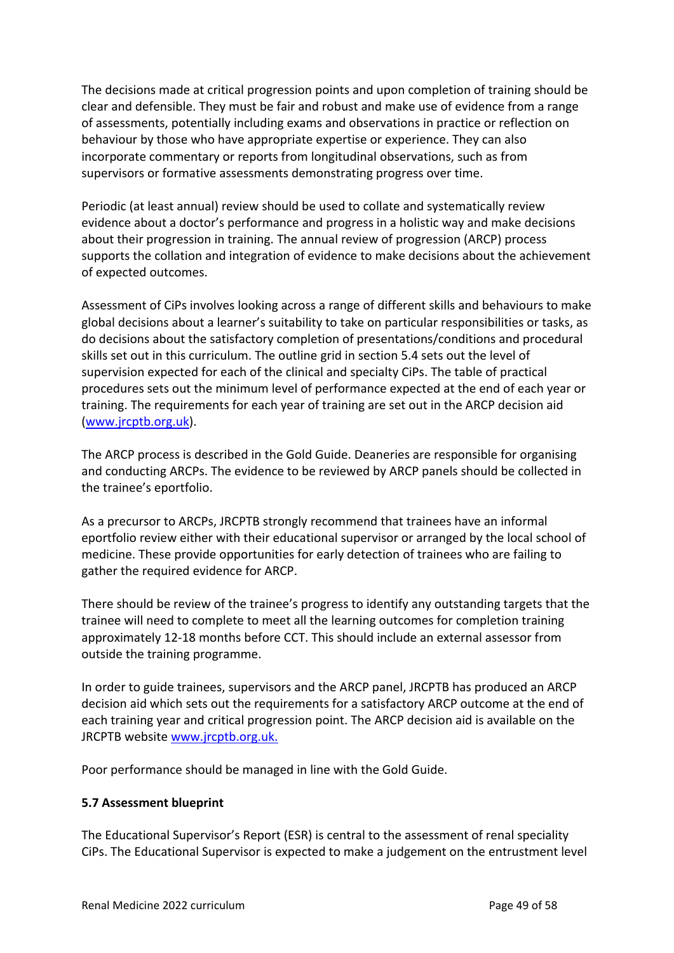The decisions made at critical progression points and upon completion of training should be clear and defensible. They must be fair and robust and make use of evidence from a range of assessments, potentially including exams and observations in practice or reflection on behaviour by those who have appropriate expertise or experience. They can also incorporate commentary or reports from longitudinal observations, such as from supervisors or formative assessments demonstrating progress over time.

Periodic (at least annual) review should be used to collate and systematically review evidence about a doctor's performance and progress in a holistic way and make decisions about their progression in training. The annual review of progression (ARCP) process supports the collation and integration of evidence to make decisions about the achievement of expected outcomes.

Assessment of CiPs involves looking across a range of different skills and behaviours to make global decisions about a learner's suitability to take on particular responsibilities or tasks, as do decisions about the satisfactory completion of presentations/conditions and procedural skills set out in this curriculum. The outline grid in section 5.4 sets out the level of supervision expected for each of the clinical and specialty CiPs. The table of practical procedures sets out the minimum level of performance expected at the end of each year or training. The requirements for each year of training are set out in the ARCP decision aid [\(www.jrcptb.org.uk\)](http://www.jrcptb.org.uk/).

The ARCP process is described in the Gold Guide. Deaneries are responsible for organising and conducting ARCPs. The evidence to be reviewed by ARCP panels should be collected in the trainee's eportfolio.

As a precursor to ARCPs, JRCPTB strongly recommend that trainees have an informal eportfolio review either with their educational supervisor or arranged by the local school of medicine. These provide opportunities for early detection of trainees who are failing to gather the required evidence for ARCP.

There should be review of the trainee's progress to identify any outstanding targets that the trainee will need to complete to meet all the learning outcomes for completion training approximately 12-18 months before CCT. This should include an external assessor from outside the training programme.

In order to guide trainees, supervisors and the ARCP panel, JRCPTB has produced an ARCP decision aid which sets out the requirements for a satisfactory ARCP outcome at the end of each training year and critical progression point. The ARCP decision aid is available on the JRCPTB website [www.jrcptb.org.uk.](http://www.jrcptb.org.uk/)

Poor performance should be managed in line with the Gold Guide.

#### <span id="page-48-0"></span>**5.7 Assessment blueprint**

The Educational Supervisor's Report (ESR) is central to the assessment of renal speciality CiPs. The Educational Supervisor is expected to make a judgement on the entrustment level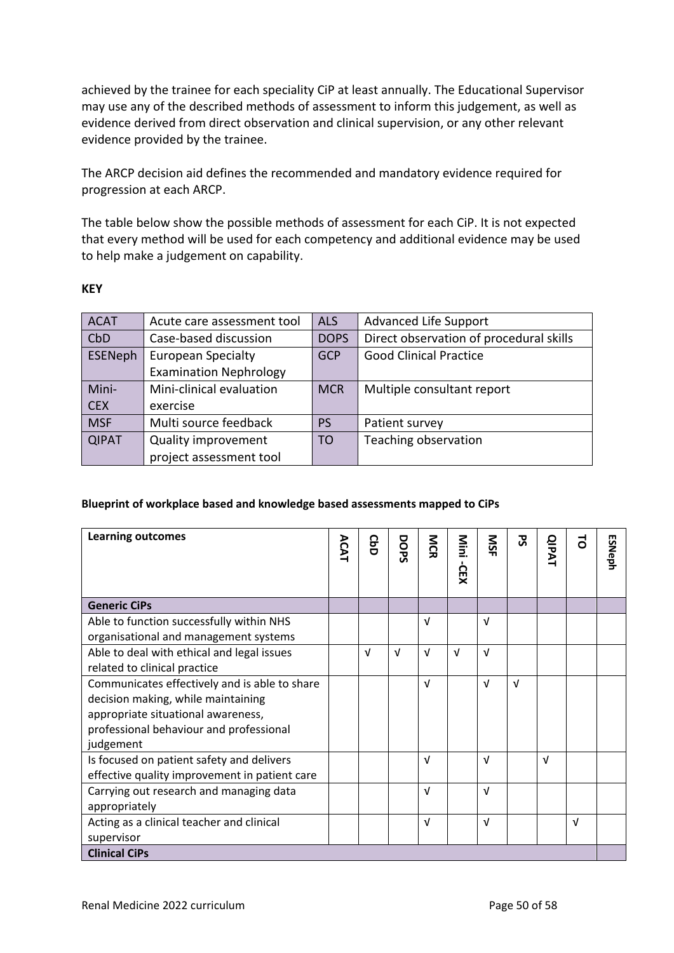achieved by the trainee for each speciality CiP at least annually. The Educational Supervisor may use any of the described methods of assessment to inform this judgement, as well as evidence derived from direct observation and clinical supervision, or any other relevant evidence provided by the trainee.

The ARCP decision aid defines the recommended and mandatory evidence required for progression at each ARCP.

The table below show the possible methods of assessment for each CiP. It is not expected that every method will be used for each competency and additional evidence may be used to help make a judgement on capability.

#### **KEY**

| <b>ACAT</b>  | Acute care assessment tool    | <b>ALS</b>  | <b>Advanced Life Support</b>            |
|--------------|-------------------------------|-------------|-----------------------------------------|
| CbD          | Case-based discussion         | <b>DOPS</b> | Direct observation of procedural skills |
| ESENeph      | <b>European Specialty</b>     | <b>GCP</b>  | <b>Good Clinical Practice</b>           |
|              | <b>Examination Nephrology</b> |             |                                         |
| Mini-        | Mini-clinical evaluation      | <b>MCR</b>  | Multiple consultant report              |
| <b>CEX</b>   | exercise                      |             |                                         |
| <b>MSF</b>   | Multi source feedback         | <b>PS</b>   | Patient survey                          |
| <b>QIPAT</b> | <b>Quality improvement</b>    | <b>TO</b>   | Teaching observation                    |
|              | project assessment tool       |             |                                         |

#### **Blueprint of workplace based and knowledge based assessments mapped to CiPs**

| <b>Learning outcomes</b>                      | ACAT | <b>GbD</b> | DOPS       | <b>NCR</b> | Nini<br><b>CEX</b> | SN         | ट्ठ        | <b>QIPAT</b> | ಕ          | <b>ESNeph</b> |
|-----------------------------------------------|------|------------|------------|------------|--------------------|------------|------------|--------------|------------|---------------|
|                                               |      |            |            |            |                    |            |            |              |            |               |
| <b>Generic CiPs</b>                           |      |            |            |            |                    |            |            |              |            |               |
| Able to function successfully within NHS      |      |            |            | $\sqrt{ }$ |                    | $\sqrt{ }$ |            |              |            |               |
| organisational and management systems         |      |            |            |            |                    |            |            |              |            |               |
| Able to deal with ethical and legal issues    |      | v          | $\sqrt{ }$ | $\sqrt{ }$ | $\sqrt{ }$         | $\sqrt{ }$ |            |              |            |               |
| related to clinical practice                  |      |            |            |            |                    |            |            |              |            |               |
| Communicates effectively and is able to share |      |            |            | $\sqrt{ }$ |                    | $\sqrt{ }$ | $\sqrt{ }$ |              |            |               |
| decision making, while maintaining            |      |            |            |            |                    |            |            |              |            |               |
| appropriate situational awareness,            |      |            |            |            |                    |            |            |              |            |               |
| professional behaviour and professional       |      |            |            |            |                    |            |            |              |            |               |
| judgement                                     |      |            |            |            |                    |            |            |              |            |               |
| Is focused on patient safety and delivers     |      |            |            | $\sqrt{ }$ |                    | $\sqrt{ }$ |            | $\sqrt{ }$   |            |               |
| effective quality improvement in patient care |      |            |            |            |                    |            |            |              |            |               |
| Carrying out research and managing data       |      |            |            | $\sqrt{ }$ |                    | $\sqrt{ }$ |            |              |            |               |
| appropriately                                 |      |            |            |            |                    |            |            |              |            |               |
| Acting as a clinical teacher and clinical     |      |            |            | $\sqrt{ }$ |                    | $\sqrt{ }$ |            |              | $\sqrt{ }$ |               |
| supervisor                                    |      |            |            |            |                    |            |            |              |            |               |
| <b>Clinical CiPs</b>                          |      |            |            |            |                    |            |            |              |            |               |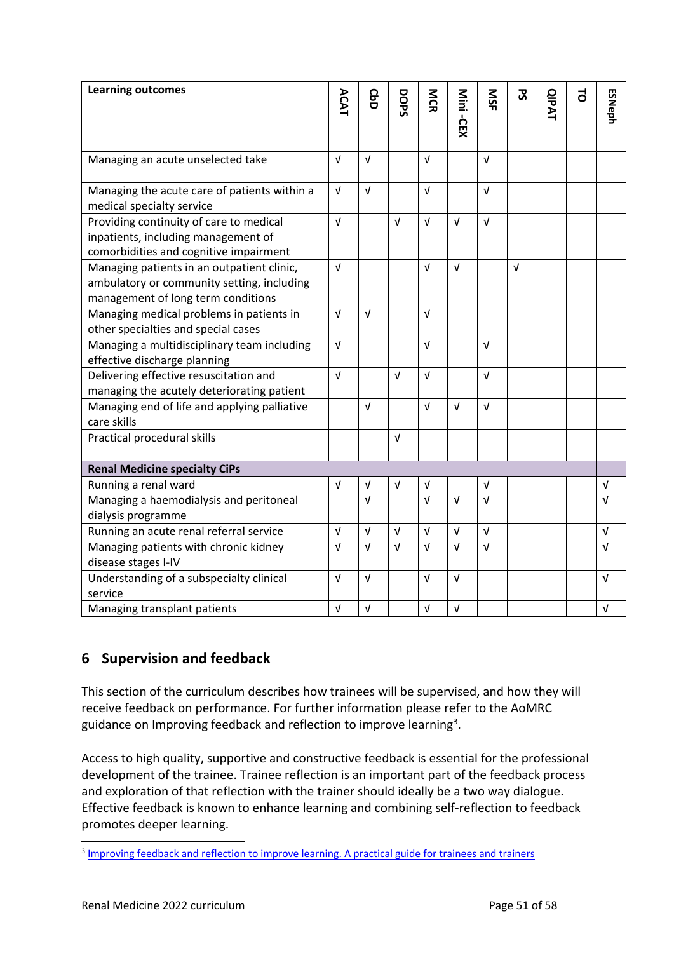| <b>Learning outcomes</b>                                                                                                       | <b>ACAT</b> | <b>GbD</b> | DOPS       | <b>NG</b>  |            | SIN        | <b>S</b>   | <b>QIPAT</b> | 5 |               |
|--------------------------------------------------------------------------------------------------------------------------------|-------------|------------|------------|------------|------------|------------|------------|--------------|---|---------------|
|                                                                                                                                |             |            |            |            | Mini -CEX  |            |            |              |   | <b>ESNeph</b> |
|                                                                                                                                |             |            |            |            |            |            |            |              |   |               |
| Managing an acute unselected take                                                                                              | $\sqrt{ }$  | $\sqrt{ }$ |            | V          |            | $\sqrt{ }$ |            |              |   |               |
| Managing the acute care of patients within a<br>medical specialty service                                                      | $\sqrt{ }$  | $\sqrt{ }$ |            | $\sqrt{ }$ |            | $\sqrt{ }$ |            |              |   |               |
| Providing continuity of care to medical<br>inpatients, including management of<br>comorbidities and cognitive impairment       | $\sqrt{ }$  |            | $\sqrt{ }$ | $\sqrt{ }$ | $\sqrt{ }$ | $\sqrt{ }$ |            |              |   |               |
| Managing patients in an outpatient clinic,<br>ambulatory or community setting, including<br>management of long term conditions | $\sqrt{ }$  |            |            | $\sqrt{ }$ | $\sqrt{ }$ |            | $\sqrt{ }$ |              |   |               |
| Managing medical problems in patients in<br>other specialties and special cases                                                | $\sqrt{ }$  | $\sqrt{ }$ |            | $\sqrt{ }$ |            |            |            |              |   |               |
| Managing a multidisciplinary team including<br>effective discharge planning                                                    | $\sqrt{ }$  |            |            | V          |            | $\sqrt{ }$ |            |              |   |               |
| Delivering effective resuscitation and<br>managing the acutely deteriorating patient                                           | $\sqrt{ }$  |            | $\sqrt{ }$ | $\sqrt{ }$ |            | $\sqrt{ }$ |            |              |   |               |
| Managing end of life and applying palliative<br>care skills                                                                    |             | $\sqrt{ }$ |            | $\sqrt{ }$ | $\sqrt{ }$ | $\sqrt{ }$ |            |              |   |               |
| Practical procedural skills                                                                                                    |             |            | $\sqrt{ }$ |            |            |            |            |              |   |               |
| <b>Renal Medicine specialty CiPs</b>                                                                                           |             |            |            |            |            |            |            |              |   |               |
| Running a renal ward                                                                                                           | $\sqrt{ }$  | $\sqrt{ }$ | $\sqrt{ }$ | $\sqrt{ }$ |            | $\sqrt{ }$ |            |              |   | $\sqrt{ }$    |
| Managing a haemodialysis and peritoneal                                                                                        |             | $\sqrt{ }$ |            | $\sqrt{ }$ | $\sqrt{ }$ | $\sqrt{ }$ |            |              |   | $\sqrt{ }$    |
| dialysis programme                                                                                                             |             |            |            |            |            |            |            |              |   |               |
| Running an acute renal referral service                                                                                        | $\sqrt{ }$  | $\sqrt{ }$ | $\sqrt{ }$ | $\sqrt{ }$ | $\sqrt{ }$ | $\sqrt{ }$ |            |              |   | $\sqrt{ }$    |
| Managing patients with chronic kidney                                                                                          | $\sqrt{ }$  | $\sqrt{ }$ | $\sqrt{ }$ | $\sqrt{ }$ | $\sqrt{ }$ | $\sqrt{ }$ |            |              |   | $\sqrt{ }$    |
| disease stages I-IV                                                                                                            |             |            |            |            |            |            |            |              |   |               |
| Understanding of a subspecialty clinical                                                                                       | $\sqrt{ }$  | $\sqrt{ }$ |            | V          | V          |            |            |              |   | $\sqrt{ }$    |
| service                                                                                                                        |             |            |            | $\sqrt{ }$ | $\sqrt{ }$ |            |            |              |   |               |
| Managing transplant patients                                                                                                   | $\sqrt{ }$  | $\sqrt{ }$ |            |            |            |            |            |              |   | $\sqrt{ }$    |

## <span id="page-50-0"></span>**6 Supervision and feedback**

This section of the curriculum describes how trainees will be supervised, and how they will receive feedback on performance. For further information please refer to the AoMRC guidance on Improving feedback and reflection to improve learning<sup>3</sup>.

Access to high quality, supportive and constructive feedback is essential for the professional development of the trainee. Trainee reflection is an important part of the feedback process and exploration of that reflection with the trainer should ideally be a two way dialogue. Effective feedback is known to enhance learning and combining self-reflection to feedback promotes deeper learning.

<sup>&</sup>lt;sup>3</sup> [Improving feedback and reflection to improve learning. A practical guide for trainees and trainers](http://www.aomrc.org.uk/publications/reports-guidance/improving-feedback-reflection-improve-learning-practical-guide-trainees-trainers/)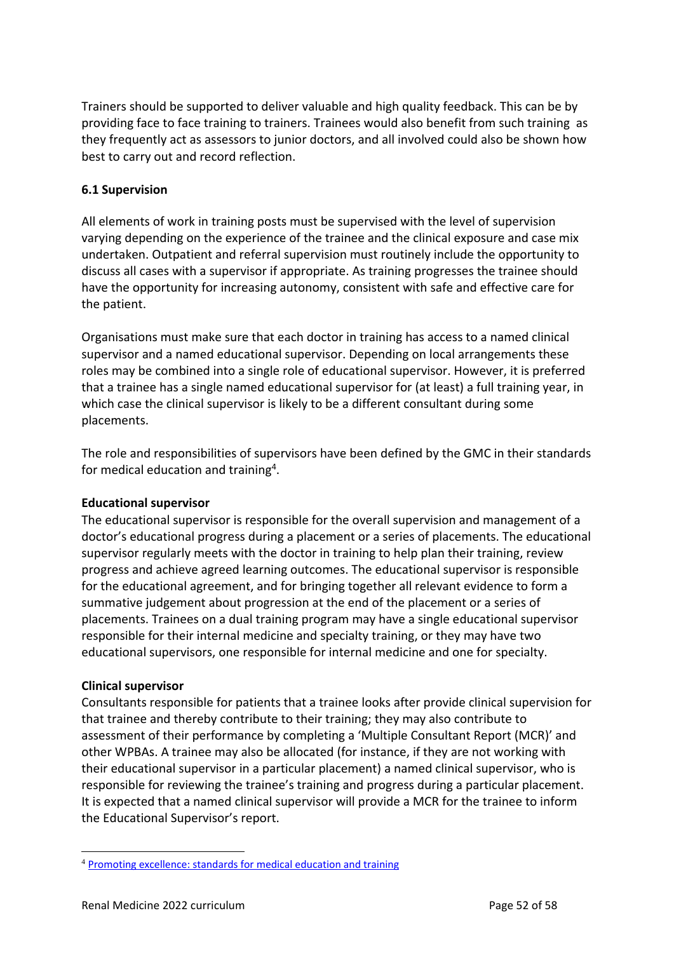Trainers should be supported to deliver valuable and high quality feedback. This can be by providing face to face training to trainers. Trainees would also benefit from such training as they frequently act as assessors to junior doctors, and all involved could also be shown how best to carry out and record reflection.

### <span id="page-51-0"></span>**6.1 Supervision**

All elements of work in training posts must be supervised with the level of supervision varying depending on the experience of the trainee and the clinical exposure and case mix undertaken. Outpatient and referral supervision must routinely include the opportunity to discuss all cases with a supervisor if appropriate. As training progresses the trainee should have the opportunity for increasing autonomy, consistent with safe and effective care for the patient.

Organisations must make sure that each doctor in training has access to a named clinical supervisor and a named educational supervisor. Depending on local arrangements these roles may be combined into a single role of educational supervisor. However, it is preferred that a trainee has a single named educational supervisor for (at least) a full training year, in which case the clinical supervisor is likely to be a different consultant during some placements.

The role and responsibilities of supervisors have been defined by the GMC in their standards for medical education and training<sup>4</sup>.

#### **Educational supervisor**

The educational supervisor is responsible for the overall supervision and management of a doctor's educational progress during a placement or a series of placements. The educational supervisor regularly meets with the doctor in training to help plan their training, review progress and achieve agreed learning outcomes. The educational supervisor is responsible for the educational agreement, and for bringing together all relevant evidence to form a summative judgement about progression at the end of the placement or a series of placements. Trainees on a dual training program may have a single educational supervisor responsible for their internal medicine and specialty training, or they may have two educational supervisors, one responsible for internal medicine and one for specialty.

#### **Clinical supervisor**

Consultants responsible for patients that a trainee looks after provide clinical supervision for that trainee and thereby contribute to their training; they may also contribute to assessment of their performance by completing a 'Multiple Consultant Report (MCR)' and other WPBAs. A trainee may also be allocated (for instance, if they are not working with their educational supervisor in a particular placement) a named clinical supervisor, who is responsible for reviewing the trainee's training and progress during a particular placement. It is expected that a named clinical supervisor will provide a MCR for the trainee to inform the Educational Supervisor's report.

<sup>4</sup> [Promoting excellence: standards for medical education and training](http://www.gmc-uk.org/education/standards.asp)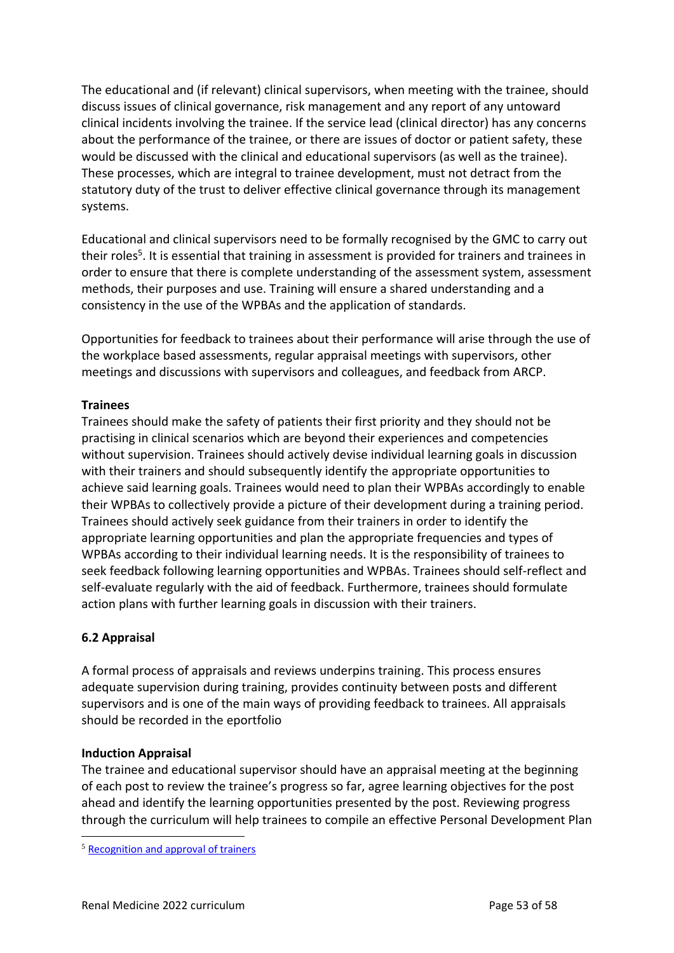The educational and (if relevant) clinical supervisors, when meeting with the trainee, should discuss issues of clinical governance, risk management and any report of any untoward clinical incidents involving the trainee. If the service lead (clinical director) has any concerns about the performance of the trainee, or there are issues of doctor or patient safety, these would be discussed with the clinical and educational supervisors (as well as the trainee). These processes, which are integral to trainee development, must not detract from the statutory duty of the trust to deliver effective clinical governance through its management systems.

Educational and clinical supervisors need to be formally recognised by the GMC to carry out their roles<sup>5</sup>. It is essential that training in assessment is provided for trainers and trainees in order to ensure that there is complete understanding of the assessment system, assessment methods, their purposes and use. Training will ensure a shared understanding and a consistency in the use of the WPBAs and the application of standards.

Opportunities for feedback to trainees about their performance will arise through the use of the workplace based assessments, regular appraisal meetings with supervisors, other meetings and discussions with supervisors and colleagues, and feedback from ARCP.

### **Trainees**

Trainees should make the safety of patients their first priority and they should not be practising in clinical scenarios which are beyond their experiences and competencies without supervision. Trainees should actively devise individual learning goals in discussion with their trainers and should subsequently identify the appropriate opportunities to achieve said learning goals. Trainees would need to plan their WPBAs accordingly to enable their WPBAs to collectively provide a picture of their development during a training period. Trainees should actively seek guidance from their trainers in order to identify the appropriate learning opportunities and plan the appropriate frequencies and types of WPBAs according to their individual learning needs. It is the responsibility of trainees to seek feedback following learning opportunities and WPBAs. Trainees should self-reflect and self-evaluate regularly with the aid of feedback. Furthermore, trainees should formulate action plans with further learning goals in discussion with their trainers.

### <span id="page-52-0"></span>**6.2 Appraisal**

A formal process of appraisals and reviews underpins training. This process ensures adequate supervision during training, provides continuity between posts and different supervisors and is one of the main ways of providing feedback to trainees. All appraisals should be recorded in the eportfolio

#### **Induction Appraisal**

The trainee and educational supervisor should have an appraisal meeting at the beginning of each post to review the trainee's progress so far, agree learning objectives for the post ahead and identify the learning opportunities presented by the post. Reviewing progress through the curriculum will help trainees to compile an effective Personal Development Plan

<sup>5</sup> [Recognition and approval of trainers](http://www.gmc-uk.org/education/10264.asp)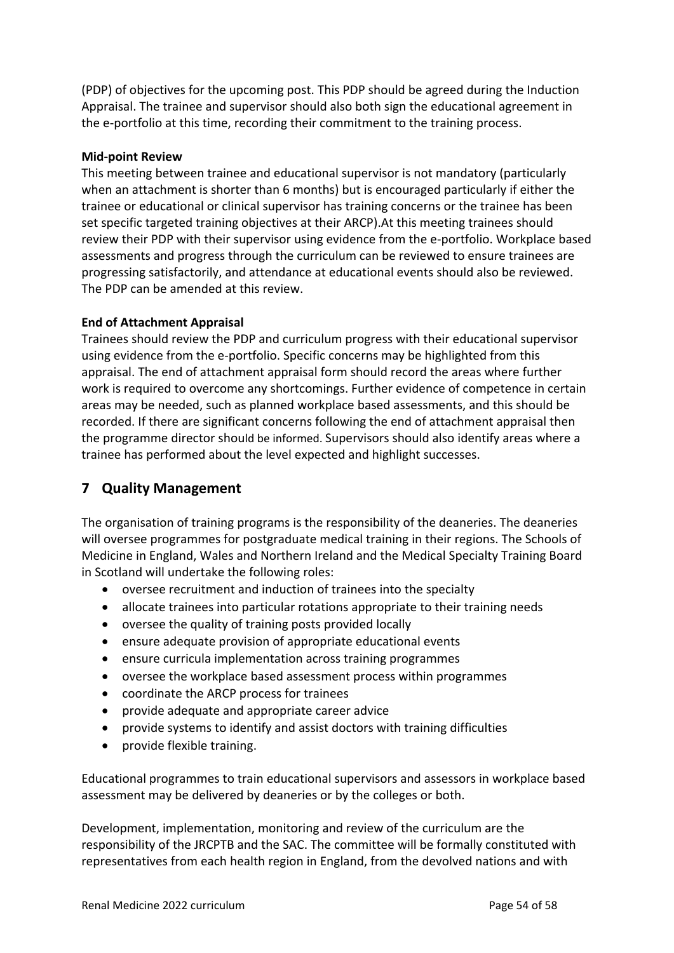(PDP) of objectives for the upcoming post. This PDP should be agreed during the Induction Appraisal. The trainee and supervisor should also both sign the educational agreement in the e-portfolio at this time, recording their commitment to the training process.

### **Mid-point Review**

This meeting between trainee and educational supervisor is not mandatory (particularly when an attachment is shorter than 6 months) but is encouraged particularly if either the trainee or educational or clinical supervisor has training concerns or the trainee has been set specific targeted training objectives at their ARCP).At this meeting trainees should review their PDP with their supervisor using evidence from the e-portfolio. Workplace based assessments and progress through the curriculum can be reviewed to ensure trainees are progressing satisfactorily, and attendance at educational events should also be reviewed. The PDP can be amended at this review.

### **End of Attachment Appraisal**

Trainees should review the PDP and curriculum progress with their educational supervisor using evidence from the e-portfolio. Specific concerns may be highlighted from this appraisal. The end of attachment appraisal form should record the areas where further work is required to overcome any shortcomings. Further evidence of competence in certain areas may be needed, such as planned workplace based assessments, and this should be recorded. If there are significant concerns following the end of attachment appraisal then the programme director should be informed. Supervisors should also identify areas where a trainee has performed about the level expected and highlight successes.

## <span id="page-53-0"></span>**7 Quality Management**

The organisation of training programs is the responsibility of the deaneries. The deaneries will oversee programmes for postgraduate medical training in their regions. The Schools of Medicine in England, Wales and Northern Ireland and the Medical Specialty Training Board in Scotland will undertake the following roles:

- oversee recruitment and induction of trainees into the specialty
- allocate trainees into particular rotations appropriate to their training needs
- oversee the quality of training posts provided locally
- ensure adequate provision of appropriate educational events
- ensure curricula implementation across training programmes
- oversee the workplace based assessment process within programmes
- coordinate the ARCP process for trainees
- provide adequate and appropriate career advice
- provide systems to identify and assist doctors with training difficulties
- provide flexible training.

Educational programmes to train educational supervisors and assessors in workplace based assessment may be delivered by deaneries or by the colleges or both.

Development, implementation, monitoring and review of the curriculum are the responsibility of the JRCPTB and the SAC. The committee will be formally constituted with representatives from each health region in England, from the devolved nations and with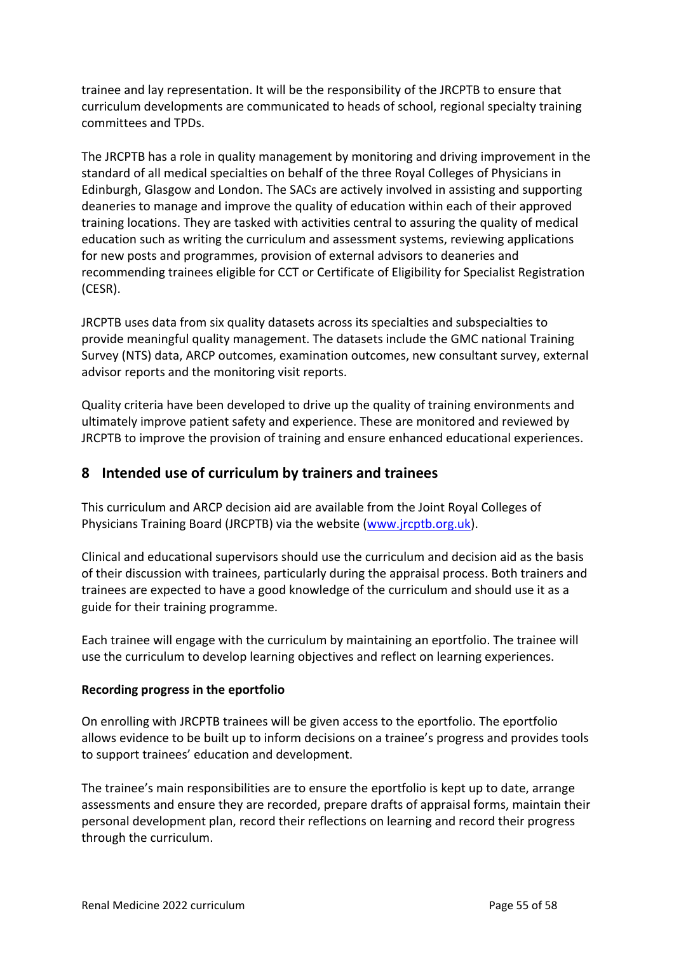trainee and lay representation. It will be the responsibility of the JRCPTB to ensure that curriculum developments are communicated to heads of school, regional specialty training committees and TPDs.

The JRCPTB has a role in quality management by monitoring and driving improvement in the standard of all medical specialties on behalf of the three Royal Colleges of Physicians in Edinburgh, Glasgow and London. The SACs are actively involved in assisting and supporting deaneries to manage and improve the quality of education within each of their approved training locations. They are tasked with activities central to assuring the quality of medical education such as writing the curriculum and assessment systems, reviewing applications for new posts and programmes, provision of external advisors to deaneries and recommending trainees eligible for CCT or Certificate of Eligibility for Specialist Registration (CESR).

JRCPTB uses data from six quality datasets across its specialties and subspecialties to provide meaningful quality management. The datasets include the GMC national Training Survey (NTS) data, ARCP outcomes, examination outcomes, new consultant survey, external advisor reports and the monitoring visit reports.

Quality criteria have been developed to drive up the quality of training environments and ultimately improve patient safety and experience. These are monitored and reviewed by JRCPTB to improve the provision of training and ensure enhanced educational experiences.

## <span id="page-54-0"></span>**8 Intended use of curriculum by trainers and trainees**

This curriculum and ARCP decision aid are available from the Joint Royal Colleges of Physicians Training Board (JRCPTB) via the website [\(www.jrcptb.org.uk\)](http://www.jrcptb.org.uk/).

Clinical and educational supervisors should use the curriculum and decision aid as the basis of their discussion with trainees, particularly during the appraisal process. Both trainers and trainees are expected to have a good knowledge of the curriculum and should use it as a guide for their training programme.

Each trainee will engage with the curriculum by maintaining an eportfolio. The trainee will use the curriculum to develop learning objectives and reflect on learning experiences.

### **Recording progress in the eportfolio**

On enrolling with JRCPTB trainees will be given access to the eportfolio. The eportfolio allows evidence to be built up to inform decisions on a trainee's progress and provides tools to support trainees' education and development.

The trainee's main responsibilities are to ensure the eportfolio is kept up to date, arrange assessments and ensure they are recorded, prepare drafts of appraisal forms, maintain their personal development plan, record their reflections on learning and record their progress through the curriculum.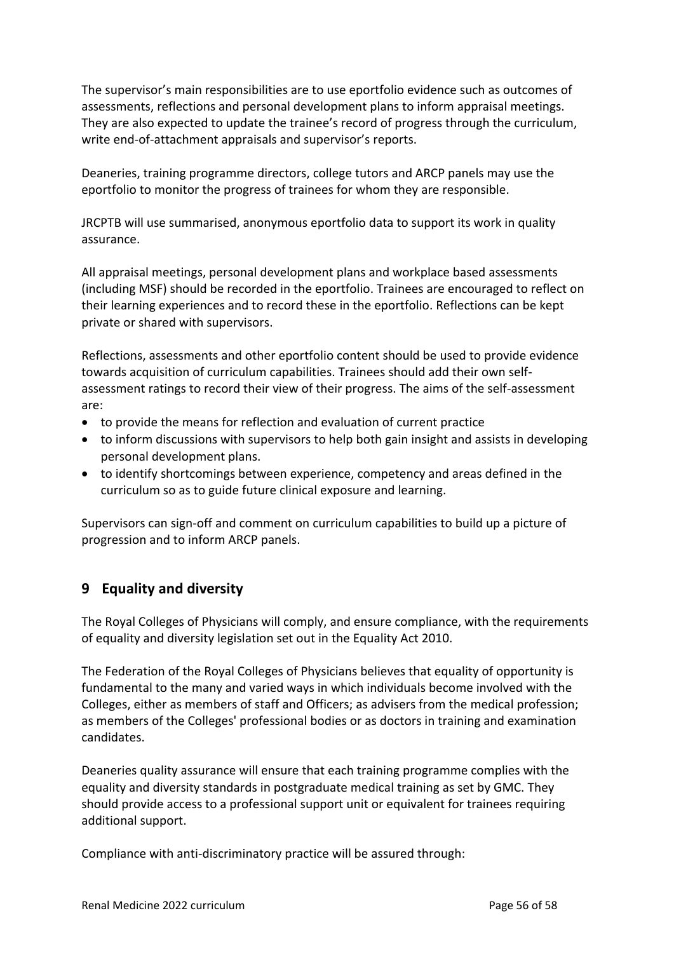The supervisor's main responsibilities are to use eportfolio evidence such as outcomes of assessments, reflections and personal development plans to inform appraisal meetings. They are also expected to update the trainee's record of progress through the curriculum, write end-of-attachment appraisals and supervisor's reports.

Deaneries, training programme directors, college tutors and ARCP panels may use the eportfolio to monitor the progress of trainees for whom they are responsible.

JRCPTB will use summarised, anonymous eportfolio data to support its work in quality assurance.

All appraisal meetings, personal development plans and workplace based assessments (including MSF) should be recorded in the eportfolio. Trainees are encouraged to reflect on their learning experiences and to record these in the eportfolio. Reflections can be kept private or shared with supervisors.

Reflections, assessments and other eportfolio content should be used to provide evidence towards acquisition of curriculum capabilities. Trainees should add their own selfassessment ratings to record their view of their progress. The aims of the self-assessment are:

- to provide the means for reflection and evaluation of current practice
- to inform discussions with supervisors to help both gain insight and assists in developing personal development plans.
- to identify shortcomings between experience, competency and areas defined in the curriculum so as to guide future clinical exposure and learning.

Supervisors can sign-off and comment on curriculum capabilities to build up a picture of progression and to inform ARCP panels.

## <span id="page-55-0"></span>**9 Equality and diversity**

The Royal Colleges of Physicians will comply, and ensure compliance, with the requirements of equality and diversity legislation set out in the Equality Act 2010.

The Federation of the Royal Colleges of Physicians believes that equality of opportunity is fundamental to the many and varied ways in which individuals become involved with the Colleges, either as members of staff and Officers; as advisers from the medical profession; as members of the Colleges' professional bodies or as doctors in training and examination candidates.

Deaneries quality assurance will ensure that each training programme complies with the equality and diversity standards in postgraduate medical training as set by GMC. They should provide access to a professional support unit or equivalent for trainees requiring additional support.

Compliance with anti-discriminatory practice will be assured through: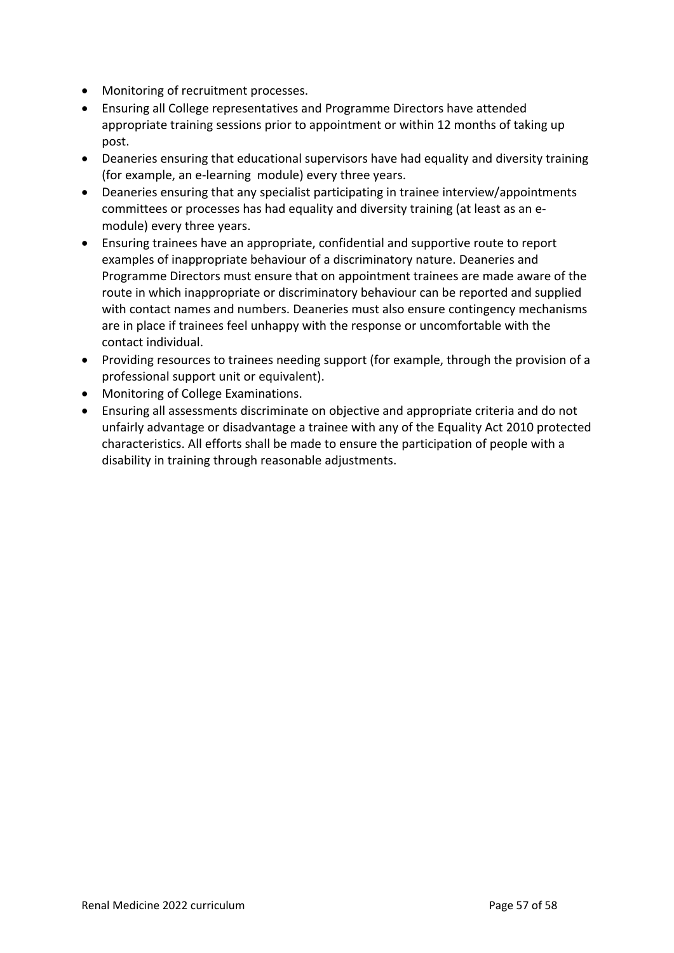- Monitoring of recruitment processes.
- Ensuring all College representatives and Programme Directors have attended appropriate training sessions prior to appointment or within 12 months of taking up post.
- Deaneries ensuring that educational supervisors have had equality and diversity training (for example, an e-learning module) every three years.
- Deaneries ensuring that any specialist participating in trainee interview/appointments committees or processes has had equality and diversity training (at least as an emodule) every three years.
- Ensuring trainees have an appropriate, confidential and supportive route to report examples of inappropriate behaviour of a discriminatory nature. Deaneries and Programme Directors must ensure that on appointment trainees are made aware of the route in which inappropriate or discriminatory behaviour can be reported and supplied with contact names and numbers. Deaneries must also ensure contingency mechanisms are in place if trainees feel unhappy with the response or uncomfortable with the contact individual.
- Providing resources to trainees needing support (for example, through the provision of a professional support unit or equivalent).
- Monitoring of College Examinations.
- Ensuring all assessments discriminate on objective and appropriate criteria and do not unfairly advantage or disadvantage a trainee with any of the Equality Act 2010 protected characteristics. All efforts shall be made to ensure the participation of people with a disability in training through reasonable adjustments.